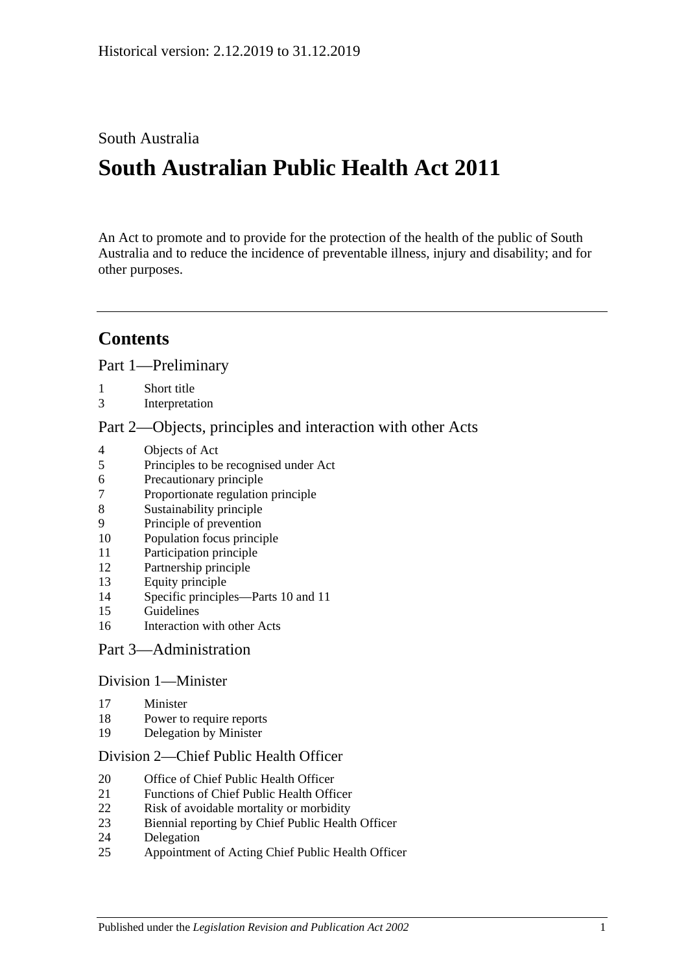South Australia

# **South Australian Public Health Act 2011**

An Act to promote and to provide for the protection of the health of the public of South Australia and to reduce the incidence of preventable illness, injury and disability; and for other purposes.

# **Contents**

Part [1—Preliminary](#page-4-0)

- [Short title](#page-4-1)
- [Interpretation](#page-4-2)

Part [2—Objects, principles and interaction with other Acts](#page-7-0)

- [Objects of Act](#page-7-1)
- [Principles to be recognised under Act](#page-8-0)
- [Precautionary principle](#page-8-1)
- [Proportionate regulation principle](#page-8-2)
- [Sustainability principle](#page-8-3)
- [Principle of prevention](#page-8-4)
- [Population focus principle](#page-8-5)
- [Participation principle](#page-8-6)
- [Partnership principle](#page-9-0)
- [Equity principle](#page-9-1)
- [Specific principles—Parts](#page-9-2) 10 and [11](#page-9-2)
- [Guidelines](#page-10-0)
- [Interaction with other Acts](#page-11-0)

#### Part [3—Administration](#page-11-1)

#### Division [1—Minister](#page-11-2)

- [Minister](#page-11-3)
- [Power to require reports](#page-12-0)
- [Delegation by Minister](#page-12-1)

#### Division [2—Chief Public Health Officer](#page-13-0)

- [Office of Chief Public Health Officer](#page-13-1)
- [Functions of Chief Public Health Officer](#page-13-2)
- [Risk of avoidable mortality or morbidity](#page-14-0)
- [Biennial reporting by Chief Public Health Officer](#page-14-1)
- [Delegation](#page-15-0)
- [Appointment of Acting Chief Public Health Officer](#page-15-1)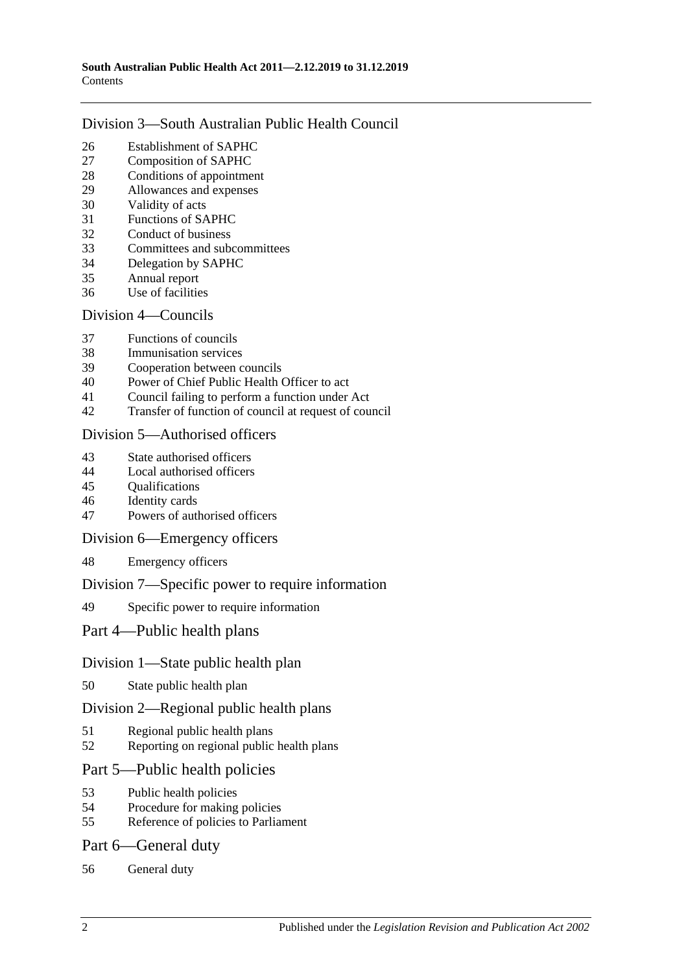#### Division [3—South Australian Public Health Council](#page-15-2)

- [Establishment of SAPHC](#page-15-3)<br>27 Composition of SAPHC
- [Composition of SAPHC](#page-15-4)
- [Conditions of appointment](#page-16-0)
- [Allowances and expenses](#page-17-0)
- [Validity of acts](#page-17-1)
- [Functions of SAPHC](#page-17-2)
- [Conduct of business](#page-17-3)
- [Committees and subcommittees](#page-18-0)
- [Delegation by SAPHC](#page-18-1)
- [Annual report](#page-18-2)
- [Use of facilities](#page-19-0)

#### Division [4—Councils](#page-19-1)

- [Functions of councils](#page-19-2)
- [Immunisation services](#page-19-3)
- [Cooperation between councils](#page-19-4)
- [Power of Chief Public Health Officer to act](#page-20-0)
- [Council failing to perform a function under Act](#page-20-1)
- [Transfer of function of council at request of council](#page-21-0)

#### Division [5—Authorised officers](#page-22-0)

- [State authorised officers](#page-22-1)
- [Local authorised officers](#page-22-2)
- [Qualifications](#page-23-0)
- [Identity cards](#page-23-1)
- [Powers of authorised officers](#page-24-0)

#### Division [6—Emergency officers](#page-25-0)

[Emergency officers](#page-25-1)

#### Division [7—Specific power to require information](#page-26-0)

[Specific power to require information](#page-26-1)

#### Part [4—Public health plans](#page-26-2)

#### Division [1—State public health plan](#page-26-3)

[State public health plan](#page-26-4)

#### Division [2—Regional public health plans](#page-28-0)

- [Regional public health plans](#page-28-1)
- [Reporting on regional public health plans](#page-30-0)

#### Part [5—Public health policies](#page-31-0)

- [Public health policies](#page-31-1)
- [Procedure for making policies](#page-31-2)
- [Reference of policies to Parliament](#page-32-0)

#### Part [6—General duty](#page-32-1)

[General duty](#page-32-2)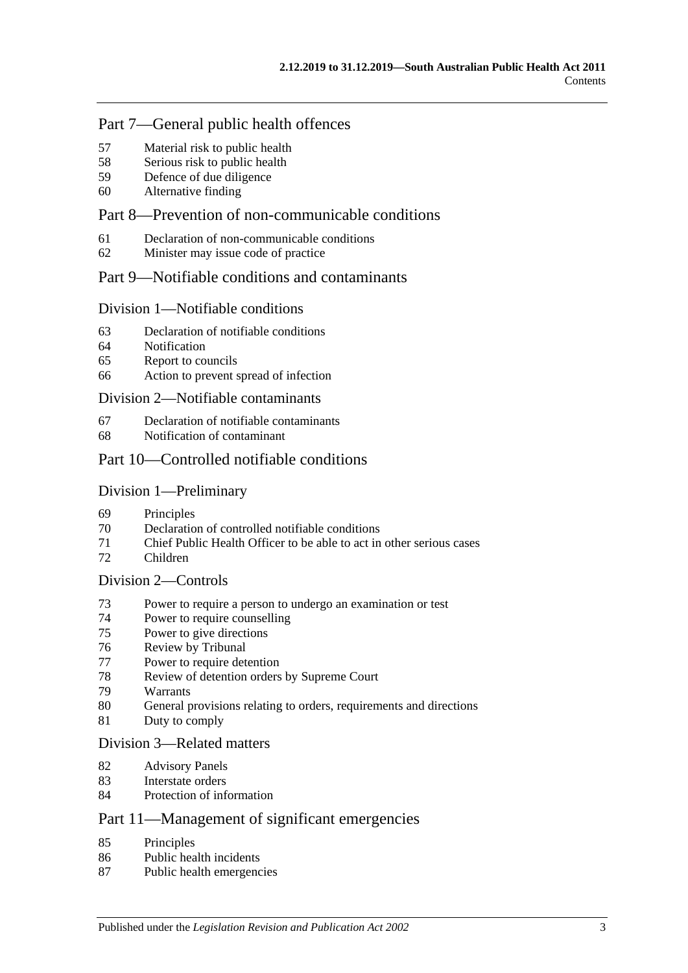### Part [7—General public health offences](#page-33-0)

- [Material risk to public health](#page-33-1)
- [Serious risk to public health](#page-33-2)
- [Defence of due diligence](#page-34-0)
- [Alternative finding](#page-34-1)

### Part [8—Prevention of non-communicable conditions](#page-35-0)

- [Declaration of non-communicable conditions](#page-35-1)
- [Minister may issue code of practice](#page-35-2)

### Part [9—Notifiable conditions and contaminants](#page-36-0)

#### Division [1—Notifiable conditions](#page-36-1)

- [Declaration of notifiable conditions](#page-36-2)
- [Notification](#page-36-3)
- [Report to councils](#page-37-0)
- [Action to prevent spread of infection](#page-38-0)

#### Division [2—Notifiable contaminants](#page-39-0)

- [Declaration of notifiable contaminants](#page-39-1)
- [Notification of contaminant](#page-39-2)

### Part [10—Controlled notifiable conditions](#page-41-0)

#### Division [1—Preliminary](#page-41-1)

- [Principles](#page-41-2)
- Declaration [of controlled notifiable conditions](#page-41-3)
- [Chief Public Health Officer to be able to act in other serious cases](#page-42-0)
- [Children](#page-43-0)

#### Division [2—Controls](#page-43-1)

- [Power to require a person to undergo an examination or test](#page-43-2)
- [Power to require counselling](#page-45-0)
- [Power to give directions](#page-45-1)
- [Review by Tribunal](#page-47-0)
- [Power to require detention](#page-47-1)
- [Review of detention orders by Supreme](#page-49-0) Court
- [Warrants](#page-50-0)
- [General provisions relating to orders, requirements and directions](#page-51-0)
- [Duty to comply](#page-51-1)

#### Division [3—Related matters](#page-51-2)

- [Advisory Panels](#page-51-3)
- [Interstate orders](#page-52-0)
- [Protection of information](#page-53-0)

### Part [11—Management of significant emergencies](#page-53-1)

- [Principles](#page-53-2)
- [Public health incidents](#page-53-3)
- [Public health emergencies](#page-53-4)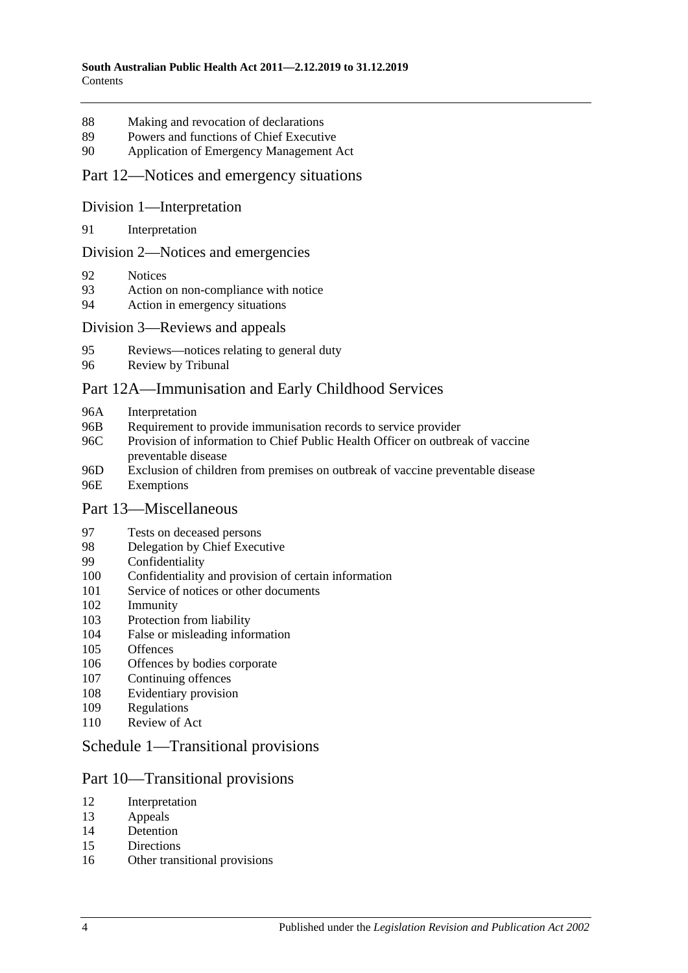- [Making and revocation of declarations](#page-53-5)
- [Powers and functions of Chief Executive](#page-54-0)
- [Application of Emergency Management Act](#page-54-1)

#### Part [12—Notices and emergency situations](#page-58-0)

#### Division [1—Interpretation](#page-58-1)

[Interpretation](#page-58-2)

#### Division [2—Notices and emergencies](#page-58-3)

- [Notices](#page-58-4)
- [Action on non-compliance with notice](#page-61-0)
- [Action in emergency situations](#page-61-1)

#### Division [3—Reviews and appeals](#page-62-0)

- [Reviews—notices relating to general duty](#page-62-1)
- [Review by Tribunal](#page-63-0)

#### [Part 12A—Immunisation and Early Childhood Services](#page-64-0)

- 96A [Interpretation](#page-64-1)
- 96B [Requirement to provide immunisation records to service provider](#page-65-0)
- 96C [Provision of information to Chief Public Health Officer on outbreak of vaccine](#page-66-0)  [preventable disease](#page-66-0)
- 96D [Exclusion of children from premises on outbreak of vaccine preventable disease](#page-66-1) 96E [Exemptions](#page-67-0)

#### Part [13—Miscellaneous](#page-68-0)

- [Tests on deceased persons](#page-68-1)
- [Delegation by Chief Executive](#page-68-2)
- [Confidentiality](#page-69-0)
- [Confidentiality and provision of certain information](#page-70-0)
- [Service of notices or other documents](#page-71-0)
- [Immunity](#page-71-1)
- [Protection from liability](#page-72-0)
- [False or misleading information](#page-72-1)
- [Offences](#page-72-2)
- [Offences by bodies corporate](#page-73-0)
- [Continuing offences](#page-73-1)
- [Evidentiary provision](#page-74-0)
- [Regulations](#page-74-1)
- [Review of Act](#page-77-0)

#### Schedule [1—Transitional provisions](#page-77-1)

#### Part 10—Transitional provisions

- [Interpretation](#page-77-2)
- [Appeals](#page-77-3)
- [Detention](#page-78-0)
- [Directions](#page-78-1)
- [Other transitional provisions](#page-78-2)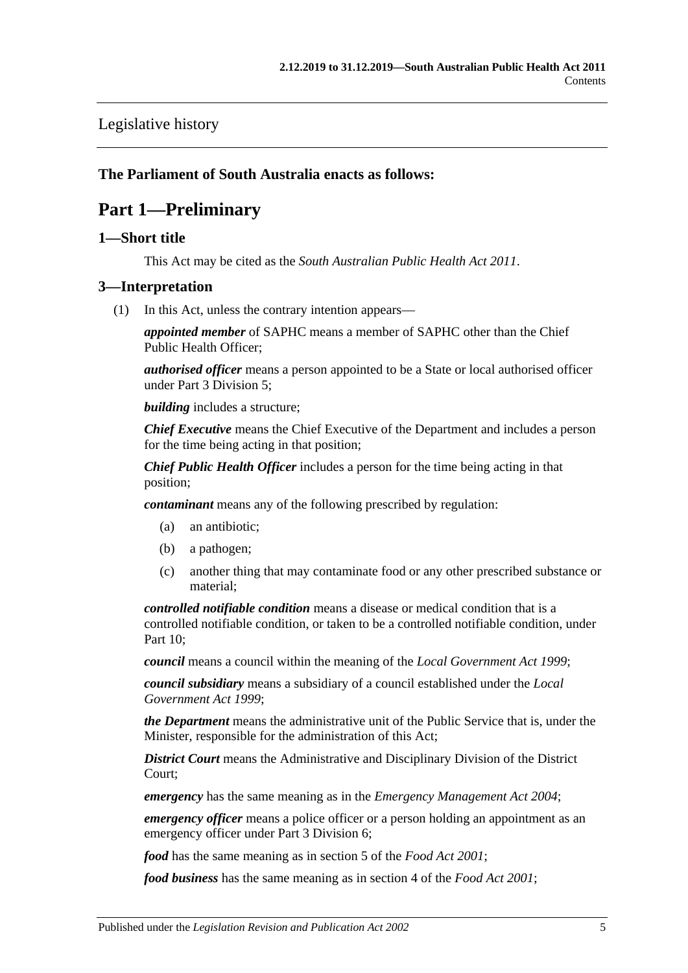### [Legislative history](#page-79-0)

#### <span id="page-4-0"></span>**The Parliament of South Australia enacts as follows:**

# **Part 1—Preliminary**

#### <span id="page-4-1"></span>**1—Short title**

This Act may be cited as the *South Australian Public Health Act 2011*.

#### <span id="page-4-3"></span><span id="page-4-2"></span>**3—Interpretation**

(1) In this Act, unless the contrary intention appears—

*appointed member* of SAPHC means a member of SAPHC other than the Chief Public Health Officer;

*authorised officer* means a person appointed to be a State or local authorised officer under Part [3 Division](#page-22-0) 5;

*building* includes a structure;

*Chief Executive* means the Chief Executive of the Department and includes a person for the time being acting in that position;

*Chief Public Health Officer* includes a person for the time being acting in that position;

*contaminant* means any of the following prescribed by regulation:

- (a) an antibiotic;
- (b) a pathogen;
- (c) another thing that may contaminate food or any other prescribed substance or material;

*controlled notifiable condition* means a disease or medical condition that is a controlled notifiable condition, or taken to be a controlled notifiable condition, under [Part](#page-41-0) 10;

*council* means a council within the meaning of the *[Local Government Act](http://www.legislation.sa.gov.au/index.aspx?action=legref&type=act&legtitle=Local%20Government%20Act%201999) 1999*;

*council subsidiary* means a subsidiary of a council established under the *[Local](http://www.legislation.sa.gov.au/index.aspx?action=legref&type=act&legtitle=Local%20Government%20Act%201999)  [Government Act](http://www.legislation.sa.gov.au/index.aspx?action=legref&type=act&legtitle=Local%20Government%20Act%201999) 1999*;

*the Department* means the administrative unit of the Public Service that is, under the Minister, responsible for the administration of this Act;

*District Court* means the Administrative and Disciplinary Division of the District Court;

*emergency* has the same meaning as in the *[Emergency Management Act](http://www.legislation.sa.gov.au/index.aspx?action=legref&type=act&legtitle=Emergency%20Management%20Act%202004) 2004*;

*emergency officer* means a police officer or a person holding an appointment as an emergency officer under Part [3 Division](#page-25-0) 6;

*food* has the same meaning as in section 5 of the *[Food Act](http://www.legislation.sa.gov.au/index.aspx?action=legref&type=act&legtitle=Food%20Act%202001) 2001*;

*food business* has the same meaning as in section 4 of the *[Food Act](http://www.legislation.sa.gov.au/index.aspx?action=legref&type=act&legtitle=Food%20Act%202001) 2001*;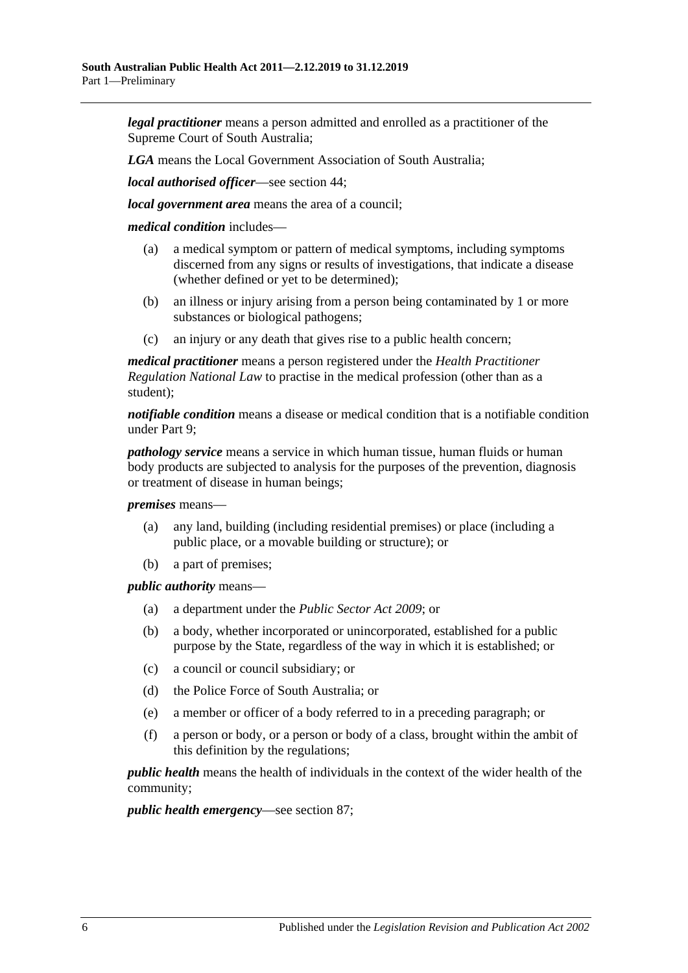*legal practitioner* means a person admitted and enrolled as a practitioner of the Supreme Court of South Australia;

*LGA* means the Local Government Association of South Australia;

*local authorised officer*—see [section](#page-22-2) 44;

*local government area* means the area of a council;

*medical condition* includes—

- (a) a medical symptom or pattern of medical symptoms, including symptoms discerned from any signs or results of investigations, that indicate a disease (whether defined or yet to be determined);
- (b) an illness or injury arising from a person being contaminated by 1 or more substances or biological pathogens;
- (c) an injury or any death that gives rise to a public health concern;

*medical practitioner* means a person registered under the *Health Practitioner Regulation National Law* to practise in the medical profession (other than as a student);

*notifiable condition* means a disease or medical condition that is a notifiable condition under [Part](#page-36-0) 9;

*pathology service* means a service in which human tissue, human fluids or human body products are subjected to analysis for the purposes of the prevention, diagnosis or treatment of disease in human beings;

*premises* means—

- (a) any land, building (including residential premises) or place (including a public place, or a movable building or structure); or
- (b) a part of premises;

*public authority* means—

- (a) a department under the *[Public Sector Act](http://www.legislation.sa.gov.au/index.aspx?action=legref&type=act&legtitle=Public%20Sector%20Act%202009) 2009*; or
- (b) a body, whether incorporated or unincorporated, established for a public purpose by the State, regardless of the way in which it is established; or
- (c) a council or council subsidiary; or
- (d) the Police Force of South Australia; or
- (e) a member or officer of a body referred to in a preceding paragraph; or
- (f) a person or body, or a person or body of a class, brought within the ambit of this definition by the regulations;

*public health* means the health of individuals in the context of the wider health of the community;

*public health emergency*—see [section](#page-53-4) 87;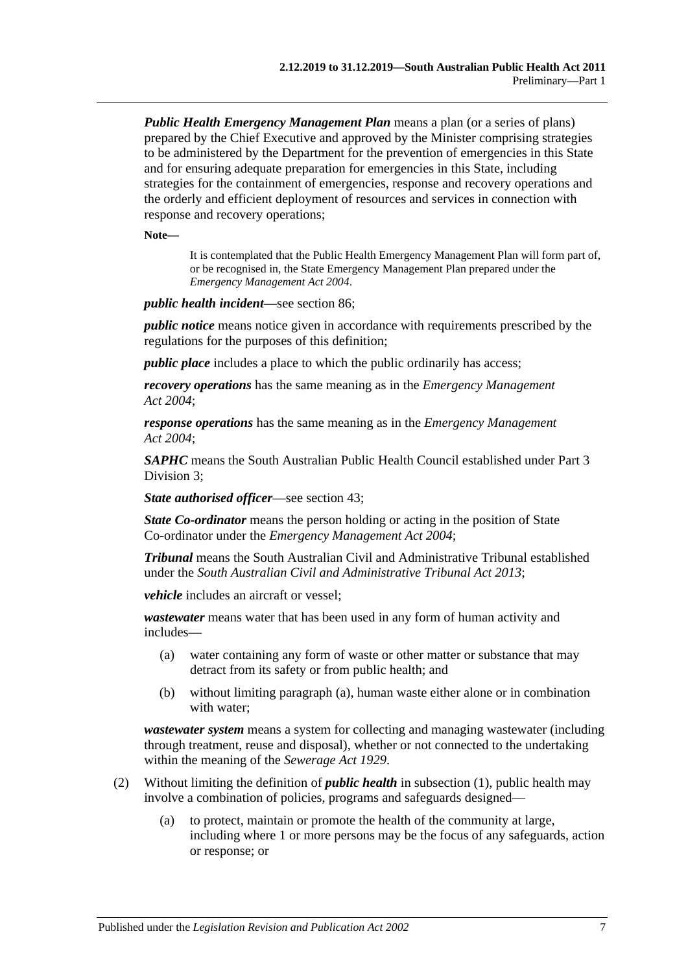*Public Health Emergency Management Plan* means a plan (or a series of plans) prepared by the Chief Executive and approved by the Minister comprising strategies to be administered by the Department for the prevention of emergencies in this State and for ensuring adequate preparation for emergencies in this State, including strategies for the containment of emergencies, response and recovery operations and the orderly and efficient deployment of resources and services in connection with response and recovery operations;

**Note—**

It is contemplated that the Public Health Emergency Management Plan will form part of, or be recognised in, the State Emergency Management Plan prepared under the *[Emergency Management Act](http://www.legislation.sa.gov.au/index.aspx?action=legref&type=act&legtitle=Emergency%20Management%20Act%202004) 2004*.

*public health incident*—see [section](#page-53-3) 86;

*public notice* means notice given in accordance with requirements prescribed by the regulations for the purposes of this definition;

*public place* includes a place to which the public ordinarily has access;

*recovery operations* has the same meaning as in the *[Emergency Management](http://www.legislation.sa.gov.au/index.aspx?action=legref&type=act&legtitle=Emergency%20Management%20Act%202004)  Act [2004](http://www.legislation.sa.gov.au/index.aspx?action=legref&type=act&legtitle=Emergency%20Management%20Act%202004)*;

*response operations* has the same meaning as in the *[Emergency Management](http://www.legislation.sa.gov.au/index.aspx?action=legref&type=act&legtitle=Emergency%20Management%20Act%202004)  Act [2004](http://www.legislation.sa.gov.au/index.aspx?action=legref&type=act&legtitle=Emergency%20Management%20Act%202004)*;

*SAPHC* means the South Australian Public Health Council established under [Part](#page-15-2) 3 [Division](#page-15-2) 3;

*State authorised officer*—see [section](#page-22-1) 43;

*State Co-ordinator* means the person holding or acting in the position of State Co-ordinator under the *[Emergency Management Act](http://www.legislation.sa.gov.au/index.aspx?action=legref&type=act&legtitle=Emergency%20Management%20Act%202004) 2004*;

*Tribunal* means the South Australian Civil and Administrative Tribunal established under the *[South Australian Civil and Administrative Tribunal Act](http://www.legislation.sa.gov.au/index.aspx?action=legref&type=act&legtitle=South%20Australian%20Civil%20and%20Administrative%20Tribunal%20Act%202013) 2013*;

*vehicle* includes an aircraft or vessel;

<span id="page-6-0"></span>*wastewater* means water that has been used in any form of human activity and includes—

- (a) water containing any form of waste or other matter or substance that may detract from its safety or from public health; and
- (b) without limiting [paragraph](#page-6-0) (a), human waste either alone or in combination with water;

*wastewater system* means a system for collecting and managing wastewater (including through treatment, reuse and disposal), whether or not connected to the undertaking within the meaning of the *[Sewerage Act](http://www.legislation.sa.gov.au/index.aspx?action=legref&type=act&legtitle=Sewerage%20Act%201929) 1929*.

- (2) Without limiting the definition of *public health* in [subsection](#page-4-3) (1), public health may involve a combination of policies, programs and safeguards designed—
	- (a) to protect, maintain or promote the health of the community at large, including where 1 or more persons may be the focus of any safeguards, action or response; or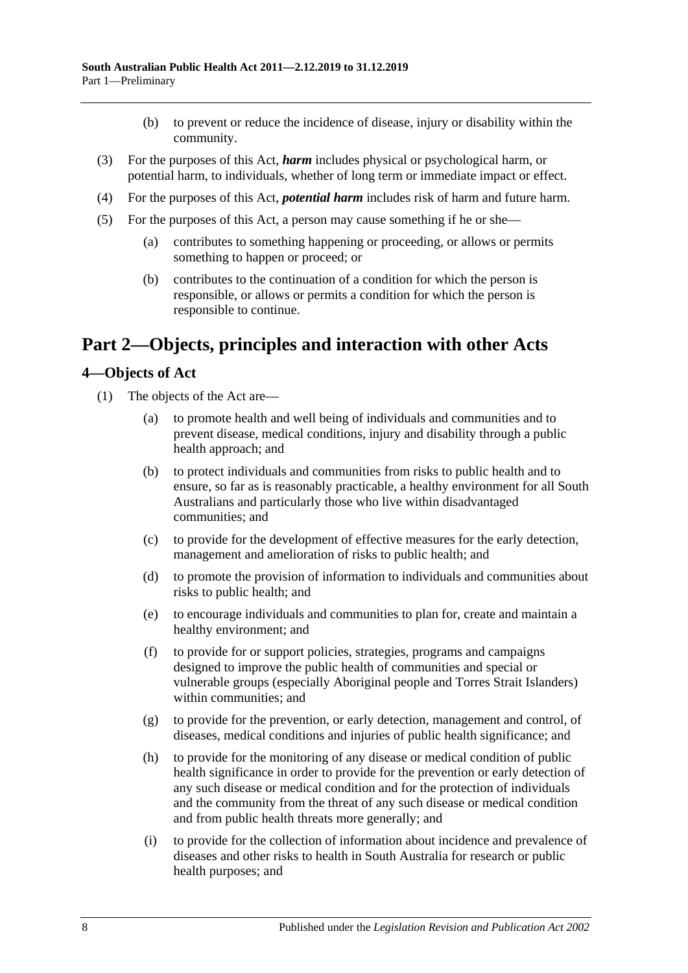- (b) to prevent or reduce the incidence of disease, injury or disability within the community.
- (3) For the purposes of this Act, *harm* includes physical or psychological harm, or potential harm, to individuals, whether of long term or immediate impact or effect.
- (4) For the purposes of this Act, *potential harm* includes risk of harm and future harm.
- (5) For the purposes of this Act, a person may cause something if he or she—
	- (a) contributes to something happening or proceeding, or allows or permits something to happen or proceed; or
	- (b) contributes to the continuation of a condition for which the person is responsible, or allows or permits a condition for which the person is responsible to continue.

# <span id="page-7-0"></span>**Part 2—Objects, principles and interaction with other Acts**

#### <span id="page-7-1"></span>**4—Objects of Act**

- (1) The objects of the Act are—
	- (a) to promote health and well being of individuals and communities and to prevent disease, medical conditions, injury and disability through a public health approach; and
	- (b) to protect individuals and communities from risks to public health and to ensure, so far as is reasonably practicable, a healthy environment for all South Australians and particularly those who live within disadvantaged communities; and
	- (c) to provide for the development of effective measures for the early detection, management and amelioration of risks to public health; and
	- (d) to promote the provision of information to individuals and communities about risks to public health; and
	- (e) to encourage individuals and communities to plan for, create and maintain a healthy environment; and
	- (f) to provide for or support policies, strategies, programs and campaigns designed to improve the public health of communities and special or vulnerable groups (especially Aboriginal people and Torres Strait Islanders) within communities; and
	- (g) to provide for the prevention, or early detection, management and control, of diseases, medical conditions and injuries of public health significance; and
	- (h) to provide for the monitoring of any disease or medical condition of public health significance in order to provide for the prevention or early detection of any such disease or medical condition and for the protection of individuals and the community from the threat of any such disease or medical condition and from public health threats more generally; and
	- (i) to provide for the collection of information about incidence and prevalence of diseases and other risks to health in South Australia for research or public health purposes; and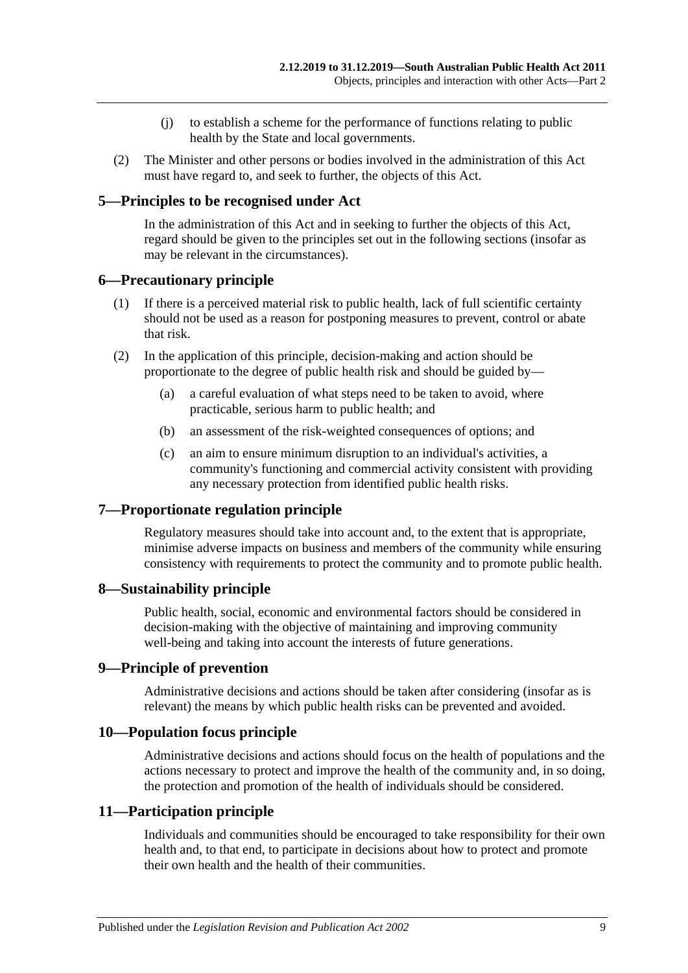- (j) to establish a scheme for the performance of functions relating to public health by the State and local governments.
- (2) The Minister and other persons or bodies involved in the administration of this Act must have regard to, and seek to further, the objects of this Act.

#### <span id="page-8-0"></span>**5—Principles to be recognised under Act**

In the administration of this Act and in seeking to further the objects of this Act, regard should be given to the principles set out in the following sections (insofar as may be relevant in the circumstances).

#### <span id="page-8-1"></span>**6—Precautionary principle**

- (1) If there is a perceived material risk to public health, lack of full scientific certainty should not be used as a reason for postponing measures to prevent, control or abate that risk.
- (2) In the application of this principle, decision-making and action should be proportionate to the degree of public health risk and should be guided by—
	- (a) a careful evaluation of what steps need to be taken to avoid, where practicable, serious harm to public health; and
	- (b) an assessment of the risk-weighted consequences of options; and
	- (c) an aim to ensure minimum disruption to an individual's activities, a community's functioning and commercial activity consistent with providing any necessary protection from identified public health risks.

#### <span id="page-8-2"></span>**7—Proportionate regulation principle**

Regulatory measures should take into account and, to the extent that is appropriate, minimise adverse impacts on business and members of the community while ensuring consistency with requirements to protect the community and to promote public health.

#### <span id="page-8-3"></span>**8—Sustainability principle**

Public health, social, economic and environmental factors should be considered in decision-making with the objective of maintaining and improving community well-being and taking into account the interests of future generations.

#### <span id="page-8-4"></span>**9—Principle of prevention**

Administrative decisions and actions should be taken after considering (insofar as is relevant) the means by which public health risks can be prevented and avoided.

#### <span id="page-8-5"></span>**10—Population focus principle**

Administrative decisions and actions should focus on the health of populations and the actions necessary to protect and improve the health of the community and, in so doing, the protection and promotion of the health of individuals should be considered.

#### <span id="page-8-6"></span>**11—Participation principle**

Individuals and communities should be encouraged to take responsibility for their own health and, to that end, to participate in decisions about how to protect and promote their own health and the health of their communities.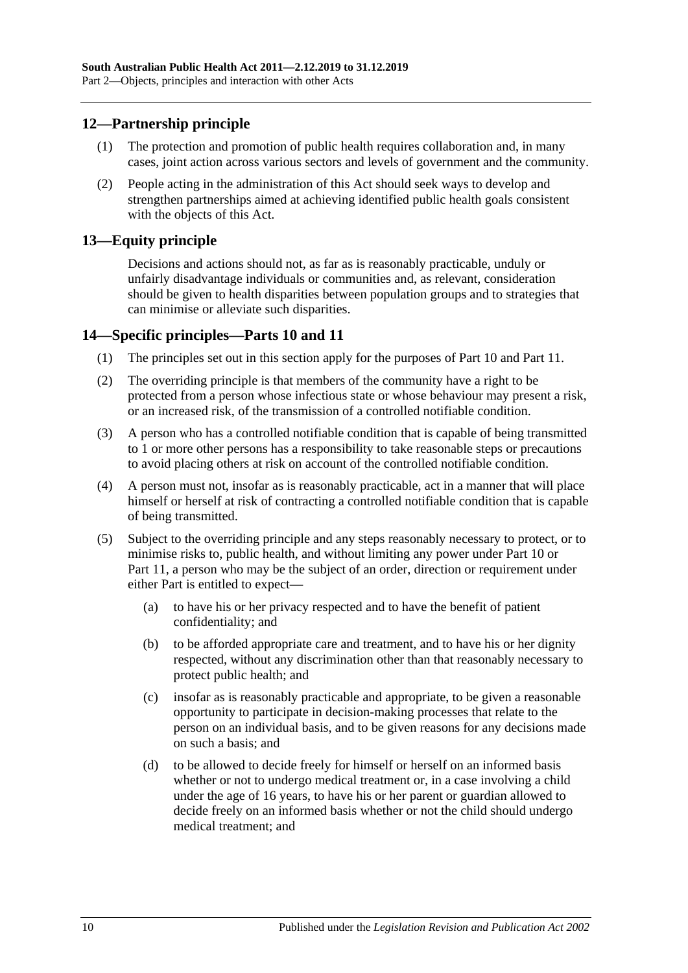### <span id="page-9-0"></span>**12—Partnership principle**

- (1) The protection and promotion of public health requires collaboration and, in many cases, joint action across various sectors and levels of government and the community.
- (2) People acting in the administration of this Act should seek ways to develop and strengthen partnerships aimed at achieving identified public health goals consistent with the objects of this Act.

#### <span id="page-9-1"></span>**13—Equity principle**

Decisions and actions should not, as far as is reasonably practicable, unduly or unfairly disadvantage individuals or communities and, as relevant, consideration should be given to health disparities between population groups and to strategies that can minimise or alleviate such disparities.

#### <span id="page-9-2"></span>**14—Specific principles[—Parts](#page-41-0) 10 and [11](#page-53-1)**

- (1) The principles set out in this section apply for the purposes of [Part](#page-41-0) 10 and [Part](#page-53-1) 11.
- (2) The overriding principle is that members of the community have a right to be protected from a person whose infectious state or whose behaviour may present a risk, or an increased risk, of the transmission of a controlled notifiable condition.
- (3) A person who has a controlled notifiable condition that is capable of being transmitted to 1 or more other persons has a responsibility to take reasonable steps or precautions to avoid placing others at risk on account of the controlled notifiable condition.
- (4) A person must not, insofar as is reasonably practicable, act in a manner that will place himself or herself at risk of contracting a controlled notifiable condition that is capable of being transmitted.
- (5) Subject to the overriding principle and any steps reasonably necessary to protect, or to minimise risks to, public health, and without limiting any power under [Part](#page-41-0) 10 or [Part](#page-53-1) 11, a person who may be the subject of an order, direction or requirement under either Part is entitled to expect—
	- (a) to have his or her privacy respected and to have the benefit of patient confidentiality; and
	- (b) to be afforded appropriate care and treatment, and to have his or her dignity respected, without any discrimination other than that reasonably necessary to protect public health; and
	- (c) insofar as is reasonably practicable and appropriate, to be given a reasonable opportunity to participate in decision-making processes that relate to the person on an individual basis, and to be given reasons for any decisions made on such a basis; and
	- (d) to be allowed to decide freely for himself or herself on an informed basis whether or not to undergo medical treatment or, in a case involving a child under the age of 16 years, to have his or her parent or guardian allowed to decide freely on an informed basis whether or not the child should undergo medical treatment; and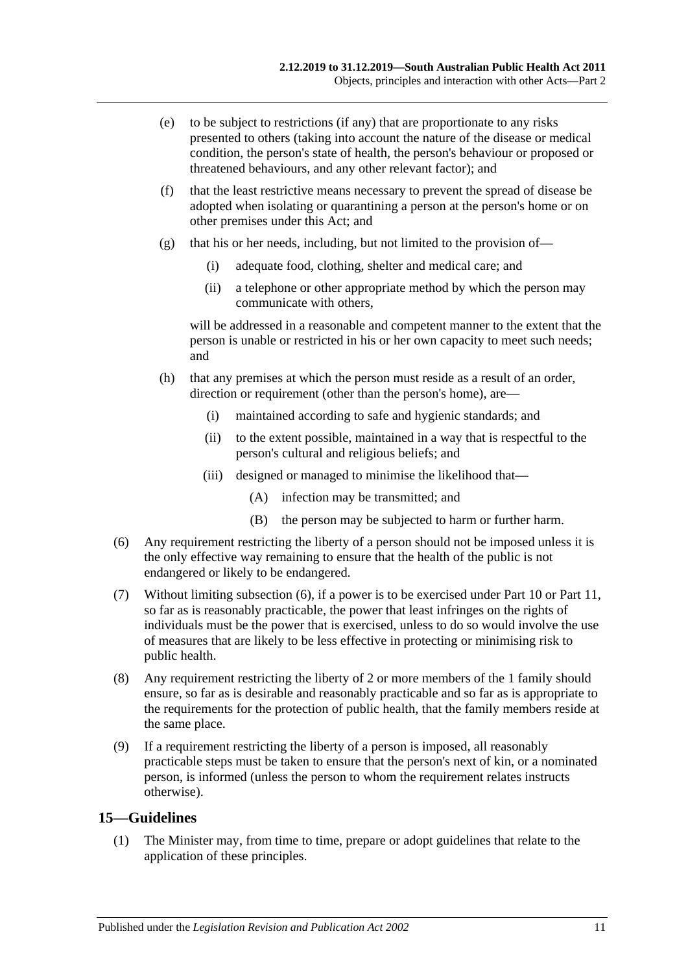- (e) to be subject to restrictions (if any) that are proportionate to any risks presented to others (taking into account the nature of the disease or medical condition, the person's state of health, the person's behaviour or proposed or threatened behaviours, and any other relevant factor); and
- (f) that the least restrictive means necessary to prevent the spread of disease be adopted when isolating or quarantining a person at the person's home or on other premises under this Act; and
- (g) that his or her needs, including, but not limited to the provision of—
	- (i) adequate food, clothing, shelter and medical care; and
	- (ii) a telephone or other appropriate method by which the person may communicate with others,

will be addressed in a reasonable and competent manner to the extent that the person is unable or restricted in his or her own capacity to meet such needs; and

- (h) that any premises at which the person must reside as a result of an order, direction or requirement (other than the person's home), are—
	- (i) maintained according to safe and hygienic standards; and
	- (ii) to the extent possible, maintained in a way that is respectful to the person's cultural and religious beliefs; and
	- (iii) designed or managed to minimise the likelihood that—
		- (A) infection may be transmitted; and
		- (B) the person may be subjected to harm or further harm.
- <span id="page-10-1"></span>(6) Any requirement restricting the liberty of a person should not be imposed unless it is the only effective way remaining to ensure that the health of the public is not endangered or likely to be endangered.
- (7) Without limiting [subsection](#page-10-1) (6), if a power is to be exercised under [Part](#page-41-0) 10 or [Part](#page-53-1) 11, so far as is reasonably practicable, the power that least infringes on the rights of individuals must be the power that is exercised, unless to do so would involve the use of measures that are likely to be less effective in protecting or minimising risk to public health.
- (8) Any requirement restricting the liberty of 2 or more members of the 1 family should ensure, so far as is desirable and reasonably practicable and so far as is appropriate to the requirements for the protection of public health, that the family members reside at the same place.
- (9) If a requirement restricting the liberty of a person is imposed, all reasonably practicable steps must be taken to ensure that the person's next of kin, or a nominated person, is informed (unless the person to whom the requirement relates instructs otherwise).

#### <span id="page-10-2"></span><span id="page-10-0"></span>**15—Guidelines**

(1) The Minister may, from time to time, prepare or adopt guidelines that relate to the application of these principles.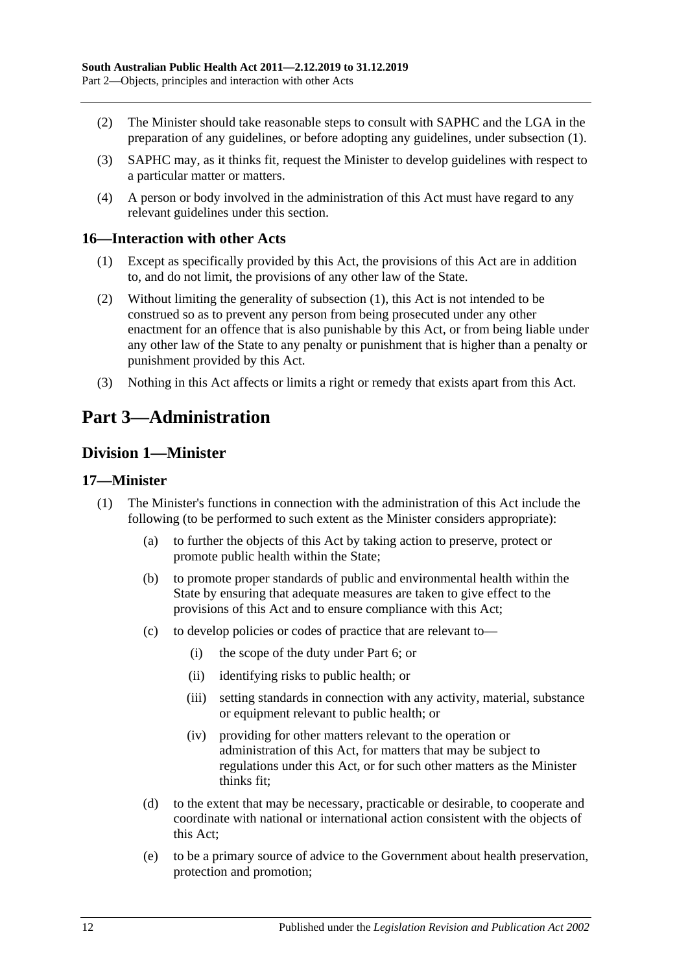- (2) The Minister should take reasonable steps to consult with SAPHC and the LGA in the preparation of any guidelines, or before adopting any guidelines, under [subsection](#page-10-2) (1).
- (3) SAPHC may, as it thinks fit, request the Minister to develop guidelines with respect to a particular matter or matters.
- (4) A person or body involved in the administration of this Act must have regard to any relevant guidelines under this section.

#### <span id="page-11-4"></span><span id="page-11-0"></span>**16—Interaction with other Acts**

- (1) Except as specifically provided by this Act, the provisions of this Act are in addition to, and do not limit, the provisions of any other law of the State.
- (2) Without limiting the generality of [subsection](#page-11-4) (1), this Act is not intended to be construed so as to prevent any person from being prosecuted under any other enactment for an offence that is also punishable by this Act, or from being liable under any other law of the State to any penalty or punishment that is higher than a penalty or punishment provided by this Act.
- (3) Nothing in this Act affects or limits a right or remedy that exists apart from this Act.

# <span id="page-11-1"></span>**Part 3—Administration**

### <span id="page-11-2"></span>**Division 1—Minister**

#### <span id="page-11-3"></span>**17—Minister**

- (1) The Minister's functions in connection with the administration of this Act include the following (to be performed to such extent as the Minister considers appropriate):
	- (a) to further the objects of this Act by taking action to preserve, protect or promote public health within the State;
	- (b) to promote proper standards of public and environmental health within the State by ensuring that adequate measures are taken to give effect to the provisions of this Act and to ensure compliance with this Act;
	- (c) to develop policies or codes of practice that are relevant to—
		- (i) the scope of the duty under [Part](#page-32-1) 6; or
		- (ii) identifying risks to public health; or
		- (iii) setting standards in connection with any activity, material, substance or equipment relevant to public health; or
		- (iv) providing for other matters relevant to the operation or administration of this Act, for matters that may be subject to regulations under this Act, or for such other matters as the Minister thinks fit;
	- (d) to the extent that may be necessary, practicable or desirable, to cooperate and coordinate with national or international action consistent with the objects of this Act;
	- (e) to be a primary source of advice to the Government about health preservation, protection and promotion;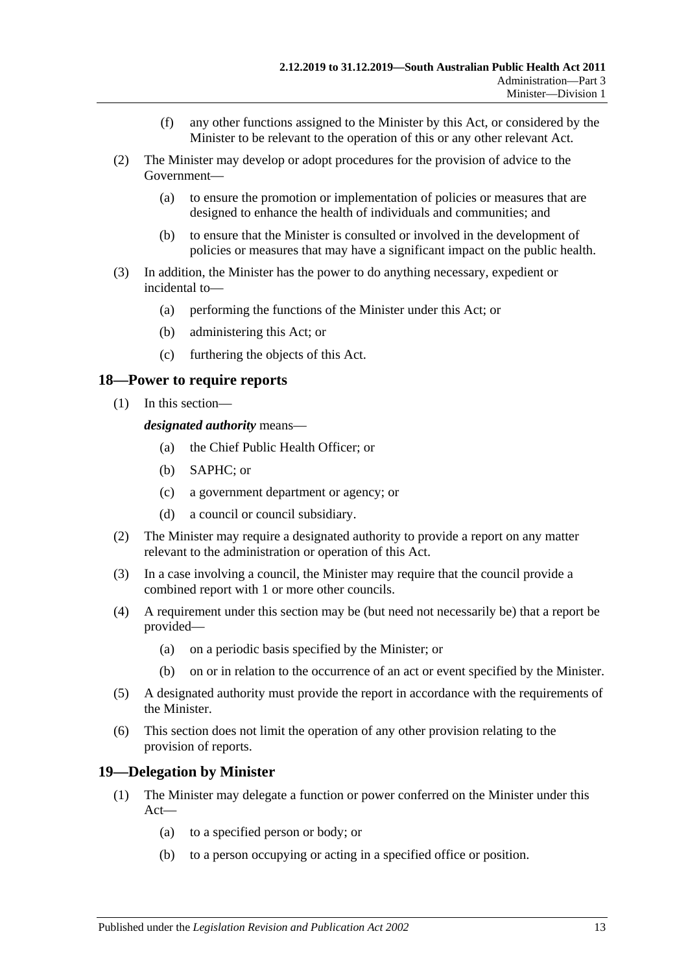- (f) any other functions assigned to the Minister by this Act, or considered by the Minister to be relevant to the operation of this or any other relevant Act.
- (2) The Minister may develop or adopt procedures for the provision of advice to the Government—
	- (a) to ensure the promotion or implementation of policies or measures that are designed to enhance the health of individuals and communities; and
	- (b) to ensure that the Minister is consulted or involved in the development of policies or measures that may have a significant impact on the public health.
- (3) In addition, the Minister has the power to do anything necessary, expedient or incidental to—
	- (a) performing the functions of the Minister under this Act; or
	- (b) administering this Act; or
	- (c) furthering the objects of this Act.

#### <span id="page-12-0"></span>**18—Power to require reports**

(1) In this section—

*designated authority* means—

- (a) the Chief Public Health Officer; or
- (b) SAPHC; or
- (c) a government department or agency; or
- (d) a council or council subsidiary.
- (2) The Minister may require a designated authority to provide a report on any matter relevant to the administration or operation of this Act.
- (3) In a case involving a council, the Minister may require that the council provide a combined report with 1 or more other councils.
- (4) A requirement under this section may be (but need not necessarily be) that a report be provided—
	- (a) on a periodic basis specified by the Minister; or
	- (b) on or in relation to the occurrence of an act or event specified by the Minister.
- (5) A designated authority must provide the report in accordance with the requirements of the Minister.
- (6) This section does not limit the operation of any other provision relating to the provision of reports.

#### <span id="page-12-1"></span>**19—Delegation by Minister**

- (1) The Minister may delegate a function or power conferred on the Minister under this Act—
	- (a) to a specified person or body; or
	- (b) to a person occupying or acting in a specified office or position.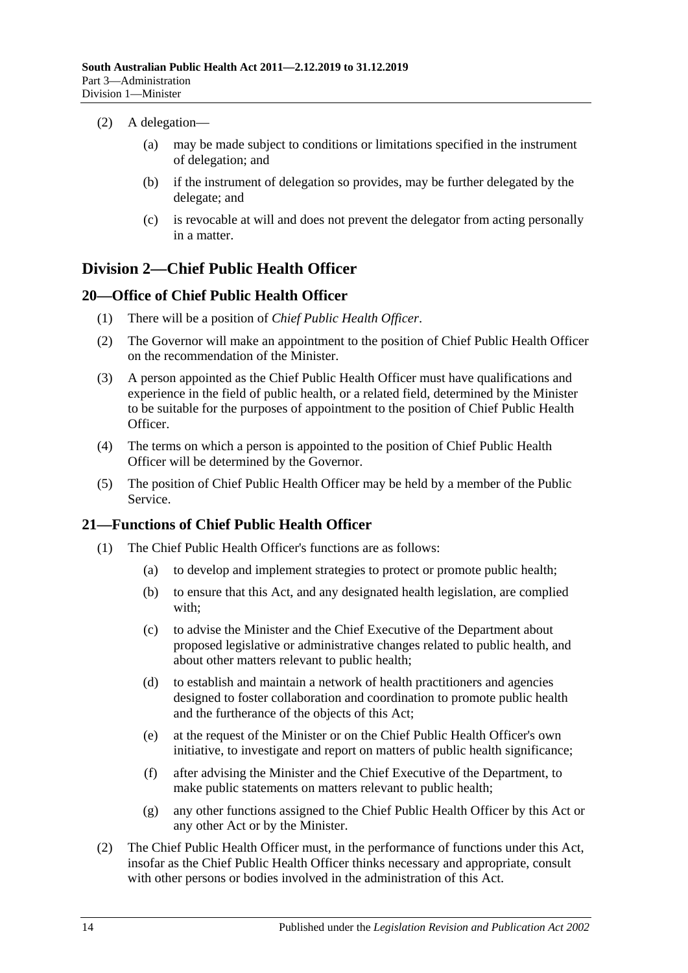- (2) A delegation—
	- (a) may be made subject to conditions or limitations specified in the instrument of delegation; and
	- (b) if the instrument of delegation so provides, may be further delegated by the delegate; and
	- (c) is revocable at will and does not prevent the delegator from acting personally in a matter.

### <span id="page-13-0"></span>**Division 2—Chief Public Health Officer**

#### <span id="page-13-1"></span>**20—Office of Chief Public Health Officer**

- (1) There will be a position of *Chief Public Health Officer*.
- (2) The Governor will make an appointment to the position of Chief Public Health Officer on the recommendation of the Minister.
- (3) A person appointed as the Chief Public Health Officer must have qualifications and experience in the field of public health, or a related field, determined by the Minister to be suitable for the purposes of appointment to the position of Chief Public Health Officer.
- (4) The terms on which a person is appointed to the position of Chief Public Health Officer will be determined by the Governor.
- (5) The position of Chief Public Health Officer may be held by a member of the Public Service.

#### <span id="page-13-3"></span><span id="page-13-2"></span>**21—Functions of Chief Public Health Officer**

- (1) The Chief Public Health Officer's functions are as follows:
	- (a) to develop and implement strategies to protect or promote public health;
	- (b) to ensure that this Act, and any designated health legislation, are complied with;
	- (c) to advise the Minister and the Chief Executive of the Department about proposed legislative or administrative changes related to public health, and about other matters relevant to public health;
	- (d) to establish and maintain a network of health practitioners and agencies designed to foster collaboration and coordination to promote public health and the furtherance of the objects of this Act;
	- (e) at the request of the Minister or on the Chief Public Health Officer's own initiative, to investigate and report on matters of public health significance;
	- (f) after advising the Minister and the Chief Executive of the Department, to make public statements on matters relevant to public health;
	- (g) any other functions assigned to the Chief Public Health Officer by this Act or any other Act or by the Minister.
- (2) The Chief Public Health Officer must, in the performance of functions under this Act, insofar as the Chief Public Health Officer thinks necessary and appropriate, consult with other persons or bodies involved in the administration of this Act.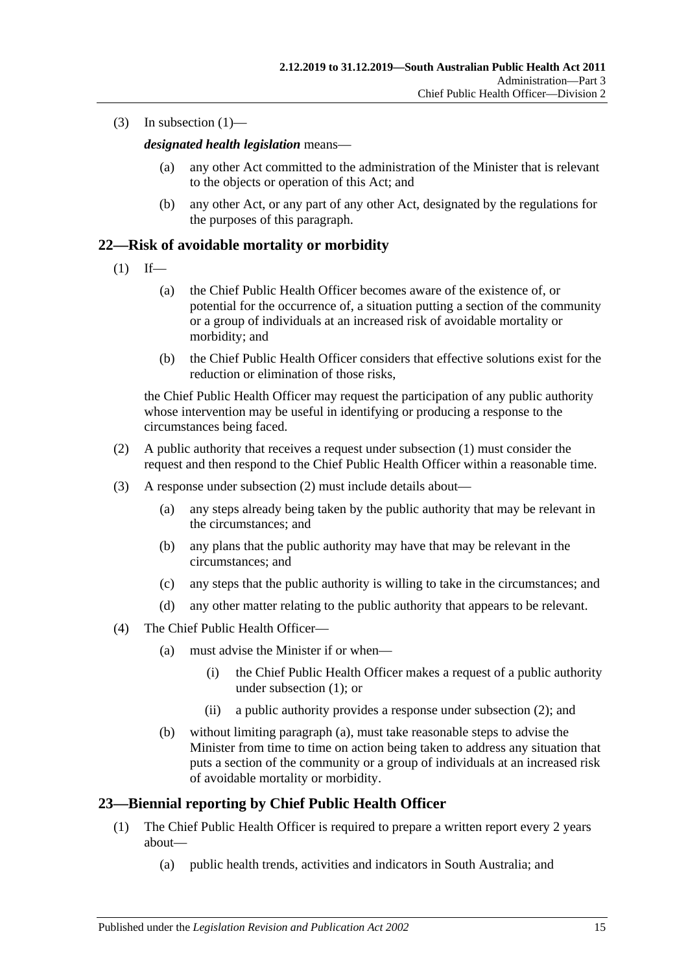(3) In [subsection](#page-13-3)  $(1)$ —

*designated health legislation* means—

- (a) any other Act committed to the administration of the Minister that is relevant to the objects or operation of this Act; and
- (b) any other Act, or any part of any other Act, designated by the regulations for the purposes of this paragraph.

#### <span id="page-14-2"></span><span id="page-14-0"></span>**22—Risk of avoidable mortality or morbidity**

- $(1)$  If—
	- (a) the Chief Public Health Officer becomes aware of the existence of, or potential for the occurrence of, a situation putting a section of the community or a group of individuals at an increased risk of avoidable mortality or morbidity; and
	- (b) the Chief Public Health Officer considers that effective solutions exist for the reduction or elimination of those risks,

the Chief Public Health Officer may request the participation of any public authority whose intervention may be useful in identifying or producing a response to the circumstances being faced.

- <span id="page-14-3"></span>(2) A public authority that receives a request under [subsection](#page-14-2) (1) must consider the request and then respond to the Chief Public Health Officer within a reasonable time.
- (3) A response under [subsection](#page-14-3) (2) must include details about—
	- (a) any steps already being taken by the public authority that may be relevant in the circumstances; and
	- (b) any plans that the public authority may have that may be relevant in the circumstances; and
	- (c) any steps that the public authority is willing to take in the circumstances; and
	- (d) any other matter relating to the public authority that appears to be relevant.
- <span id="page-14-4"></span>(4) The Chief Public Health Officer—
	- (a) must advise the Minister if or when—
		- (i) the Chief Public Health Officer makes a request of a public authority under [subsection](#page-14-2) (1); or
		- (ii) a public authority provides a response under [subsection](#page-14-3) (2); and
	- (b) without limiting [paragraph](#page-14-4) (a), must take reasonable steps to advise the Minister from time to time on action being taken to address any situation that puts a section of the community or a group of individuals at an increased risk of avoidable mortality or morbidity.

#### <span id="page-14-1"></span>**23—Biennial reporting by Chief Public Health Officer**

- (1) The Chief Public Health Officer is required to prepare a written report every 2 years about—
	- (a) public health trends, activities and indicators in South Australia; and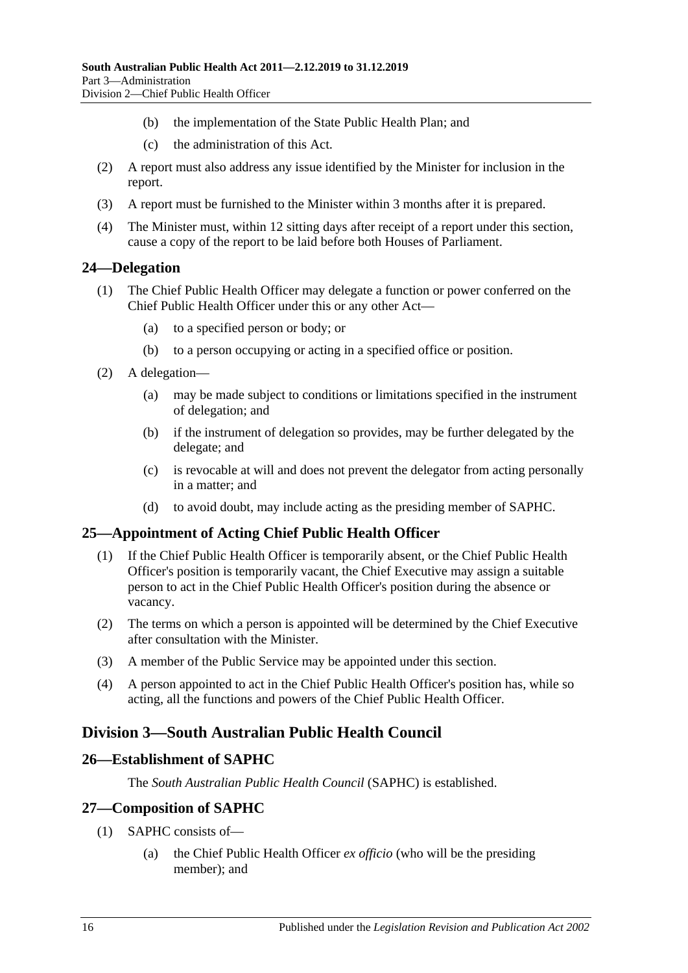- (b) the implementation of the State Public Health Plan; and
- (c) the administration of this Act.
- (2) A report must also address any issue identified by the Minister for inclusion in the report.
- (3) A report must be furnished to the Minister within 3 months after it is prepared.
- (4) The Minister must, within 12 sitting days after receipt of a report under this section, cause a copy of the report to be laid before both Houses of Parliament.

#### <span id="page-15-0"></span>**24—Delegation**

- (1) The Chief Public Health Officer may delegate a function or power conferred on the Chief Public Health Officer under this or any other Act—
	- (a) to a specified person or body; or
	- (b) to a person occupying or acting in a specified office or position.
- (2) A delegation—
	- (a) may be made subject to conditions or limitations specified in the instrument of delegation; and
	- (b) if the instrument of delegation so provides, may be further delegated by the delegate; and
	- (c) is revocable at will and does not prevent the delegator from acting personally in a matter; and
	- (d) to avoid doubt, may include acting as the presiding member of SAPHC.

#### <span id="page-15-1"></span>**25—Appointment of Acting Chief Public Health Officer**

- (1) If the Chief Public Health Officer is temporarily absent, or the Chief Public Health Officer's position is temporarily vacant, the Chief Executive may assign a suitable person to act in the Chief Public Health Officer's position during the absence or vacancy.
- (2) The terms on which a person is appointed will be determined by the Chief Executive after consultation with the Minister.
- (3) A member of the Public Service may be appointed under this section.
- (4) A person appointed to act in the Chief Public Health Officer's position has, while so acting, all the functions and powers of the Chief Public Health Officer.

### <span id="page-15-2"></span>**Division 3—South Australian Public Health Council**

#### <span id="page-15-3"></span>**26—Establishment of SAPHC**

The *South Australian Public Health Council* (SAPHC) is established.

#### <span id="page-15-4"></span>**27—Composition of SAPHC**

- (1) SAPHC consists of—
	- (a) the Chief Public Health Officer *ex officio* (who will be the presiding member); and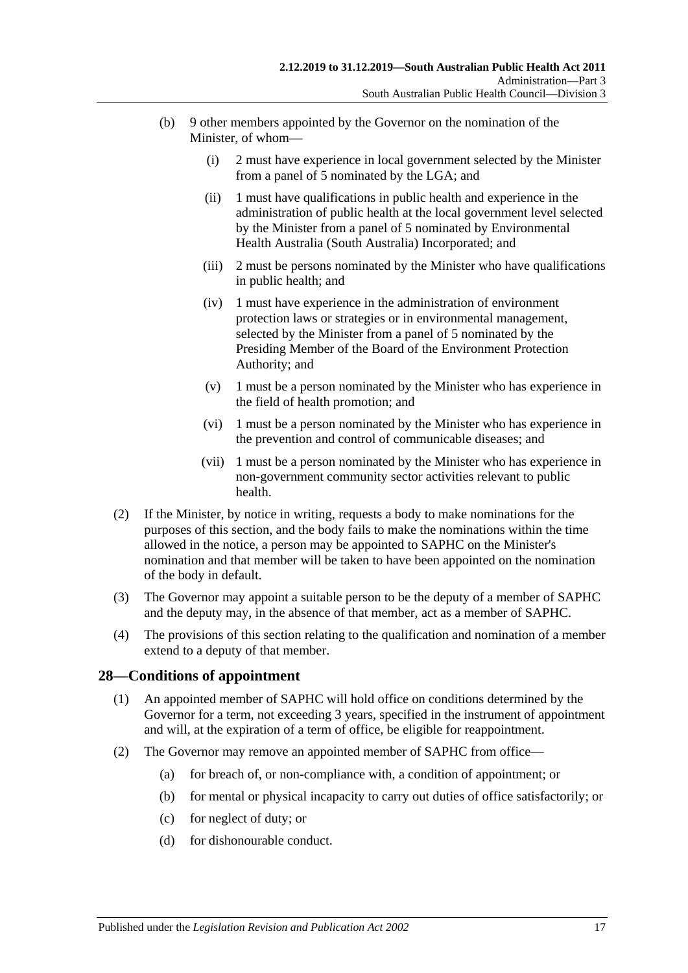- (b) 9 other members appointed by the Governor on the nomination of the Minister, of whom—
	- (i) 2 must have experience in local government selected by the Minister from a panel of 5 nominated by the LGA; and
	- (ii) 1 must have qualifications in public health and experience in the administration of public health at the local government level selected by the Minister from a panel of 5 nominated by Environmental Health Australia (South Australia) Incorporated; and
	- (iii) 2 must be persons nominated by the Minister who have qualifications in public health; and
	- (iv) 1 must have experience in the administration of environment protection laws or strategies or in environmental management, selected by the Minister from a panel of 5 nominated by the Presiding Member of the Board of the Environment Protection Authority; and
	- (v) 1 must be a person nominated by the Minister who has experience in the field of health promotion; and
	- (vi) 1 must be a person nominated by the Minister who has experience in the prevention and control of communicable diseases; and
	- (vii) 1 must be a person nominated by the Minister who has experience in non-government community sector activities relevant to public health.
- (2) If the Minister, by notice in writing, requests a body to make nominations for the purposes of this section, and the body fails to make the nominations within the time allowed in the notice, a person may be appointed to SAPHC on the Minister's nomination and that member will be taken to have been appointed on the nomination of the body in default.
- (3) The Governor may appoint a suitable person to be the deputy of a member of SAPHC and the deputy may, in the absence of that member, act as a member of SAPHC.
- (4) The provisions of this section relating to the qualification and nomination of a member extend to a deputy of that member.

#### <span id="page-16-0"></span>**28—Conditions of appointment**

- (1) An appointed member of SAPHC will hold office on conditions determined by the Governor for a term, not exceeding 3 years, specified in the instrument of appointment and will, at the expiration of a term of office, be eligible for reappointment.
- <span id="page-16-1"></span>(2) The Governor may remove an appointed member of SAPHC from office—
	- (a) for breach of, or non-compliance with, a condition of appointment; or
	- (b) for mental or physical incapacity to carry out duties of office satisfactorily; or
	- (c) for neglect of duty; or
	- (d) for dishonourable conduct.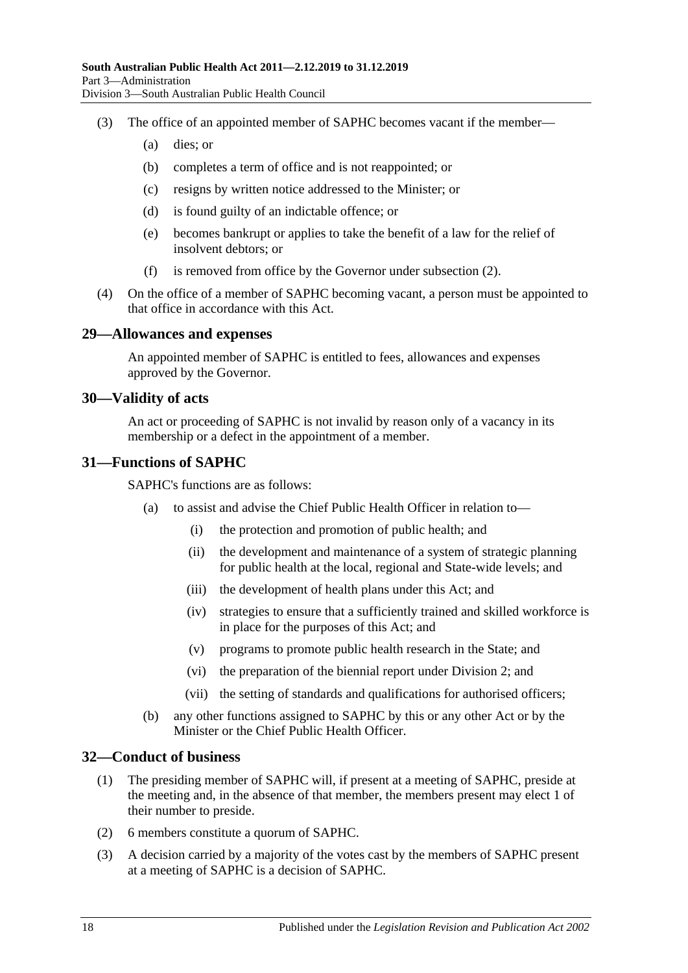- (3) The office of an appointed member of SAPHC becomes vacant if the member—
	- (a) dies; or
	- (b) completes a term of office and is not reappointed; or
	- (c) resigns by written notice addressed to the Minister; or
	- (d) is found guilty of an indictable offence; or
	- (e) becomes bankrupt or applies to take the benefit of a law for the relief of insolvent debtors; or
	- (f) is removed from office by the Governor under [subsection](#page-16-1) (2).
- (4) On the office of a member of SAPHC becoming vacant, a person must be appointed to that office in accordance with this Act.

#### <span id="page-17-0"></span>**29—Allowances and expenses**

An appointed member of SAPHC is entitled to fees, allowances and expenses approved by the Governor.

#### <span id="page-17-1"></span>**30—Validity of acts**

An act or proceeding of SAPHC is not invalid by reason only of a vacancy in its membership or a defect in the appointment of a member.

#### <span id="page-17-2"></span>**31—Functions of SAPHC**

SAPHC's functions are as follows:

- (a) to assist and advise the Chief Public Health Officer in relation to—
	- (i) the protection and promotion of public health; and
	- (ii) the development and maintenance of a system of strategic planning for public health at the local, regional and State-wide levels; and
	- (iii) the development of health plans under this Act; and
	- (iv) strategies to ensure that a sufficiently trained and skilled workforce is in place for the purposes of this Act; and
	- (v) programs to promote public health research in the State; and
	- (vi) the preparation of the biennial report under [Division](#page-13-0) 2; and
	- (vii) the setting of standards and qualifications for authorised officers;
- (b) any other functions assigned to SAPHC by this or any other Act or by the Minister or the Chief Public Health Officer.

#### <span id="page-17-3"></span>**32—Conduct of business**

- (1) The presiding member of SAPHC will, if present at a meeting of SAPHC, preside at the meeting and, in the absence of that member, the members present may elect 1 of their number to preside.
- (2) 6 members constitute a quorum of SAPHC.
- (3) A decision carried by a majority of the votes cast by the members of SAPHC present at a meeting of SAPHC is a decision of SAPHC.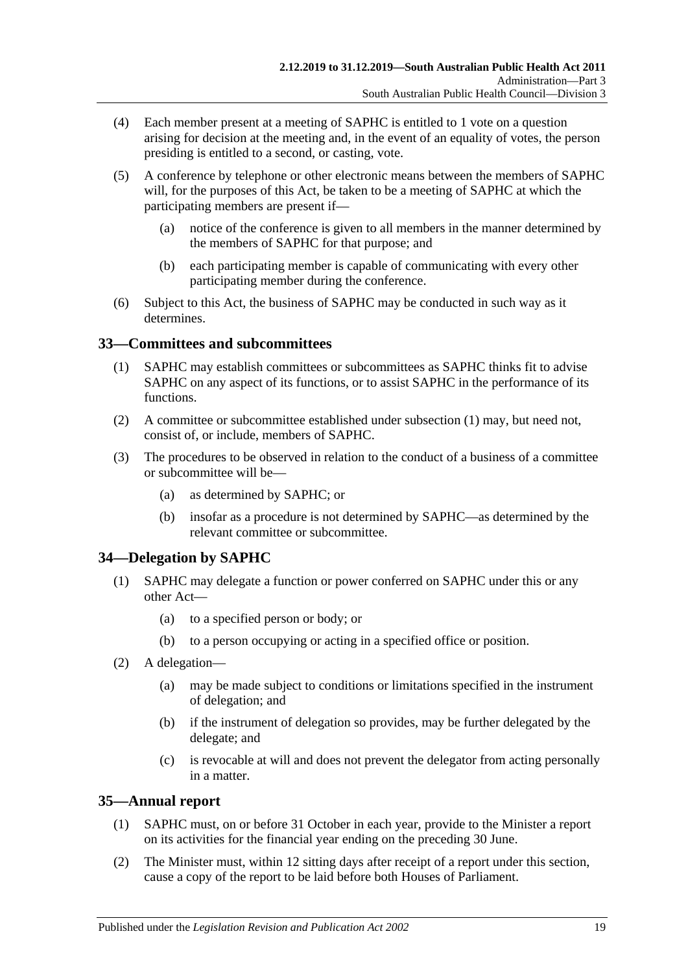- (4) Each member present at a meeting of SAPHC is entitled to 1 vote on a question arising for decision at the meeting and, in the event of an equality of votes, the person presiding is entitled to a second, or casting, vote.
- (5) A conference by telephone or other electronic means between the members of SAPHC will, for the purposes of this Act, be taken to be a meeting of SAPHC at which the participating members are present if—
	- (a) notice of the conference is given to all members in the manner determined by the members of SAPHC for that purpose; and
	- (b) each participating member is capable of communicating with every other participating member during the conference.
- (6) Subject to this Act, the business of SAPHC may be conducted in such way as it determines.

### <span id="page-18-3"></span><span id="page-18-0"></span>**33—Committees and subcommittees**

- (1) SAPHC may establish committees or subcommittees as SAPHC thinks fit to advise SAPHC on any aspect of its functions, or to assist SAPHC in the performance of its functions.
- (2) A committee or subcommittee established under [subsection](#page-18-3) (1) may, but need not, consist of, or include, members of SAPHC.
- (3) The procedures to be observed in relation to the conduct of a business of a committee or subcommittee will be—
	- (a) as determined by SAPHC; or
	- (b) insofar as a procedure is not determined by SAPHC—as determined by the relevant committee or subcommittee.

### <span id="page-18-1"></span>**34—Delegation by SAPHC**

- (1) SAPHC may delegate a function or power conferred on SAPHC under this or any other Act—
	- (a) to a specified person or body; or
	- (b) to a person occupying or acting in a specified office or position.
- (2) A delegation—
	- (a) may be made subject to conditions or limitations specified in the instrument of delegation; and
	- (b) if the instrument of delegation so provides, may be further delegated by the delegate; and
	- (c) is revocable at will and does not prevent the delegator from acting personally in a matter.

### <span id="page-18-2"></span>**35—Annual report**

- (1) SAPHC must, on or before 31 October in each year, provide to the Minister a report on its activities for the financial year ending on the preceding 30 June.
- (2) The Minister must, within 12 sitting days after receipt of a report under this section, cause a copy of the report to be laid before both Houses of Parliament.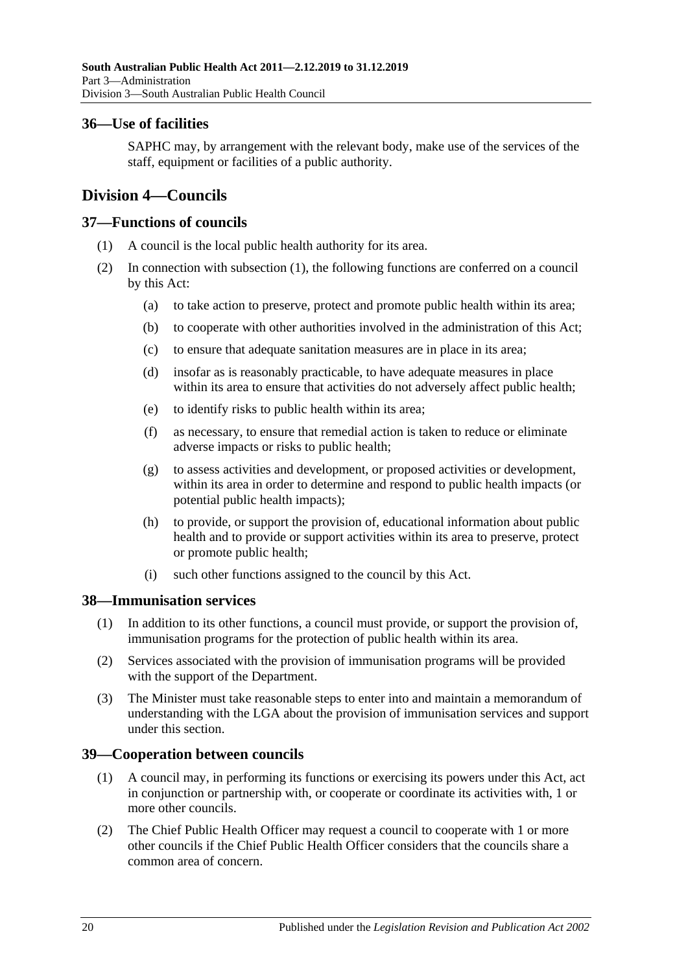#### <span id="page-19-0"></span>**36—Use of facilities**

SAPHC may, by arrangement with the relevant body, make use of the services of the staff, equipment or facilities of a public authority.

### <span id="page-19-1"></span>**Division 4—Councils**

#### <span id="page-19-5"></span><span id="page-19-2"></span>**37—Functions of councils**

- (1) A council is the local public health authority for its area.
- (2) In connection with [subsection](#page-19-5) (1), the following functions are conferred on a council by this Act:
	- (a) to take action to preserve, protect and promote public health within its area;
	- (b) to cooperate with other authorities involved in the administration of this Act;
	- (c) to ensure that adequate sanitation measures are in place in its area;
	- (d) insofar as is reasonably practicable, to have adequate measures in place within its area to ensure that activities do not adversely affect public health;
	- (e) to identify risks to public health within its area;
	- (f) as necessary, to ensure that remedial action is taken to reduce or eliminate adverse impacts or risks to public health;
	- (g) to assess activities and development, or proposed activities or development, within its area in order to determine and respond to public health impacts (or potential public health impacts);
	- (h) to provide, or support the provision of, educational information about public health and to provide or support activities within its area to preserve, protect or promote public health;
	- (i) such other functions assigned to the council by this Act.

#### <span id="page-19-3"></span>**38—Immunisation services**

- (1) In addition to its other functions, a council must provide, or support the provision of, immunisation programs for the protection of public health within its area.
- (2) Services associated with the provision of immunisation programs will be provided with the support of the Department.
- (3) The Minister must take reasonable steps to enter into and maintain a memorandum of understanding with the LGA about the provision of immunisation services and support under this section.

### <span id="page-19-4"></span>**39—Cooperation between councils**

- (1) A council may, in performing its functions or exercising its powers under this Act, act in conjunction or partnership with, or cooperate or coordinate its activities with, 1 or more other councils.
- <span id="page-19-6"></span>(2) The Chief Public Health Officer may request a council to cooperate with 1 or more other councils if the Chief Public Health Officer considers that the councils share a common area of concern.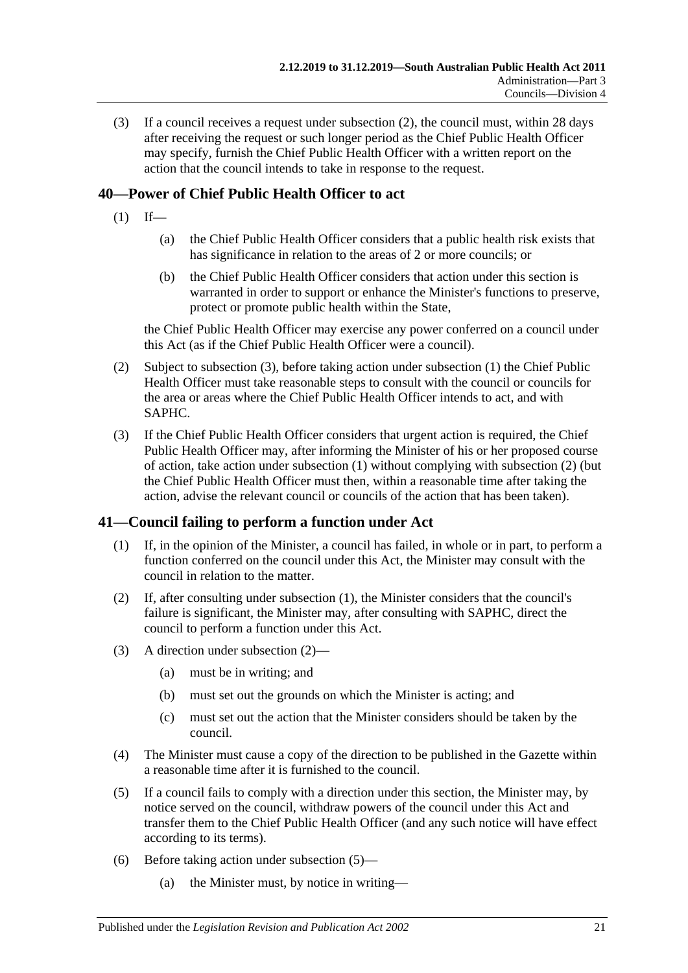(3) If a council receives a request under [subsection](#page-19-6) (2), the council must, within 28 days after receiving the request or such longer period as the Chief Public Health Officer may specify, furnish the Chief Public Health Officer with a written report on the action that the council intends to take in response to the request.

### <span id="page-20-3"></span><span id="page-20-0"></span>**40—Power of Chief Public Health Officer to act**

- $(1)$  If—
	- (a) the Chief Public Health Officer considers that a public health risk exists that has significance in relation to the areas of 2 or more councils; or
	- (b) the Chief Public Health Officer considers that action under this section is warranted in order to support or enhance the Minister's functions to preserve, protect or promote public health within the State,

the Chief Public Health Officer may exercise any power conferred on a council under this Act (as if the Chief Public Health Officer were a council).

- <span id="page-20-4"></span>(2) Subject to [subsection](#page-20-2) (3), before taking action under [subsection](#page-20-3) (1) the Chief Public Health Officer must take reasonable steps to consult with the council or councils for the area or areas where the Chief Public Health Officer intends to act, and with SAPHC.
- <span id="page-20-2"></span>(3) If the Chief Public Health Officer considers that urgent action is required, the Chief Public Health Officer may, after informing the Minister of his or her proposed course of action, take action under [subsection](#page-20-3) (1) without complying with [subsection](#page-20-4) (2) (but the Chief Public Health Officer must then, within a reasonable time after taking the action, advise the relevant council or councils of the action that has been taken).

### <span id="page-20-5"></span><span id="page-20-1"></span>**41—Council failing to perform a function under Act**

- (1) If, in the opinion of the Minister, a council has failed, in whole or in part, to perform a function conferred on the council under this Act, the Minister may consult with the council in relation to the matter.
- <span id="page-20-6"></span>(2) If, after consulting under [subsection](#page-20-5) (1), the Minister considers that the council's failure is significant, the Minister may, after consulting with SAPHC, direct the council to perform a function under this Act.
- (3) A direction under [subsection](#page-20-6) (2)—
	- (a) must be in writing; and
	- (b) must set out the grounds on which the Minister is acting; and
	- (c) must set out the action that the Minister considers should be taken by the council.
- (4) The Minister must cause a copy of the direction to be published in the Gazette within a reasonable time after it is furnished to the council.
- <span id="page-20-7"></span>(5) If a council fails to comply with a direction under this section, the Minister may, by notice served on the council, withdraw powers of the council under this Act and transfer them to the Chief Public Health Officer (and any such notice will have effect according to its terms).
- (6) Before taking action under [subsection](#page-20-7) (5)—
	- (a) the Minister must, by notice in writing—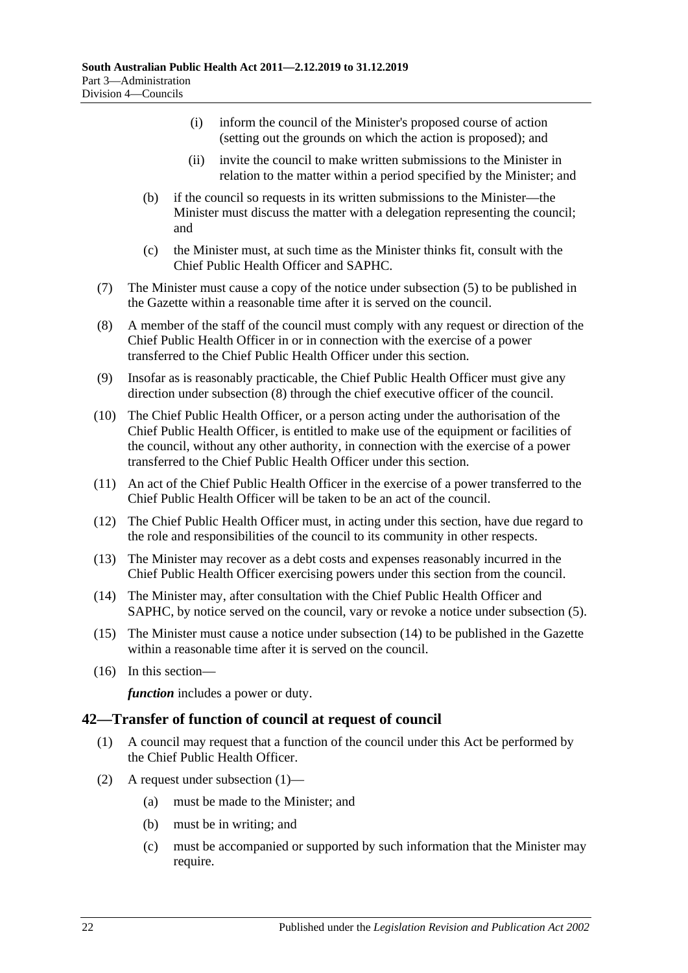- (i) inform the council of the Minister's proposed course of action (setting out the grounds on which the action is proposed); and
- (ii) invite the council to make written submissions to the Minister in relation to the matter within a period specified by the Minister; and
- (b) if the council so requests in its written submissions to the Minister—the Minister must discuss the matter with a delegation representing the council; and
- (c) the Minister must, at such time as the Minister thinks fit, consult with the Chief Public Health Officer and SAPHC.
- (7) The Minister must cause a copy of the notice under [subsection](#page-20-7) (5) to be published in the Gazette within a reasonable time after it is served on the council.
- <span id="page-21-1"></span>(8) A member of the staff of the council must comply with any request or direction of the Chief Public Health Officer in or in connection with the exercise of a power transferred to the Chief Public Health Officer under this section.
- (9) Insofar as is reasonably practicable, the Chief Public Health Officer must give any direction under [subsection](#page-21-1) (8) through the chief executive officer of the council.
- (10) The Chief Public Health Officer, or a person acting under the authorisation of the Chief Public Health Officer, is entitled to make use of the equipment or facilities of the council, without any other authority, in connection with the exercise of a power transferred to the Chief Public Health Officer under this section.
- (11) An act of the Chief Public Health Officer in the exercise of a power transferred to the Chief Public Health Officer will be taken to be an act of the council.
- (12) The Chief Public Health Officer must, in acting under this section, have due regard to the role and responsibilities of the council to its community in other respects.
- (13) The Minister may recover as a debt costs and expenses reasonably incurred in the Chief Public Health Officer exercising powers under this section from the council.
- <span id="page-21-2"></span>(14) The Minister may, after consultation with the Chief Public Health Officer and SAPHC, by notice served on the council, vary or revoke a notice under [subsection](#page-20-7) (5).
- (15) The Minister must cause a notice under [subsection](#page-21-2) (14) to be published in the Gazette within a reasonable time after it is served on the council.
- (16) In this section—

*function* includes a power or duty.

#### <span id="page-21-3"></span><span id="page-21-0"></span>**42—Transfer of function of council at request of council**

- (1) A council may request that a function of the council under this Act be performed by the Chief Public Health Officer.
- (2) A request under [subsection](#page-21-3) (1)—
	- (a) must be made to the Minister; and
	- (b) must be in writing; and
	- (c) must be accompanied or supported by such information that the Minister may require.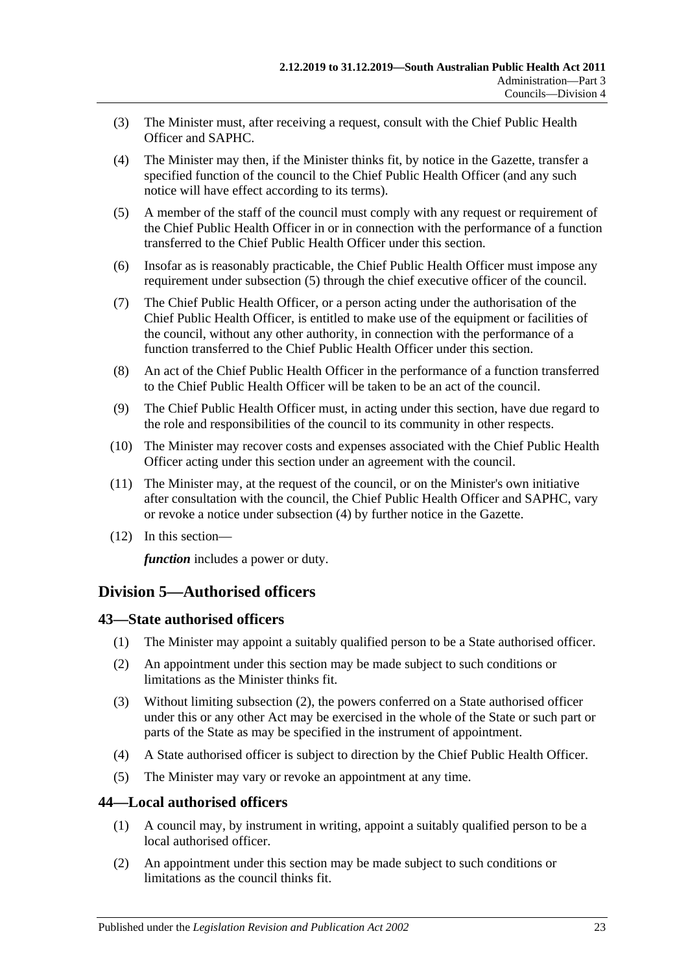- (3) The Minister must, after receiving a request, consult with the Chief Public Health Officer and SAPHC.
- <span id="page-22-4"></span>(4) The Minister may then, if the Minister thinks fit, by notice in the Gazette, transfer a specified function of the council to the Chief Public Health Officer (and any such notice will have effect according to its terms).
- <span id="page-22-3"></span>(5) A member of the staff of the council must comply with any request or requirement of the Chief Public Health Officer in or in connection with the performance of a function transferred to the Chief Public Health Officer under this section.
- (6) Insofar as is reasonably practicable, the Chief Public Health Officer must impose any requirement under [subsection](#page-22-3) (5) through the chief executive officer of the council.
- (7) The Chief Public Health Officer, or a person acting under the authorisation of the Chief Public Health Officer, is entitled to make use of the equipment or facilities of the council, without any other authority, in connection with the performance of a function transferred to the Chief Public Health Officer under this section.
- (8) An act of the Chief Public Health Officer in the performance of a function transferred to the Chief Public Health Officer will be taken to be an act of the council.
- (9) The Chief Public Health Officer must, in acting under this section, have due regard to the role and responsibilities of the council to its community in other respects.
- (10) The Minister may recover costs and expenses associated with the Chief Public Health Officer acting under this section under an agreement with the council.
- (11) The Minister may, at the request of the council, or on the Minister's own initiative after consultation with the council, the Chief Public Health Officer and SAPHC, vary or revoke a notice under [subsection](#page-22-4) (4) by further notice in the Gazette.
- (12) In this section—

*function* includes a power or duty.

### <span id="page-22-0"></span>**Division 5—Authorised officers**

#### <span id="page-22-1"></span>**43—State authorised officers**

- (1) The Minister may appoint a suitably qualified person to be a State authorised officer.
- <span id="page-22-5"></span>(2) An appointment under this section may be made subject to such conditions or limitations as the Minister thinks fit.
- (3) Without limiting [subsection](#page-22-5) (2), the powers conferred on a State authorised officer under this or any other Act may be exercised in the whole of the State or such part or parts of the State as may be specified in the instrument of appointment.
- (4) A State authorised officer is subject to direction by the Chief Public Health Officer.
- (5) The Minister may vary or revoke an appointment at any time.

#### <span id="page-22-2"></span>**44—Local authorised officers**

- (1) A council may, by instrument in writing, appoint a suitably qualified person to be a local authorised officer.
- <span id="page-22-6"></span>(2) An appointment under this section may be made subject to such conditions or limitations as the council thinks fit.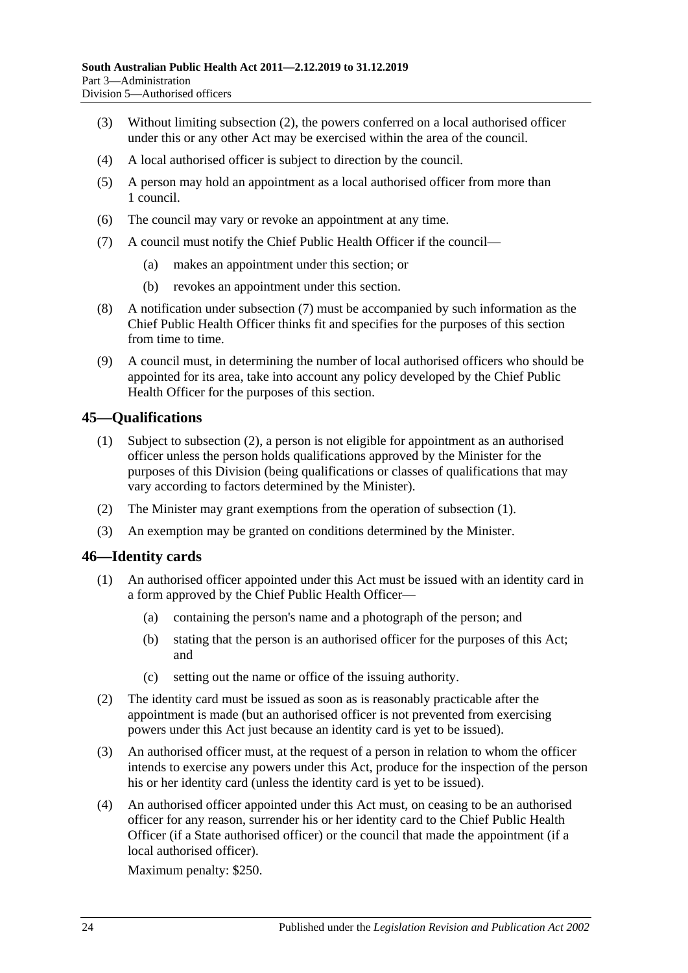- (3) Without limiting [subsection](#page-22-6) (2), the powers conferred on a local authorised officer under this or any other Act may be exercised within the area of the council.
- (4) A local authorised officer is subject to direction by the council.
- (5) A person may hold an appointment as a local authorised officer from more than 1 council.
- (6) The council may vary or revoke an appointment at any time.
- <span id="page-23-2"></span>(7) A council must notify the Chief Public Health Officer if the council—
	- (a) makes an appointment under this section; or
	- (b) revokes an appointment under this section.
- (8) A notification under [subsection](#page-23-2) (7) must be accompanied by such information as the Chief Public Health Officer thinks fit and specifies for the purposes of this section from time to time.
- (9) A council must, in determining the number of local authorised officers who should be appointed for its area, take into account any policy developed by the Chief Public Health Officer for the purposes of this section.

#### <span id="page-23-4"></span><span id="page-23-0"></span>**45—Qualifications**

- (1) Subject to [subsection](#page-23-3) (2), a person is not eligible for appointment as an authorised officer unless the person holds qualifications approved by the Minister for the purposes of this Division (being qualifications or classes of qualifications that may vary according to factors determined by the Minister).
- <span id="page-23-3"></span>(2) The Minister may grant exemptions from the operation of [subsection](#page-23-4) (1).
- (3) An exemption may be granted on conditions determined by the Minister.

#### <span id="page-23-1"></span>**46—Identity cards**

- (1) An authorised officer appointed under this Act must be issued with an identity card in a form approved by the Chief Public Health Officer—
	- (a) containing the person's name and a photograph of the person; and
	- (b) stating that the person is an authorised officer for the purposes of this Act; and
	- (c) setting out the name or office of the issuing authority.
- (2) The identity card must be issued as soon as is reasonably practicable after the appointment is made (but an authorised officer is not prevented from exercising powers under this Act just because an identity card is yet to be issued).
- (3) An authorised officer must, at the request of a person in relation to whom the officer intends to exercise any powers under this Act, produce for the inspection of the person his or her identity card (unless the identity card is yet to be issued).
- (4) An authorised officer appointed under this Act must, on ceasing to be an authorised officer for any reason, surrender his or her identity card to the Chief Public Health Officer (if a State authorised officer) or the council that made the appointment (if a local authorised officer).

Maximum penalty: \$250.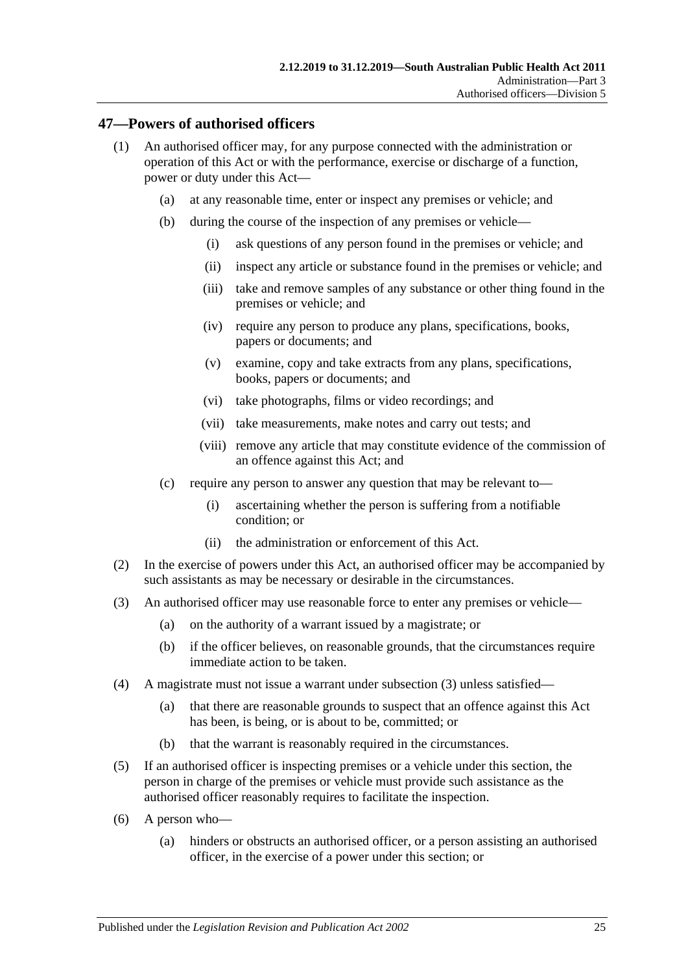#### <span id="page-24-0"></span>**47—Powers of authorised officers**

- (1) An authorised officer may, for any purpose connected with the administration or operation of this Act or with the performance, exercise or discharge of a function, power or duty under this Act—
	- (a) at any reasonable time, enter or inspect any premises or vehicle; and
	- (b) during the course of the inspection of any premises or vehicle—
		- (i) ask questions of any person found in the premises or vehicle; and
		- (ii) inspect any article or substance found in the premises or vehicle; and
		- (iii) take and remove samples of any substance or other thing found in the premises or vehicle; and
		- (iv) require any person to produce any plans, specifications, books, papers or documents; and
		- (v) examine, copy and take extracts from any plans, specifications, books, papers or documents; and
		- (vi) take photographs, films or video recordings; and
		- (vii) take measurements, make notes and carry out tests; and
		- (viii) remove any article that may constitute evidence of the commission of an offence against this Act; and
	- (c) require any person to answer any question that may be relevant to—
		- (i) ascertaining whether the person is suffering from a notifiable condition; or
		- (ii) the administration or enforcement of this Act.
- (2) In the exercise of powers under this Act, an authorised officer may be accompanied by such assistants as may be necessary or desirable in the circumstances.
- <span id="page-24-1"></span>(3) An authorised officer may use reasonable force to enter any premises or vehicle—
	- (a) on the authority of a warrant issued by a magistrate; or
	- (b) if the officer believes, on reasonable grounds, that the circumstances require immediate action to be taken.
- (4) A magistrate must not issue a warrant under [subsection](#page-24-1) (3) unless satisfied—
	- (a) that there are reasonable grounds to suspect that an offence against this Act has been, is being, or is about to be, committed; or
	- (b) that the warrant is reasonably required in the circumstances.
- (5) If an authorised officer is inspecting premises or a vehicle under this section, the person in charge of the premises or vehicle must provide such assistance as the authorised officer reasonably requires to facilitate the inspection.
- (6) A person who—
	- (a) hinders or obstructs an authorised officer, or a person assisting an authorised officer, in the exercise of a power under this section; or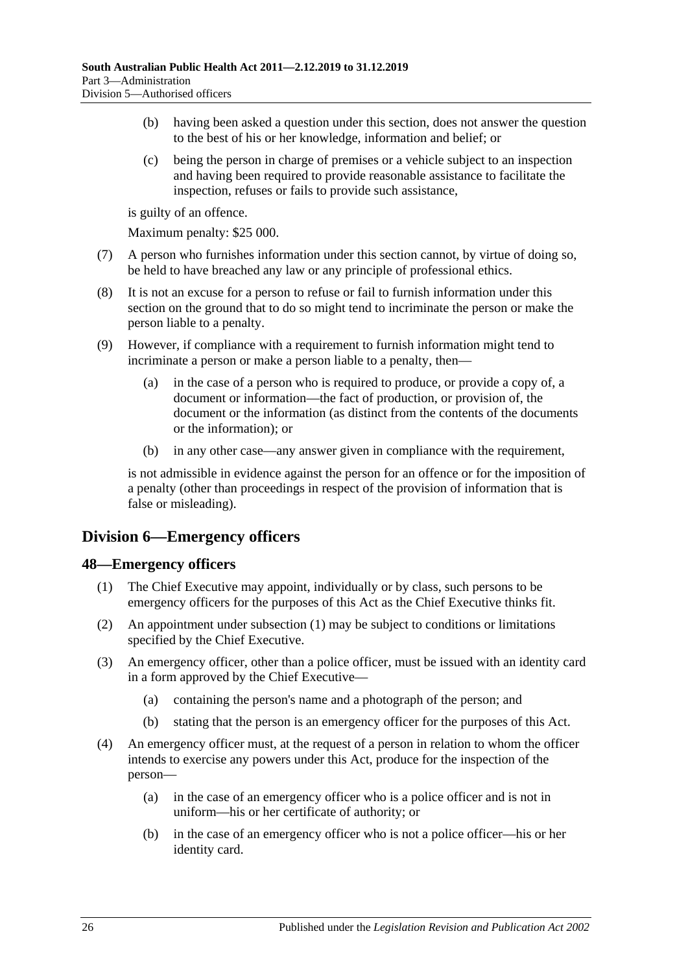- (b) having been asked a question under this section, does not answer the question to the best of his or her knowledge, information and belief; or
- (c) being the person in charge of premises or a vehicle subject to an inspection and having been required to provide reasonable assistance to facilitate the inspection, refuses or fails to provide such assistance,

is guilty of an offence.

Maximum penalty: \$25 000.

- (7) A person who furnishes information under this section cannot, by virtue of doing so, be held to have breached any law or any principle of professional ethics.
- (8) It is not an excuse for a person to refuse or fail to furnish information under this section on the ground that to do so might tend to incriminate the person or make the person liable to a penalty.
- (9) However, if compliance with a requirement to furnish information might tend to incriminate a person or make a person liable to a penalty, then—
	- (a) in the case of a person who is required to produce, or provide a copy of, a document or information—the fact of production, or provision of, the document or the information (as distinct from the contents of the documents or the information); or
	- (b) in any other case—any answer given in compliance with the requirement,

is not admissible in evidence against the person for an offence or for the imposition of a penalty (other than proceedings in respect of the provision of information that is false or misleading).

### <span id="page-25-0"></span>**Division 6—Emergency officers**

#### <span id="page-25-2"></span><span id="page-25-1"></span>**48—Emergency officers**

- (1) The Chief Executive may appoint, individually or by class, such persons to be emergency officers for the purposes of this Act as the Chief Executive thinks fit.
- (2) An appointment under [subsection](#page-25-2) (1) may be subject to conditions or limitations specified by the Chief Executive.
- (3) An emergency officer, other than a police officer, must be issued with an identity card in a form approved by the Chief Executive—
	- (a) containing the person's name and a photograph of the person; and
	- (b) stating that the person is an emergency officer for the purposes of this Act.
- (4) An emergency officer must, at the request of a person in relation to whom the officer intends to exercise any powers under this Act, produce for the inspection of the person—
	- (a) in the case of an emergency officer who is a police officer and is not in uniform—his or her certificate of authority; or
	- (b) in the case of an emergency officer who is not a police officer—his or her identity card.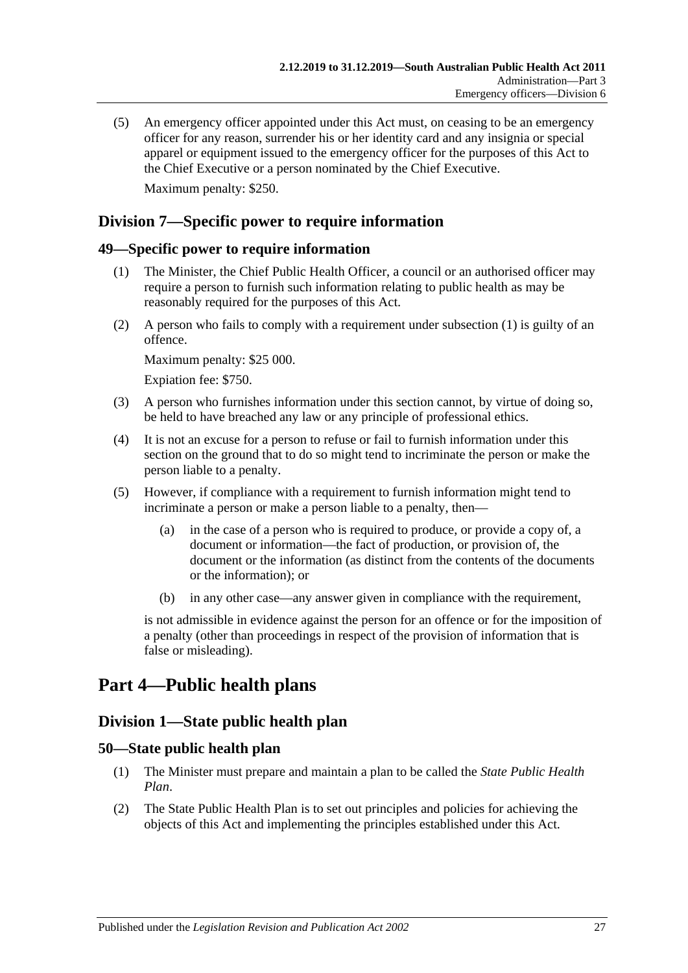(5) An emergency officer appointed under this Act must, on ceasing to be an emergency officer for any reason, surrender his or her identity card and any insignia or special apparel or equipment issued to the emergency officer for the purposes of this Act to the Chief Executive or a person nominated by the Chief Executive. Maximum penalty: \$250.

### <span id="page-26-0"></span>**Division 7—Specific power to require information**

#### <span id="page-26-5"></span><span id="page-26-1"></span>**49—Specific power to require information**

- (1) The Minister, the Chief Public Health Officer, a council or an authorised officer may require a person to furnish such information relating to public health as may be reasonably required for the purposes of this Act.
- (2) A person who fails to comply with a requirement under [subsection](#page-26-5) (1) is guilty of an offence.

Maximum penalty: \$25 000.

Expiation fee: \$750.

- (3) A person who furnishes information under this section cannot, by virtue of doing so, be held to have breached any law or any principle of professional ethics.
- (4) It is not an excuse for a person to refuse or fail to furnish information under this section on the ground that to do so might tend to incriminate the person or make the person liable to a penalty.
- (5) However, if compliance with a requirement to furnish information might tend to incriminate a person or make a person liable to a penalty, then—
	- (a) in the case of a person who is required to produce, or provide a copy of, a document or information—the fact of production, or provision of, the document or the information (as distinct from the contents of the documents or the information); or
	- (b) in any other case—any answer given in compliance with the requirement,

is not admissible in evidence against the person for an offence or for the imposition of a penalty (other than proceedings in respect of the provision of information that is false or misleading).

# <span id="page-26-3"></span><span id="page-26-2"></span>**Part 4—Public health plans**

### **Division 1—State public health plan**

#### <span id="page-26-4"></span>**50—State public health plan**

- (1) The Minister must prepare and maintain a plan to be called the *State Public Health Plan*.
- <span id="page-26-6"></span>(2) The State Public Health Plan is to set out principles and policies for achieving the objects of this Act and implementing the principles established under this Act.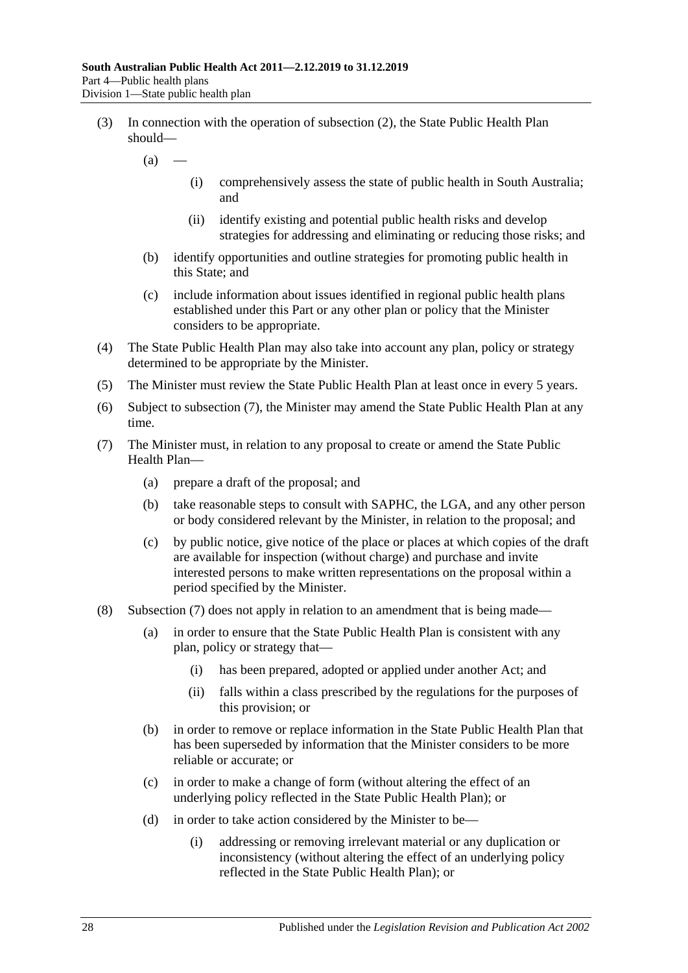- (3) In connection with the operation of [subsection](#page-26-6) (2), the State Public Health Plan should—
	- $(a)$ 
		- (i) comprehensively assess the state of public health in South Australia; and
		- (ii) identify existing and potential public health risks and develop strategies for addressing and eliminating or reducing those risks; and
	- (b) identify opportunities and outline strategies for promoting public health in this State; and
	- (c) include information about issues identified in regional public health plans established under this Part or any other plan or policy that the Minister considers to be appropriate.
- (4) The State Public Health Plan may also take into account any plan, policy or strategy determined to be appropriate by the Minister.
- (5) The Minister must review the State Public Health Plan at least once in every 5 years.
- (6) Subject to [subsection](#page-27-0) (7), the Minister may amend the State Public Health Plan at any time.
- <span id="page-27-0"></span>(7) The Minister must, in relation to any proposal to create or amend the State Public Health Plan—
	- (a) prepare a draft of the proposal; and
	- (b) take reasonable steps to consult with SAPHC, the LGA, and any other person or body considered relevant by the Minister, in relation to the proposal; and
	- (c) by public notice, give notice of the place or places at which copies of the draft are available for inspection (without charge) and purchase and invite interested persons to make written representations on the proposal within a period specified by the Minister.
- (8) [Subsection](#page-27-0) (7) does not apply in relation to an amendment that is being made—
	- (a) in order to ensure that the State Public Health Plan is consistent with any plan, policy or strategy that—
		- (i) has been prepared, adopted or applied under another Act; and
		- (ii) falls within a class prescribed by the regulations for the purposes of this provision; or
	- (b) in order to remove or replace information in the State Public Health Plan that has been superseded by information that the Minister considers to be more reliable or accurate; or
	- (c) in order to make a change of form (without altering the effect of an underlying policy reflected in the State Public Health Plan); or
	- (d) in order to take action considered by the Minister to be—
		- (i) addressing or removing irrelevant material or any duplication or inconsistency (without altering the effect of an underlying policy reflected in the State Public Health Plan); or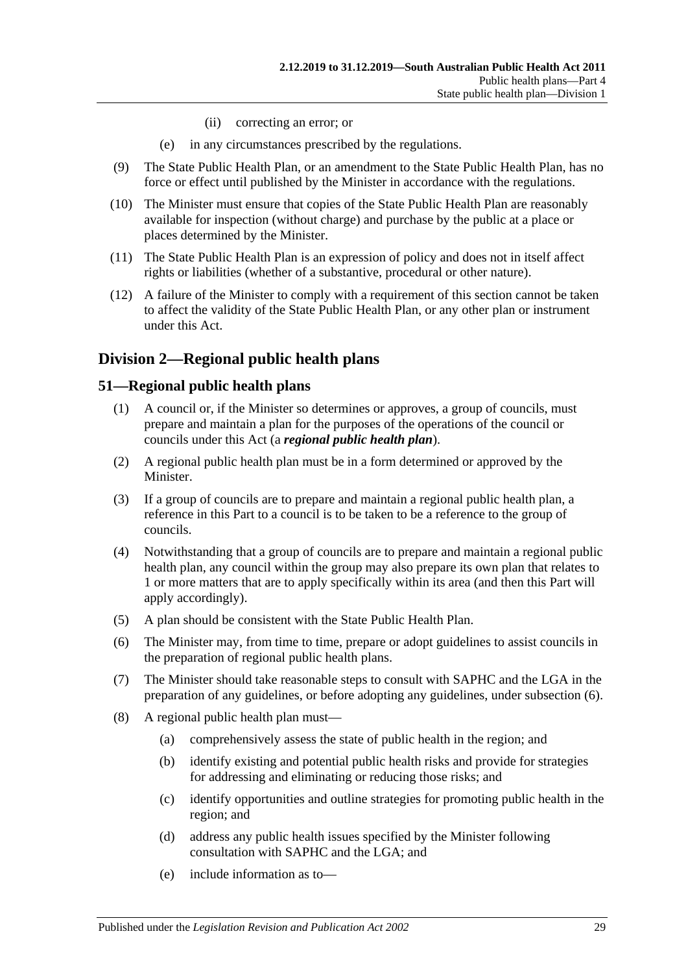- (ii) correcting an error; or
- (e) in any circumstances prescribed by the regulations.
- (9) The State Public Health Plan, or an amendment to the State Public Health Plan, has no force or effect until published by the Minister in accordance with the regulations.
- (10) The Minister must ensure that copies of the State Public Health Plan are reasonably available for inspection (without charge) and purchase by the public at a place or places determined by the Minister.
- (11) The State Public Health Plan is an expression of policy and does not in itself affect rights or liabilities (whether of a substantive, procedural or other nature).
- (12) A failure of the Minister to comply with a requirement of this section cannot be taken to affect the validity of the State Public Health Plan, or any other plan or instrument under this Act.

### <span id="page-28-0"></span>**Division 2—Regional public health plans**

#### <span id="page-28-1"></span>**51—Regional public health plans**

- (1) A council or, if the Minister so determines or approves, a group of councils, must prepare and maintain a plan for the purposes of the operations of the council or councils under this Act (a *regional public health plan*).
- (2) A regional public health plan must be in a form determined or approved by the Minister.
- (3) If a group of councils are to prepare and maintain a regional public health plan, a reference in this Part to a council is to be taken to be a reference to the group of councils.
- (4) Notwithstanding that a group of councils are to prepare and maintain a regional public health plan, any council within the group may also prepare its own plan that relates to 1 or more matters that are to apply specifically within its area (and then this Part will apply accordingly).
- (5) A plan should be consistent with the State Public Health Plan.
- <span id="page-28-2"></span>(6) The Minister may, from time to time, prepare or adopt guidelines to assist councils in the preparation of regional public health plans.
- (7) The Minister should take reasonable steps to consult with SAPHC and the LGA in the preparation of any guidelines, or before adopting any guidelines, under [subsection](#page-28-2) (6).
- (8) A regional public health plan must—
	- (a) comprehensively assess the state of public health in the region; and
	- (b) identify existing and potential public health risks and provide for strategies for addressing and eliminating or reducing those risks; and
	- (c) identify opportunities and outline strategies for promoting public health in the region; and
	- (d) address any public health issues specified by the Minister following consultation with SAPHC and the LGA; and
	- (e) include information as to—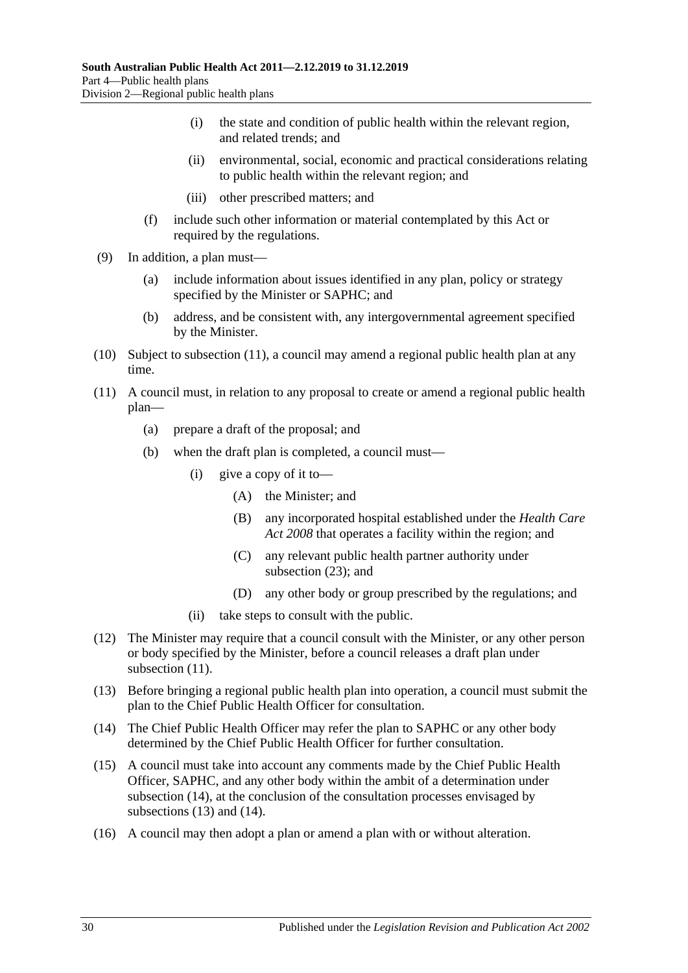- (i) the state and condition of public health within the relevant region, and related trends; and
- (ii) environmental, social, economic and practical considerations relating to public health within the relevant region; and
- (iii) other prescribed matters; and
- (f) include such other information or material contemplated by this Act or required by the regulations.
- (9) In addition, a plan must—
	- (a) include information about issues identified in any plan, policy or strategy specified by the Minister or SAPHC; and
	- (b) address, and be consistent with, any intergovernmental agreement specified by the Minister.
- (10) Subject to [subsection](#page-29-0) (11), a council may amend a regional public health plan at any time.
- <span id="page-29-0"></span>(11) A council must, in relation to any proposal to create or amend a regional public health plan—
	- (a) prepare a draft of the proposal; and
	- (b) when the draft plan is completed, a council must—
		- (i) give a copy of it to—
			- (A) the Minister; and
			- (B) any incorporated hospital established under the *[Health Care](http://www.legislation.sa.gov.au/index.aspx?action=legref&type=act&legtitle=Health%20Care%20Act%202008)  Act [2008](http://www.legislation.sa.gov.au/index.aspx?action=legref&type=act&legtitle=Health%20Care%20Act%202008)* that operates a facility within the region; and
			- (C) any relevant public health partner authority under [subsection](#page-30-1) (23); and
			- (D) any other body or group prescribed by the regulations; and
		- (ii) take steps to consult with the public.
- (12) The Minister may require that a council consult with the Minister, or any other person or body specified by the Minister, before a council releases a draft plan under [subsection](#page-29-0)  $(11)$ .
- <span id="page-29-2"></span>(13) Before bringing a regional public health plan into operation, a council must submit the plan to the Chief Public Health Officer for consultation.
- <span id="page-29-1"></span>(14) The Chief Public Health Officer may refer the plan to SAPHC or any other body determined by the Chief Public Health Officer for further consultation.
- (15) A council must take into account any comments made by the Chief Public Health Officer, SAPHC, and any other body within the ambit of a determination under [subsection](#page-29-1) (14), at the conclusion of the consultation processes envisaged by [subsections](#page-29-2) (13) and [\(14\).](#page-29-1)
- (16) A council may then adopt a plan or amend a plan with or without alteration.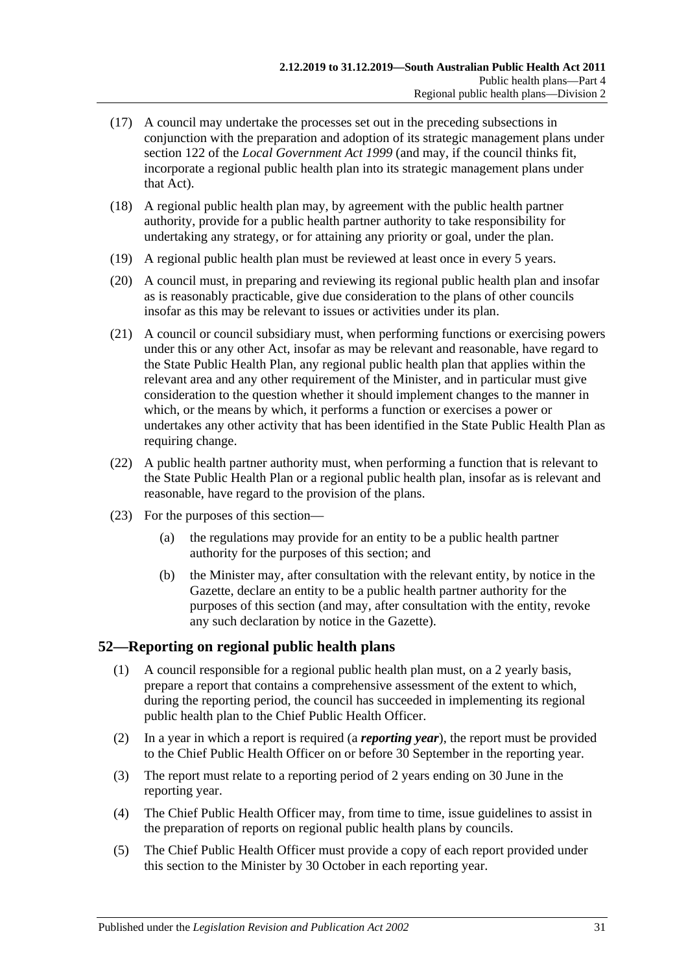- (17) A council may undertake the processes set out in the preceding subsections in conjunction with the preparation and adoption of its strategic management plans under section 122 of the *[Local Government Act](http://www.legislation.sa.gov.au/index.aspx?action=legref&type=act&legtitle=Local%20Government%20Act%201999) 1999* (and may, if the council thinks fit, incorporate a regional public health plan into its strategic management plans under that Act).
- (18) A regional public health plan may, by agreement with the public health partner authority, provide for a public health partner authority to take responsibility for undertaking any strategy, or for attaining any priority or goal, under the plan.
- (19) A regional public health plan must be reviewed at least once in every 5 years.
- (20) A council must, in preparing and reviewing its regional public health plan and insofar as is reasonably practicable, give due consideration to the plans of other councils insofar as this may be relevant to issues or activities under its plan.
- (21) A council or council subsidiary must, when performing functions or exercising powers under this or any other Act, insofar as may be relevant and reasonable, have regard to the State Public Health Plan, any regional public health plan that applies within the relevant area and any other requirement of the Minister, and in particular must give consideration to the question whether it should implement changes to the manner in which, or the means by which, it performs a function or exercises a power or undertakes any other activity that has been identified in the State Public Health Plan as requiring change.
- (22) A public health partner authority must, when performing a function that is relevant to the State Public Health Plan or a regional public health plan, insofar as is relevant and reasonable, have regard to the provision of the plans.
- <span id="page-30-1"></span>(23) For the purposes of this section—
	- (a) the regulations may provide for an entity to be a public health partner authority for the purposes of this section; and
	- (b) the Minister may, after consultation with the relevant entity, by notice in the Gazette, declare an entity to be a public health partner authority for the purposes of this section (and may, after consultation with the entity, revoke any such declaration by notice in the Gazette).

#### <span id="page-30-0"></span>**52—Reporting on regional public health plans**

- (1) A council responsible for a regional public health plan must, on a 2 yearly basis, prepare a report that contains a comprehensive assessment of the extent to which, during the reporting period, the council has succeeded in implementing its regional public health plan to the Chief Public Health Officer.
- (2) In a year in which a report is required (a *reporting year*), the report must be provided to the Chief Public Health Officer on or before 30 September in the reporting year.
- (3) The report must relate to a reporting period of 2 years ending on 30 June in the reporting year.
- (4) The Chief Public Health Officer may, from time to time, issue guidelines to assist in the preparation of reports on regional public health plans by councils.
- (5) The Chief Public Health Officer must provide a copy of each report provided under this section to the Minister by 30 October in each reporting year.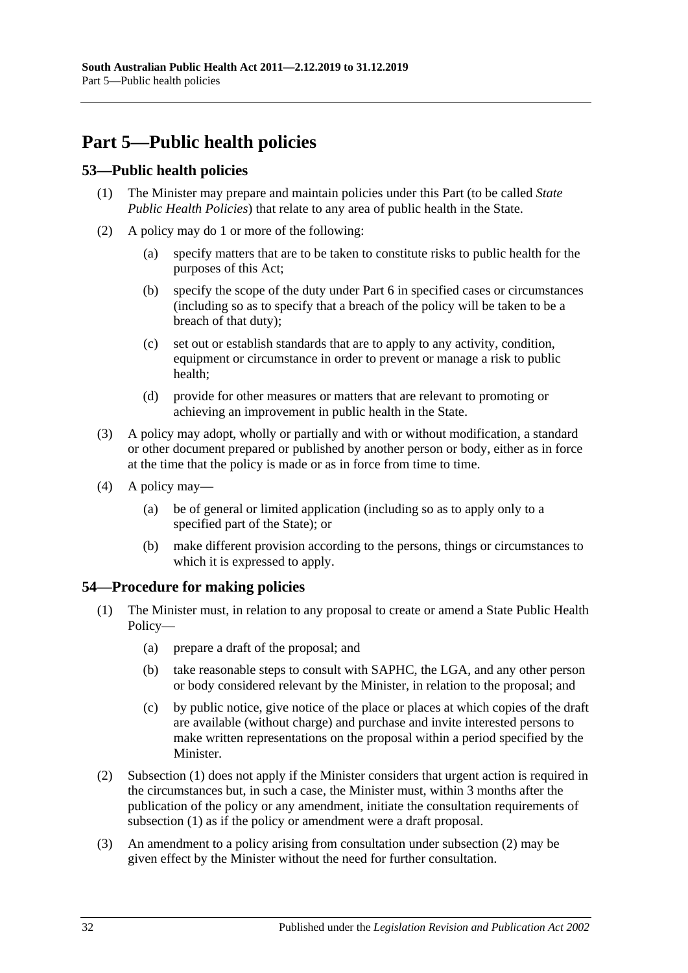# <span id="page-31-0"></span>**Part 5—Public health policies**

### <span id="page-31-1"></span>**53—Public health policies**

- (1) The Minister may prepare and maintain policies under this Part (to be called *State Public Health Policies*) that relate to any area of public health in the State.
- (2) A policy may do 1 or more of the following:
	- (a) specify matters that are to be taken to constitute risks to public health for the purposes of this Act;
	- (b) specify the scope of the duty under [Part](#page-32-1) 6 in specified cases or circumstances (including so as to specify that a breach of the policy will be taken to be a breach of that duty);
	- (c) set out or establish standards that are to apply to any activity, condition, equipment or circumstance in order to prevent or manage a risk to public health;
	- (d) provide for other measures or matters that are relevant to promoting or achieving an improvement in public health in the State.
- (3) A policy may adopt, wholly or partially and with or without modification, a standard or other document prepared or published by another person or body, either as in force at the time that the policy is made or as in force from time to time.
- (4) A policy may—
	- (a) be of general or limited application (including so as to apply only to a specified part of the State); or
	- (b) make different provision according to the persons, things or circumstances to which it is expressed to apply.

#### <span id="page-31-3"></span><span id="page-31-2"></span>**54—Procedure for making policies**

- (1) The Minister must, in relation to any proposal to create or amend a State Public Health Policy—
	- (a) prepare a draft of the proposal; and
	- (b) take reasonable steps to consult with SAPHC, the LGA, and any other person or body considered relevant by the Minister, in relation to the proposal; and
	- (c) by public notice, give notice of the place or places at which copies of the draft are available (without charge) and purchase and invite interested persons to make written representations on the proposal within a period specified by the Minister.
- <span id="page-31-4"></span>(2) [Subsection](#page-31-3) (1) does not apply if the Minister considers that urgent action is required in the circumstances but, in such a case, the Minister must, within 3 months after the publication of the policy or any amendment, initiate the consultation requirements of [subsection](#page-31-3) (1) as if the policy or amendment were a draft proposal.
- (3) An amendment to a policy arising from consultation under [subsection](#page-31-4) (2) may be given effect by the Minister without the need for further consultation.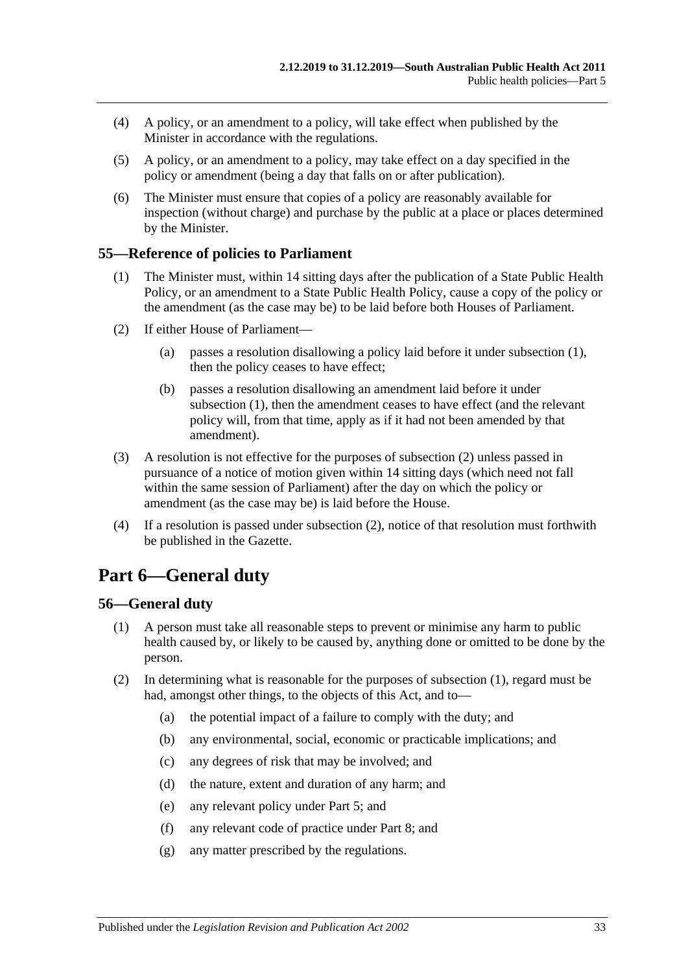- (4) A policy, or an amendment to a policy, will take effect when published by the Minister in accordance with the regulations.
- (5) A policy, or an amendment to a policy, may take effect on a day specified in the policy or amendment (being a day that falls on or after publication).
- (6) The Minister must ensure that copies of a policy are reasonably available for inspection (without charge) and purchase by the public at a place or places determined by the Minister.

#### <span id="page-32-3"></span><span id="page-32-0"></span>**55—Reference of policies to Parliament**

- (1) The Minister must, within 14 sitting days after the publication of a State Public Health Policy, or an amendment to a State Public Health Policy, cause a copy of the policy or the amendment (as the case may be) to be laid before both Houses of Parliament.
- <span id="page-32-4"></span>(2) If either House of Parliament—
	- (a) passes a resolution disallowing a policy laid before it under [subsection](#page-32-3) (1), then the policy ceases to have effect;
	- (b) passes a resolution disallowing an amendment laid before it under [subsection](#page-32-3) (1), then the amendment ceases to have effect (and the relevant policy will, from that time, apply as if it had not been amended by that amendment).
- (3) A resolution is not effective for the purposes of [subsection](#page-32-4) (2) unless passed in pursuance of a notice of motion given within 14 sitting days (which need not fall within the same session of Parliament) after the day on which the policy or amendment (as the case may be) is laid before the House.
- (4) If a resolution is passed under [subsection](#page-32-4) (2), notice of that resolution must forthwith be published in the Gazette.

# <span id="page-32-1"></span>**Part 6—General duty**

#### <span id="page-32-5"></span><span id="page-32-2"></span>**56—General duty**

- (1) A person must take all reasonable steps to prevent or minimise any harm to public health caused by, or likely to be caused by, anything done or omitted to be done by the person.
- (2) In determining what is reasonable for the purposes of [subsection](#page-32-5) (1), regard must be had, amongst other things, to the objects of this Act, and to—
	- (a) the potential impact of a failure to comply with the duty; and
	- (b) any environmental, social, economic or practicable implications; and
	- (c) any degrees of risk that may be involved; and
	- (d) the nature, extent and duration of any harm; and
	- (e) any relevant policy under [Part](#page-31-0) 5; and
	- (f) any relevant code of practice under [Part](#page-35-0) 8; and
	- (g) any matter prescribed by the regulations.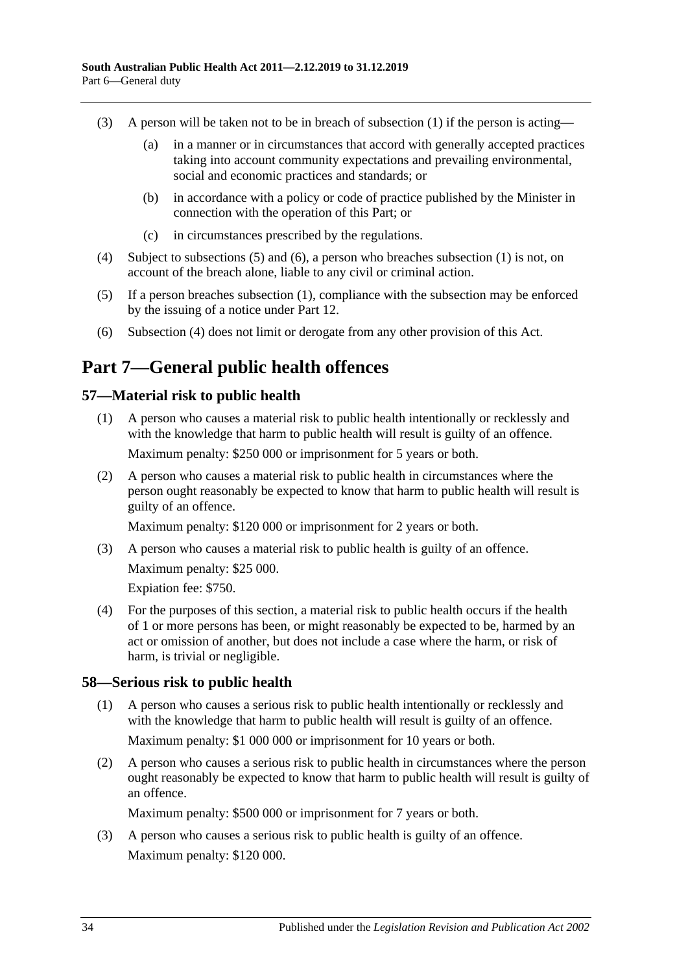- (3) A person will be taken not to be in breach of [subsection](#page-32-5) (1) if the person is acting—
	- (a) in a manner or in circumstances that accord with generally accepted practices taking into account community expectations and prevailing environmental, social and economic practices and standards; or
	- (b) in accordance with a policy or code of practice published by the Minister in connection with the operation of this Part; or
	- (c) in circumstances prescribed by the regulations.
- <span id="page-33-5"></span>(4) Subject to [subsections](#page-33-3) (5) and [\(6\),](#page-33-4) a person who breaches [subsection](#page-32-5) (1) is not, on account of the breach alone, liable to any civil or criminal action.
- <span id="page-33-3"></span>(5) If a person breaches [subsection](#page-32-5) (1), compliance with the subsection may be enforced by the issuing of a notice under [Part](#page-58-0) 12.
- <span id="page-33-4"></span>(6) [Subsection](#page-33-5) (4) does not limit or derogate from any other provision of this Act.

# <span id="page-33-0"></span>**Part 7—General public health offences**

#### <span id="page-33-1"></span>**57—Material risk to public health**

- (1) A person who causes a material risk to public health intentionally or recklessly and with the knowledge that harm to public health will result is guilty of an offence. Maximum penalty: \$250 000 or imprisonment for 5 years or both.
- (2) A person who causes a material risk to public health in circumstances where the person ought reasonably be expected to know that harm to public health will result is guilty of an offence.

Maximum penalty: \$120 000 or imprisonment for 2 years or both.

(3) A person who causes a material risk to public health is guilty of an offence. Maximum penalty: \$25 000.

Expiation fee: \$750.

(4) For the purposes of this section, a material risk to public health occurs if the health of 1 or more persons has been, or might reasonably be expected to be, harmed by an act or omission of another, but does not include a case where the harm, or risk of harm, is trivial or negligible.

#### <span id="page-33-2"></span>**58—Serious risk to public health**

- (1) A person who causes a serious risk to public health intentionally or recklessly and with the knowledge that harm to public health will result is guilty of an offence. Maximum penalty: \$1 000 000 or imprisonment for 10 years or both.
- (2) A person who causes a serious risk to public health in circumstances where the person ought reasonably be expected to know that harm to public health will result is guilty of an offence.

Maximum penalty: \$500 000 or imprisonment for 7 years or both.

(3) A person who causes a serious risk to public health is guilty of an offence. Maximum penalty: \$120 000.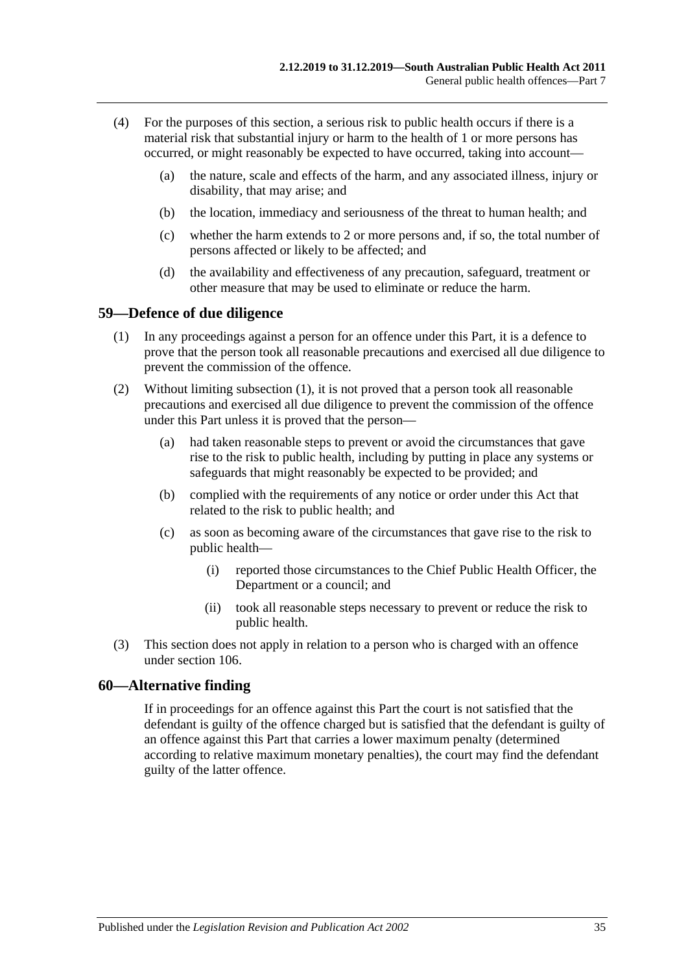- (4) For the purposes of this section, a serious risk to public health occurs if there is a material risk that substantial injury or harm to the health of 1 or more persons has occurred, or might reasonably be expected to have occurred, taking into account—
	- (a) the nature, scale and effects of the harm, and any associated illness, injury or disability, that may arise; and
	- (b) the location, immediacy and seriousness of the threat to human health; and
	- (c) whether the harm extends to 2 or more persons and, if so, the total number of persons affected or likely to be affected; and
	- (d) the availability and effectiveness of any precaution, safeguard, treatment or other measure that may be used to eliminate or reduce the harm.

#### <span id="page-34-2"></span><span id="page-34-0"></span>**59—Defence of due diligence**

- (1) In any proceedings against a person for an offence under this Part, it is a defence to prove that the person took all reasonable precautions and exercised all due diligence to prevent the commission of the offence.
- (2) Without limiting [subsection](#page-34-2) (1), it is not proved that a person took all reasonable precautions and exercised all due diligence to prevent the commission of the offence under this Part unless it is proved that the person—
	- (a) had taken reasonable steps to prevent or avoid the circumstances that gave rise to the risk to public health, including by putting in place any systems or safeguards that might reasonably be expected to be provided; and
	- (b) complied with the requirements of any notice or order under this Act that related to the risk to public health; and
	- (c) as soon as becoming aware of the circumstances that gave rise to the risk to public health—
		- (i) reported those circumstances to the Chief Public Health Officer, the Department or a council; and
		- (ii) took all reasonable steps necessary to prevent or reduce the risk to public health.
- (3) This section does not apply in relation to a person who is charged with an offence under [section](#page-73-0) 106.

#### <span id="page-34-1"></span>**60—Alternative finding**

If in proceedings for an offence against this Part the court is not satisfied that the defendant is guilty of the offence charged but is satisfied that the defendant is guilty of an offence against this Part that carries a lower maximum penalty (determined according to relative maximum monetary penalties), the court may find the defendant guilty of the latter offence.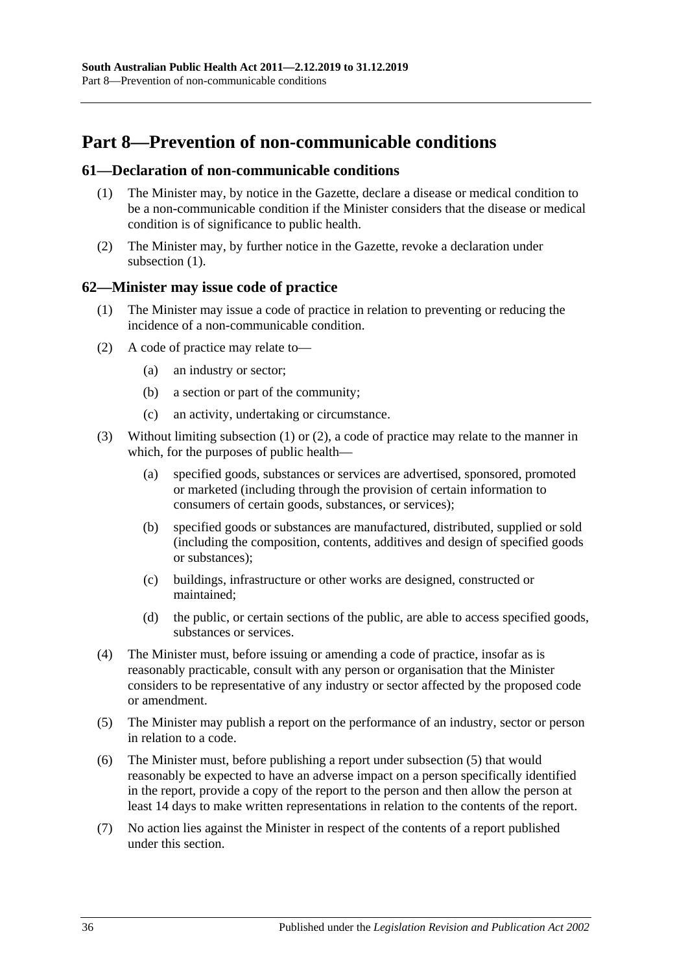# <span id="page-35-0"></span>**Part 8—Prevention of non-communicable conditions**

#### <span id="page-35-3"></span><span id="page-35-1"></span>**61—Declaration of non-communicable conditions**

- (1) The Minister may, by notice in the Gazette, declare a disease or medical condition to be a non-communicable condition if the Minister considers that the disease or medical condition is of significance to public health.
- (2) The Minister may, by further notice in the Gazette, revoke a declaration under [subsection](#page-35-3) (1).

#### <span id="page-35-4"></span><span id="page-35-2"></span>**62—Minister may issue code of practice**

- (1) The Minister may issue a code of practice in relation to preventing or reducing the incidence of a non-communicable condition.
- <span id="page-35-5"></span>(2) A code of practice may relate to—
	- (a) an industry or sector;
	- (b) a section or part of the community;
	- (c) an activity, undertaking or circumstance.
- (3) Without limiting [subsection](#page-35-4) (1) or [\(2\),](#page-35-5) a code of practice may relate to the manner in which, for the purposes of public health—
	- (a) specified goods, substances or services are advertised, sponsored, promoted or marketed (including through the provision of certain information to consumers of certain goods, substances, or services);
	- (b) specified goods or substances are manufactured, distributed, supplied or sold (including the composition, contents, additives and design of specified goods or substances);
	- (c) buildings, infrastructure or other works are designed, constructed or maintained;
	- (d) the public, or certain sections of the public, are able to access specified goods, substances or services.
- (4) The Minister must, before issuing or amending a code of practice, insofar as is reasonably practicable, consult with any person or organisation that the Minister considers to be representative of any industry or sector affected by the proposed code or amendment.
- <span id="page-35-6"></span>(5) The Minister may publish a report on the performance of an industry, sector or person in relation to a code.
- (6) The Minister must, before publishing a report under [subsection](#page-35-6) (5) that would reasonably be expected to have an adverse impact on a person specifically identified in the report, provide a copy of the report to the person and then allow the person at least 14 days to make written representations in relation to the contents of the report.
- (7) No action lies against the Minister in respect of the contents of a report published under this section.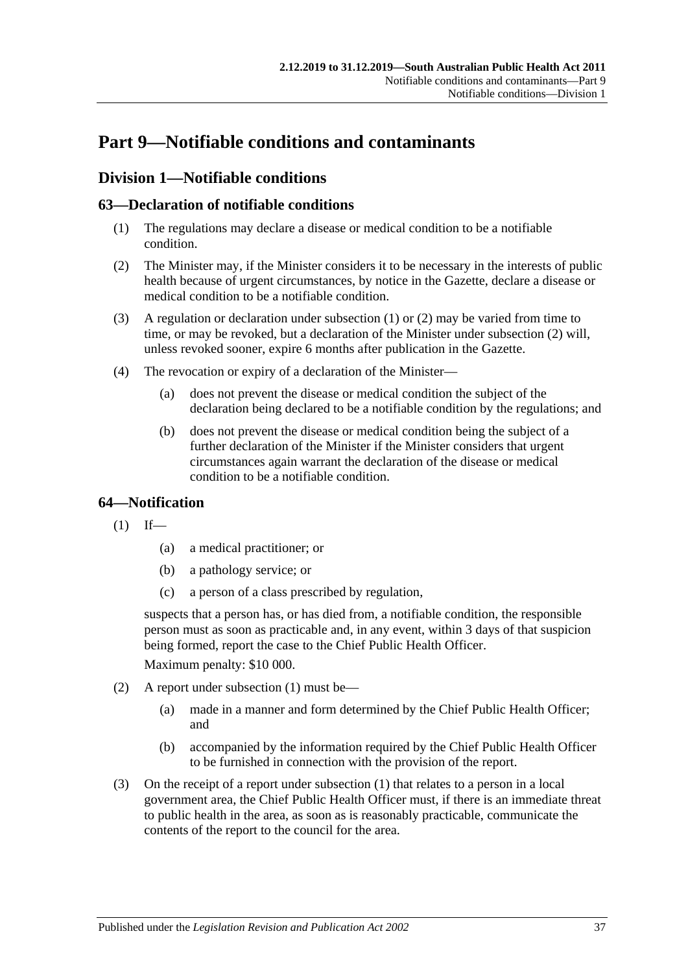# **Part 9—Notifiable conditions and contaminants**

# **Division 1—Notifiable conditions**

# <span id="page-36-0"></span>**63—Declaration of notifiable conditions**

- (1) The regulations may declare a disease or medical condition to be a notifiable condition.
- <span id="page-36-1"></span>(2) The Minister may, if the Minister considers it to be necessary in the interests of public health because of urgent circumstances, by notice in the Gazette, declare a disease or medical condition to be a notifiable condition.
- (3) A regulation or declaration under [subsection](#page-36-0) (1) or [\(2\)](#page-36-1) may be varied from time to time, or may be revoked, but a declaration of the Minister under [subsection](#page-36-1) (2) will, unless revoked sooner, expire 6 months after publication in the Gazette.
- (4) The revocation or expiry of a declaration of the Minister—
	- (a) does not prevent the disease or medical condition the subject of the declaration being declared to be a notifiable condition by the regulations; and
	- (b) does not prevent the disease or medical condition being the subject of a further declaration of the Minister if the Minister considers that urgent circumstances again warrant the declaration of the disease or medical condition to be a notifiable condition.

# <span id="page-36-2"></span>**64—Notification**

- $(1)$  If—
	- (a) a medical practitioner; or
	- (b) a pathology service; or
	- (c) a person of a class prescribed by regulation,

suspects that a person has, or has died from, a notifiable condition, the responsible person must as soon as practicable and, in any event, within 3 days of that suspicion being formed, report the case to the Chief Public Health Officer.

Maximum penalty: \$10 000.

- (2) A report under [subsection](#page-36-2) (1) must be—
	- (a) made in a manner and form determined by the Chief Public Health Officer; and
	- (b) accompanied by the information required by the Chief Public Health Officer to be furnished in connection with the provision of the report.
- (3) On the receipt of a report under [subsection](#page-36-2) (1) that relates to a person in a local government area, the Chief Public Health Officer must, if there is an immediate threat to public health in the area, as soon as is reasonably practicable, communicate the contents of the report to the council for the area.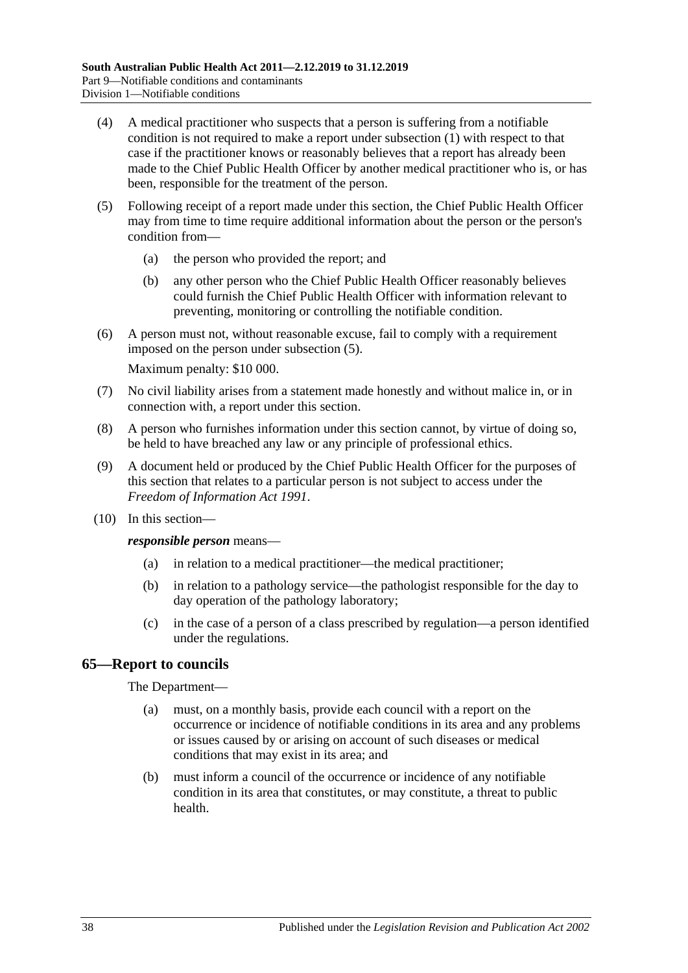- (4) A medical practitioner who suspects that a person is suffering from a notifiable condition is not required to make a report under [subsection](#page-36-2) (1) with respect to that case if the practitioner knows or reasonably believes that a report has already been made to the Chief Public Health Officer by another medical practitioner who is, or has been, responsible for the treatment of the person.
- <span id="page-37-0"></span>(5) Following receipt of a report made under this section, the Chief Public Health Officer may from time to time require additional information about the person or the person's condition from—
	- (a) the person who provided the report; and
	- (b) any other person who the Chief Public Health Officer reasonably believes could furnish the Chief Public Health Officer with information relevant to preventing, monitoring or controlling the notifiable condition.
- (6) A person must not, without reasonable excuse, fail to comply with a requirement imposed on the person under [subsection](#page-37-0) (5).

Maximum penalty: \$10 000.

- (7) No civil liability arises from a statement made honestly and without malice in, or in connection with, a report under this section.
- (8) A person who furnishes information under this section cannot, by virtue of doing so, be held to have breached any law or any principle of professional ethics.
- (9) A document held or produced by the Chief Public Health Officer for the purposes of this section that relates to a particular person is not subject to access under the *[Freedom of Information Act](http://www.legislation.sa.gov.au/index.aspx?action=legref&type=act&legtitle=Freedom%20of%20Information%20Act%201991) 1991*.
- (10) In this section—

*responsible person* means—

- (a) in relation to a medical practitioner—the medical practitioner;
- (b) in relation to a pathology service—the pathologist responsible for the day to day operation of the pathology laboratory;
- (c) in the case of a person of a class prescribed by regulation—a person identified under the regulations.

#### **65—Report to councils**

#### The Department—

- (a) must, on a monthly basis, provide each council with a report on the occurrence or incidence of notifiable conditions in its area and any problems or issues caused by or arising on account of such diseases or medical conditions that may exist in its area; and
- (b) must inform a council of the occurrence or incidence of any notifiable condition in its area that constitutes, or may constitute, a threat to public health.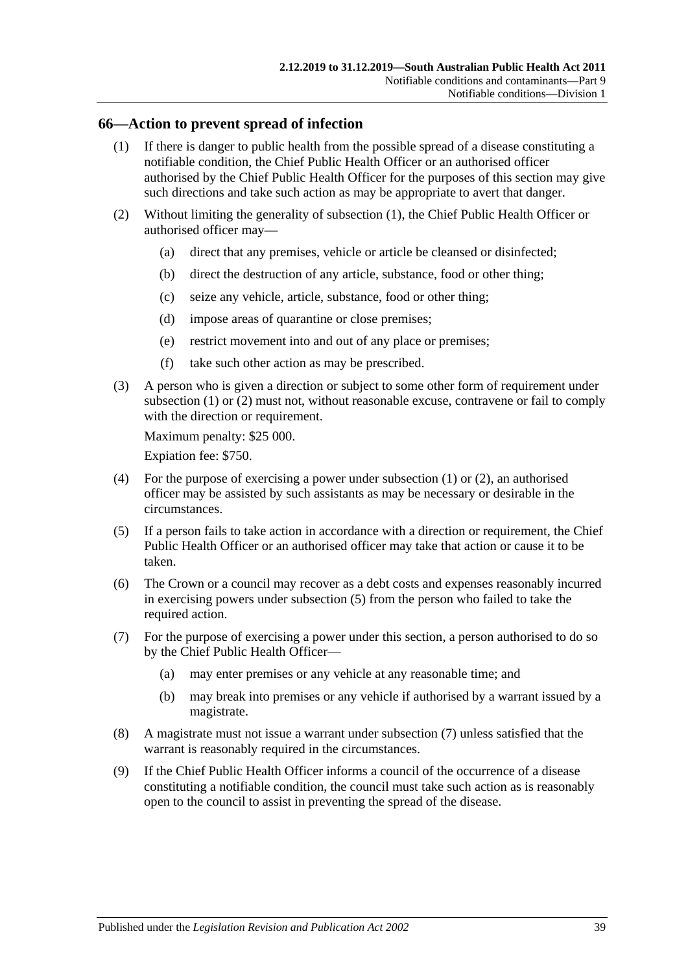#### <span id="page-38-0"></span>**66—Action to prevent spread of infection**

- (1) If there is danger to public health from the possible spread of a disease constituting a notifiable condition, the Chief Public Health Officer or an authorised officer authorised by the Chief Public Health Officer for the purposes of this section may give such directions and take such action as may be appropriate to avert that danger.
- <span id="page-38-1"></span>(2) Without limiting the generality of [subsection](#page-38-0) (1), the Chief Public Health Officer or authorised officer may—
	- (a) direct that any premises, vehicle or article be cleansed or disinfected;
	- (b) direct the destruction of any article, substance, food or other thing;
	- (c) seize any vehicle, article, substance, food or other thing;
	- (d) impose areas of quarantine or close premises;
	- (e) restrict movement into and out of any place or premises;
	- (f) take such other action as may be prescribed.
- (3) A person who is given a direction or subject to some other form of requirement under [subsection](#page-38-0) (1) or [\(2\)](#page-38-1) must not, without reasonable excuse, contravene or fail to comply with the direction or requirement.

Maximum penalty: \$25 000.

Expiation fee: \$750.

- (4) For the purpose of exercising a power under [subsection](#page-38-0) (1) or [\(2\),](#page-38-1) an authorised officer may be assisted by such assistants as may be necessary or desirable in the circumstances.
- <span id="page-38-2"></span>(5) If a person fails to take action in accordance with a direction or requirement, the Chief Public Health Officer or an authorised officer may take that action or cause it to be taken.
- (6) The Crown or a council may recover as a debt costs and expenses reasonably incurred in exercising powers under [subsection](#page-38-2) (5) from the person who failed to take the required action.
- <span id="page-38-3"></span>(7) For the purpose of exercising a power under this section, a person authorised to do so by the Chief Public Health Officer—
	- (a) may enter premises or any vehicle at any reasonable time; and
	- (b) may break into premises or any vehicle if authorised by a warrant issued by a magistrate.
- (8) A magistrate must not issue a warrant under [subsection](#page-38-3) (7) unless satisfied that the warrant is reasonably required in the circumstances.
- (9) If the Chief Public Health Officer informs a council of the occurrence of a disease constituting a notifiable condition, the council must take such action as is reasonably open to the council to assist in preventing the spread of the disease.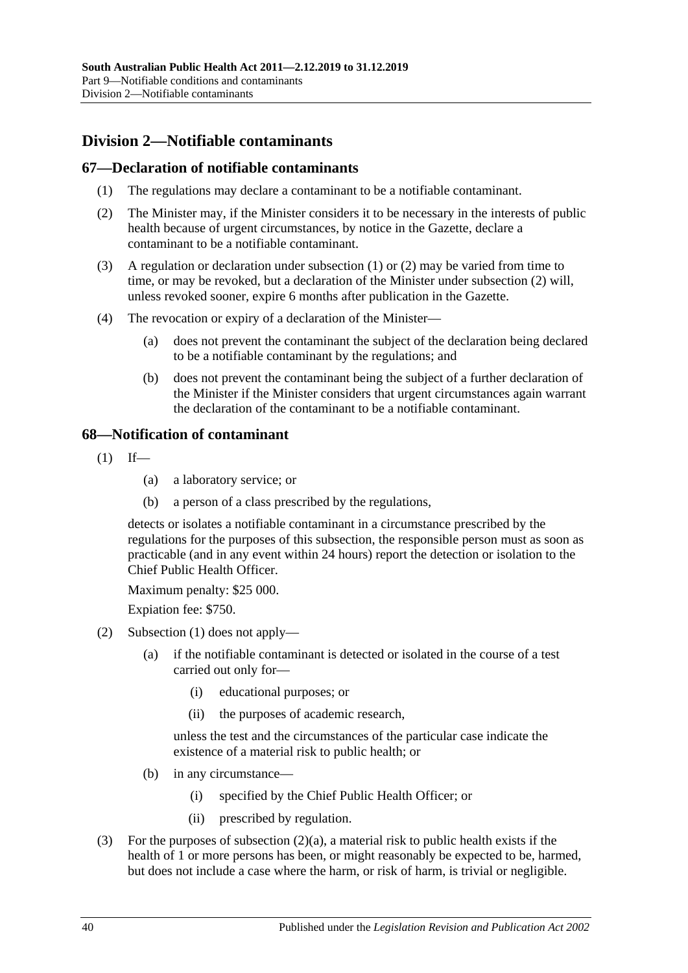# **Division 2—Notifiable contaminants**

## <span id="page-39-0"></span>**67—Declaration of notifiable contaminants**

- (1) The regulations may declare a contaminant to be a notifiable contaminant.
- <span id="page-39-1"></span>(2) The Minister may, if the Minister considers it to be necessary in the interests of public health because of urgent circumstances, by notice in the Gazette, declare a contaminant to be a notifiable contaminant.
- (3) A regulation or declaration under [subsection](#page-39-0) (1) or [\(2\)](#page-39-1) may be varied from time to time, or may be revoked, but a declaration of the Minister under [subsection](#page-39-1) (2) will, unless revoked sooner, expire 6 months after publication in the Gazette.
- (4) The revocation or expiry of a declaration of the Minister—
	- (a) does not prevent the contaminant the subject of the declaration being declared to be a notifiable contaminant by the regulations; and
	- (b) does not prevent the contaminant being the subject of a further declaration of the Minister if the Minister considers that urgent circumstances again warrant the declaration of the contaminant to be a notifiable contaminant.

## <span id="page-39-2"></span>**68—Notification of contaminant**

- $(1)$  If—
	- (a) a laboratory service; or
	- (b) a person of a class prescribed by the regulations,

detects or isolates a notifiable contaminant in a circumstance prescribed by the regulations for the purposes of this subsection, the responsible person must as soon as practicable (and in any event within 24 hours) report the detection or isolation to the Chief Public Health Officer.

Maximum penalty: \$25 000.

Expiation fee: \$750.

- <span id="page-39-3"></span>(2) [Subsection](#page-39-2) (1) does not apply—
	- (a) if the notifiable contaminant is detected or isolated in the course of a test carried out only for—
		- (i) educational purposes; or
		- (ii) the purposes of academic research,

unless the test and the circumstances of the particular case indicate the existence of a material risk to public health; or

- (b) in any circumstance—
	- (i) specified by the Chief Public Health Officer; or
	- (ii) prescribed by regulation.
- (3) For the purposes of [subsection](#page-39-3) (2)(a), a material risk to public health exists if the health of 1 or more persons has been, or might reasonably be expected to be, harmed, but does not include a case where the harm, or risk of harm, is trivial or negligible.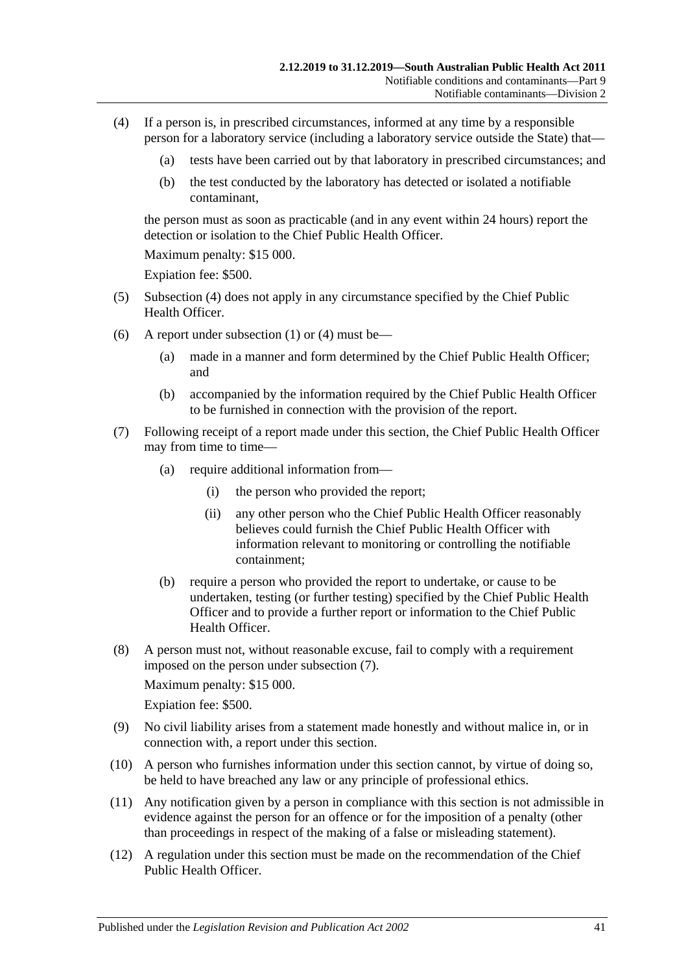- <span id="page-40-0"></span>(4) If a person is, in prescribed circumstances, informed at any time by a responsible person for a laboratory service (including a laboratory service outside the State) that—
	- (a) tests have been carried out by that laboratory in prescribed circumstances; and
	- (b) the test conducted by the laboratory has detected or isolated a notifiable contaminant,

the person must as soon as practicable (and in any event within 24 hours) report the detection or isolation to the Chief Public Health Officer

Maximum penalty: \$15 000.

Expiation fee: \$500.

- (5) [Subsection](#page-40-0) (4) does not apply in any circumstance specified by the Chief Public Health Officer.
- (6) A report under [subsection](#page-39-2) (1) or [\(4\)](#page-40-0) must be—
	- (a) made in a manner and form determined by the Chief Public Health Officer; and
	- (b) accompanied by the information required by the Chief Public Health Officer to be furnished in connection with the provision of the report.
- <span id="page-40-1"></span>(7) Following receipt of a report made under this section, the Chief Public Health Officer may from time to time—
	- (a) require additional information from—
		- (i) the person who provided the report;
		- (ii) any other person who the Chief Public Health Officer reasonably believes could furnish the Chief Public Health Officer with information relevant to monitoring or controlling the notifiable containment;
	- (b) require a person who provided the report to undertake, or cause to be undertaken, testing (or further testing) specified by the Chief Public Health Officer and to provide a further report or information to the Chief Public Health Officer.
- (8) A person must not, without reasonable excuse, fail to comply with a requirement imposed on the person under [subsection](#page-40-1) (7).

Maximum penalty: \$15 000.

Expiation fee: \$500.

- (9) No civil liability arises from a statement made honestly and without malice in, or in connection with, a report under this section.
- (10) A person who furnishes information under this section cannot, by virtue of doing so, be held to have breached any law or any principle of professional ethics.
- (11) Any notification given by a person in compliance with this section is not admissible in evidence against the person for an offence or for the imposition of a penalty (other than proceedings in respect of the making of a false or misleading statement).
- <span id="page-40-2"></span>(12) A regulation under this section must be made on the recommendation of the Chief Public Health Officer.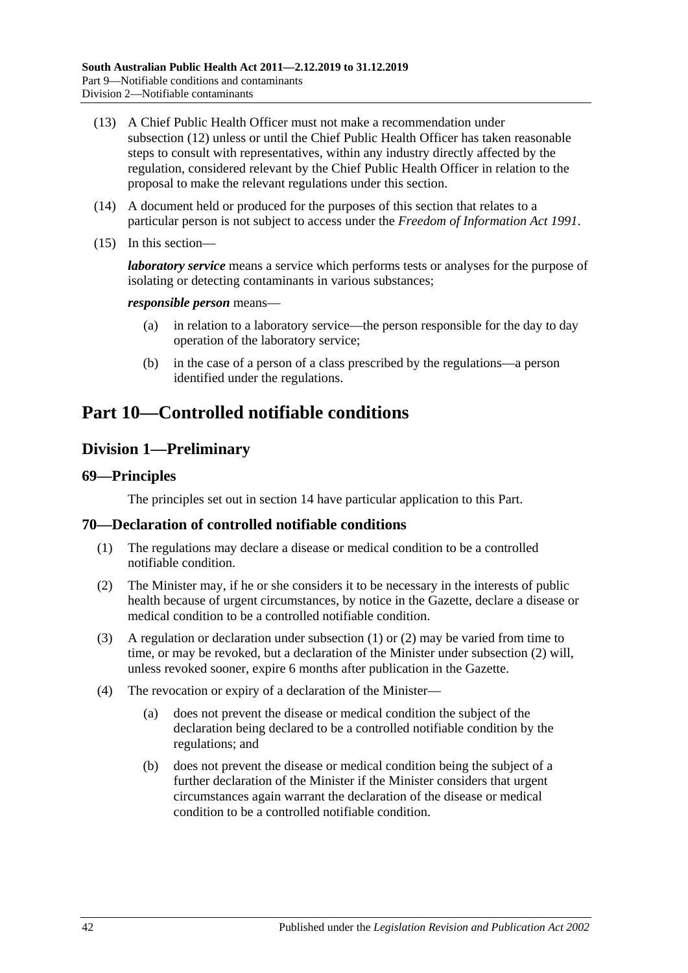- (13) A Chief Public Health Officer must not make a recommendation under [subsection](#page-40-2) (12) unless or until the Chief Public Health Officer has taken reasonable steps to consult with representatives, within any industry directly affected by the regulation, considered relevant by the Chief Public Health Officer in relation to the proposal to make the relevant regulations under this section.
- (14) A document held or produced for the purposes of this section that relates to a particular person is not subject to access under the *[Freedom of Information Act](http://www.legislation.sa.gov.au/index.aspx?action=legref&type=act&legtitle=Freedom%20of%20Information%20Act%201991) 1991*.
- (15) In this section—

*laboratory service* means a service which performs tests or analyses for the purpose of isolating or detecting contaminants in various substances;

#### *responsible person* means—

- (a) in relation to a laboratory service—the person responsible for the day to day operation of the laboratory service;
- (b) in the case of a person of a class prescribed by the regulations—a person identified under the regulations.

# <span id="page-41-2"></span>**Part 10—Controlled notifiable conditions**

# **Division 1—Preliminary**

#### **69—Principles**

The principles set out in [section](#page-9-0) 14 have particular application to this Part.

#### <span id="page-41-0"></span>**70—Declaration of controlled notifiable conditions**

- (1) The regulations may declare a disease or medical condition to be a controlled notifiable condition.
- <span id="page-41-1"></span>(2) The Minister may, if he or she considers it to be necessary in the interests of public health because of urgent circumstances, by notice in the Gazette, declare a disease or medical condition to be a controlled notifiable condition.
- (3) A regulation or declaration under [subsection](#page-41-0) (1) or [\(2\)](#page-41-1) may be varied from time to time, or may be revoked, but a declaration of the Minister under [subsection](#page-41-1) (2) will, unless revoked sooner, expire 6 months after publication in the Gazette.
- (4) The revocation or expiry of a declaration of the Minister—
	- (a) does not prevent the disease or medical condition the subject of the declaration being declared to be a controlled notifiable condition by the regulations; and
	- (b) does not prevent the disease or medical condition being the subject of a further declaration of the Minister if the Minister considers that urgent circumstances again warrant the declaration of the disease or medical condition to be a controlled notifiable condition.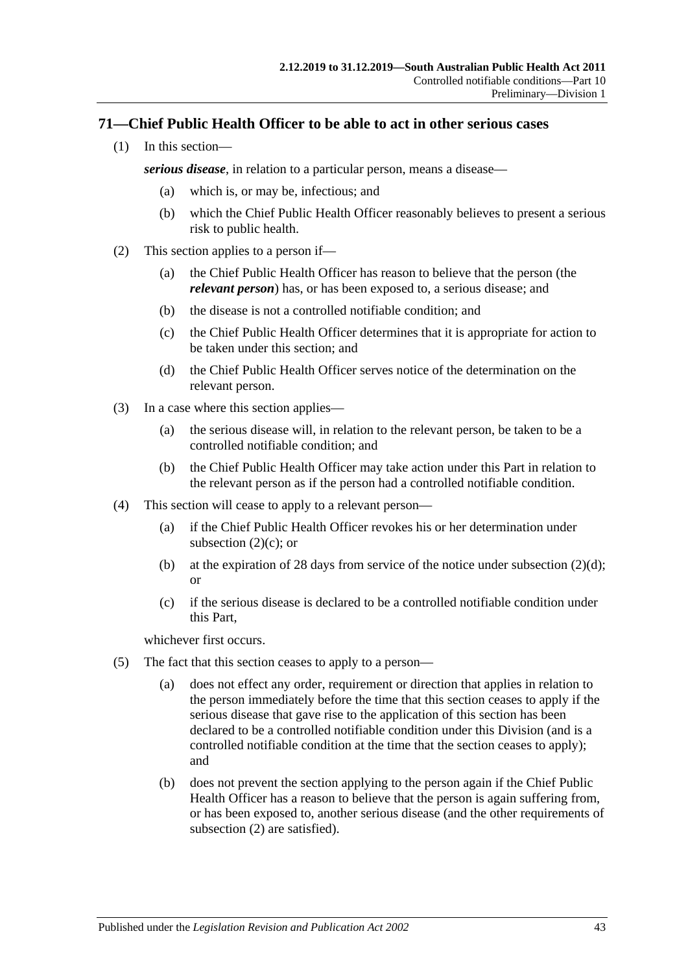# **71—Chief Public Health Officer to be able to act in other serious cases**

(1) In this section—

*serious disease*, in relation to a particular person, means a disease—

- (a) which is, or may be, infectious; and
- (b) which the Chief Public Health Officer reasonably believes to present a serious risk to public health.
- <span id="page-42-2"></span><span id="page-42-0"></span>(2) This section applies to a person if—
	- (a) the Chief Public Health Officer has reason to believe that the person (the *relevant person*) has, or has been exposed to, a serious disease; and
	- (b) the disease is not a controlled notifiable condition; and
	- (c) the Chief Public Health Officer determines that it is appropriate for action to be taken under this section; and
	- (d) the Chief Public Health Officer serves notice of the determination on the relevant person.
- <span id="page-42-1"></span>(3) In a case where this section applies—
	- (a) the serious disease will, in relation to the relevant person, be taken to be a controlled notifiable condition; and
	- (b) the Chief Public Health Officer may take action under this Part in relation to the relevant person as if the person had a controlled notifiable condition.
- (4) This section will cease to apply to a relevant person—
	- (a) if the Chief Public Health Officer revokes his or her determination under [subsection](#page-42-0)  $(2)(c)$ ; or
	- (b) at the expiration of 28 days from service of the notice under [subsection](#page-42-1)  $(2)(d)$ ; or
	- (c) if the serious disease is declared to be a controlled notifiable condition under this Part,

whichever first occurs.

- (5) The fact that this section ceases to apply to a person—
	- (a) does not effect any order, requirement or direction that applies in relation to the person immediately before the time that this section ceases to apply if the serious disease that gave rise to the application of this section has been declared to be a controlled notifiable condition under this Division (and is a controlled notifiable condition at the time that the section ceases to apply); and
	- (b) does not prevent the section applying to the person again if the Chief Public Health Officer has a reason to believe that the person is again suffering from, or has been exposed to, another serious disease (and the other requirements of [subsection](#page-42-2) (2) are satisfied).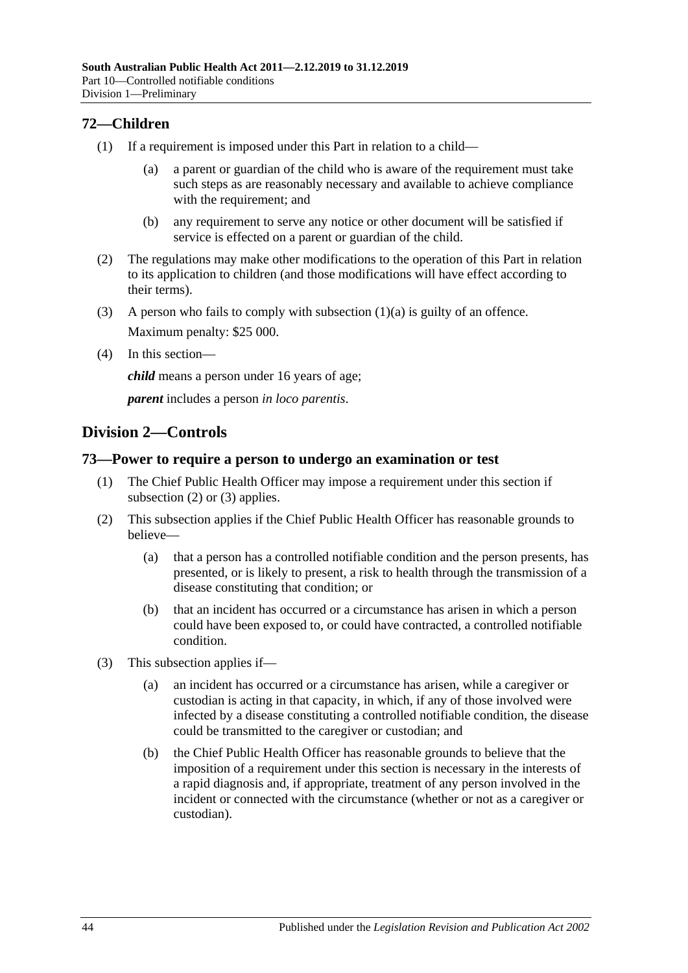# **72—Children**

- <span id="page-43-0"></span>(1) If a requirement is imposed under this Part in relation to a child—
	- (a) a parent or guardian of the child who is aware of the requirement must take such steps as are reasonably necessary and available to achieve compliance with the requirement; and
	- (b) any requirement to serve any notice or other document will be satisfied if service is effected on a parent or guardian of the child.
- (2) The regulations may make other modifications to the operation of this Part in relation to its application to children (and those modifications will have effect according to their terms).
- (3) A person who fails to comply with [subsection](#page-43-0)  $(1)(a)$  is guilty of an offence. Maximum penalty: \$25 000.
- (4) In this section—

*child* means a person under 16 years of age;

*parent* includes a person *in loco parentis*.

# **Division 2—Controls**

# **73—Power to require a person to undergo an examination or test**

- (1) The Chief Public Health Officer may impose a requirement under this section if [subsection](#page-43-1) (2) or [\(3\)](#page-43-2) applies.
- <span id="page-43-1"></span>(2) This subsection applies if the Chief Public Health Officer has reasonable grounds to believe—
	- (a) that a person has a controlled notifiable condition and the person presents, has presented, or is likely to present, a risk to health through the transmission of a disease constituting that condition; or
	- (b) that an incident has occurred or a circumstance has arisen in which a person could have been exposed to, or could have contracted, a controlled notifiable condition.
- <span id="page-43-2"></span>(3) This subsection applies if—
	- (a) an incident has occurred or a circumstance has arisen, while a caregiver or custodian is acting in that capacity, in which, if any of those involved were infected by a disease constituting a controlled notifiable condition, the disease could be transmitted to the caregiver or custodian; and
	- (b) the Chief Public Health Officer has reasonable grounds to believe that the imposition of a requirement under this section is necessary in the interests of a rapid diagnosis and, if appropriate, treatment of any person involved in the incident or connected with the circumstance (whether or not as a caregiver or custodian).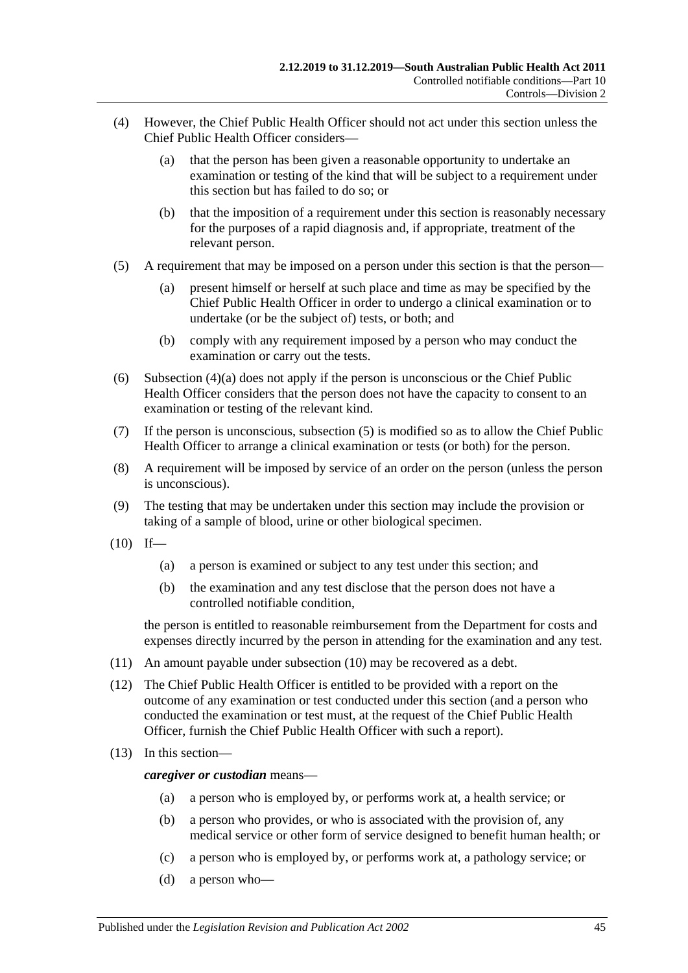- <span id="page-44-0"></span>(4) However, the Chief Public Health Officer should not act under this section unless the Chief Public Health Officer considers—
	- (a) that the person has been given a reasonable opportunity to undertake an examination or testing of the kind that will be subject to a requirement under this section but has failed to do so; or
	- (b) that the imposition of a requirement under this section is reasonably necessary for the purposes of a rapid diagnosis and, if appropriate, treatment of the relevant person.
- <span id="page-44-1"></span>(5) A requirement that may be imposed on a person under this section is that the person—
	- (a) present himself or herself at such place and time as may be specified by the Chief Public Health Officer in order to undergo a clinical examination or to undertake (or be the subject of) tests, or both; and
	- (b) comply with any requirement imposed by a person who may conduct the examination or carry out the tests.
- (6) [Subsection](#page-44-0) (4)(a) does not apply if the person is unconscious or the Chief Public Health Officer considers that the person does not have the capacity to consent to an examination or testing of the relevant kind.
- (7) If the person is unconscious, [subsection](#page-44-1) (5) is modified so as to allow the Chief Public Health Officer to arrange a clinical examination or tests (or both) for the person.
- (8) A requirement will be imposed by service of an order on the person (unless the person is unconscious).
- (9) The testing that may be undertaken under this section may include the provision or taking of a sample of blood, urine or other biological specimen.
- <span id="page-44-2"></span> $(10)$  If—
	- (a) a person is examined or subject to any test under this section; and
	- (b) the examination and any test disclose that the person does not have a controlled notifiable condition,

the person is entitled to reasonable reimbursement from the Department for costs and expenses directly incurred by the person in attending for the examination and any test.

- (11) An amount payable under [subsection](#page-44-2) (10) may be recovered as a debt.
- (12) The Chief Public Health Officer is entitled to be provided with a report on the outcome of any examination or test conducted under this section (and a person who conducted the examination or test must, at the request of the Chief Public Health Officer, furnish the Chief Public Health Officer with such a report).
- (13) In this section—

*caregiver or custodian* means—

- (a) a person who is employed by, or performs work at, a health service; or
- (b) a person who provides, or who is associated with the provision of, any medical service or other form of service designed to benefit human health; or
- (c) a person who is employed by, or performs work at, a pathology service; or
- (d) a person who—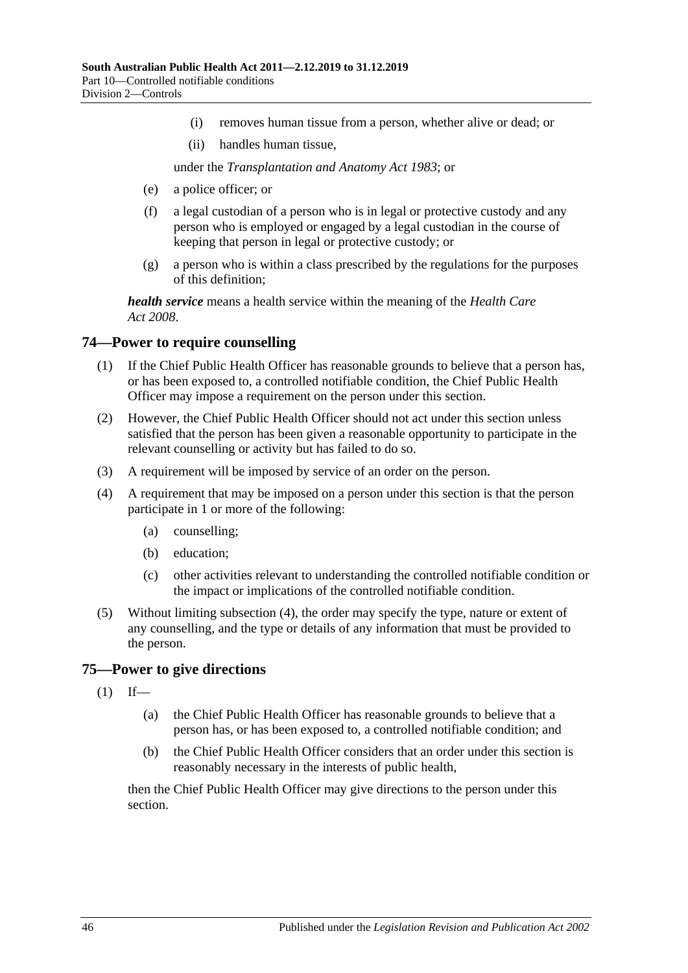- (i) removes human tissue from a person, whether alive or dead; or
- (ii) handles human tissue,

under the *[Transplantation and Anatomy Act](http://www.legislation.sa.gov.au/index.aspx?action=legref&type=act&legtitle=Transplantation%20and%20Anatomy%20Act%201983) 1983*; or

- (e) a police officer; or
- (f) a legal custodian of a person who is in legal or protective custody and any person who is employed or engaged by a legal custodian in the course of keeping that person in legal or protective custody; or
- (g) a person who is within a class prescribed by the regulations for the purposes of this definition;

*health service* means a health service within the meaning of the *[Health Care](http://www.legislation.sa.gov.au/index.aspx?action=legref&type=act&legtitle=Health%20Care%20Act%202008)  Act [2008](http://www.legislation.sa.gov.au/index.aspx?action=legref&type=act&legtitle=Health%20Care%20Act%202008)*.

#### **74—Power to require counselling**

- (1) If the Chief Public Health Officer has reasonable grounds to believe that a person has, or has been exposed to, a controlled notifiable condition, the Chief Public Health Officer may impose a requirement on the person under this section.
- (2) However, the Chief Public Health Officer should not act under this section unless satisfied that the person has been given a reasonable opportunity to participate in the relevant counselling or activity but has failed to do so.
- (3) A requirement will be imposed by service of an order on the person.
- <span id="page-45-0"></span>(4) A requirement that may be imposed on a person under this section is that the person participate in 1 or more of the following:
	- (a) counselling;
	- (b) education;
	- (c) other activities relevant to understanding the controlled notifiable condition or the impact or implications of the controlled notifiable condition.
- (5) Without limiting [subsection](#page-45-0) (4), the order may specify the type, nature or extent of any counselling, and the type or details of any information that must be provided to the person.

#### <span id="page-45-1"></span>**75—Power to give directions**

- $(1)$  If—
	- (a) the Chief Public Health Officer has reasonable grounds to believe that a person has, or has been exposed to, a controlled notifiable condition; and
	- (b) the Chief Public Health Officer considers that an order under this section is reasonably necessary in the interests of public health,

then the Chief Public Health Officer may give directions to the person under this section.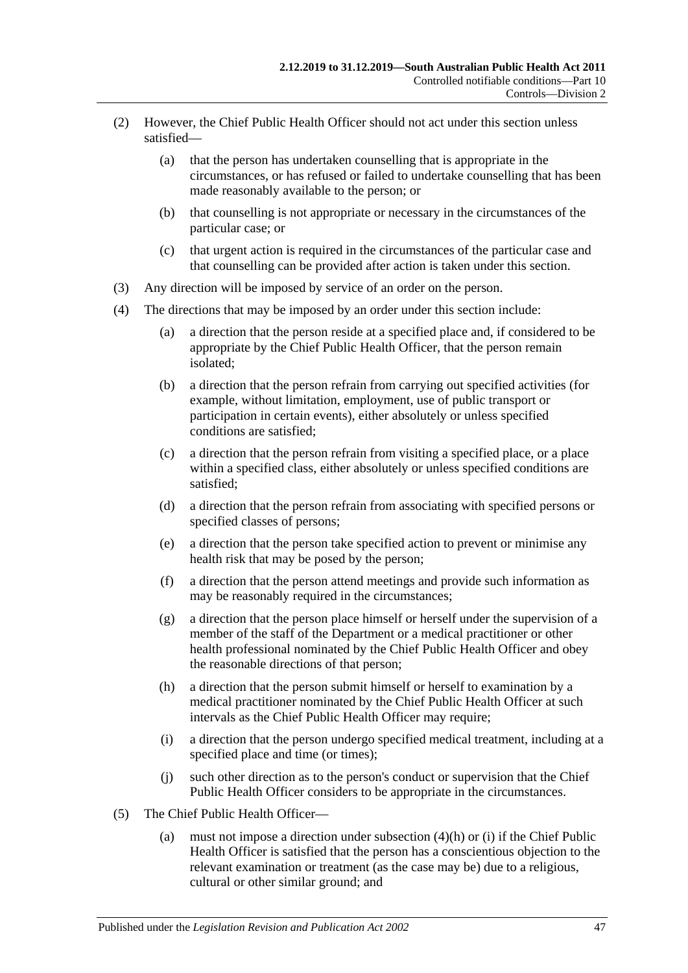- (2) However, the Chief Public Health Officer should not act under this section unless satisfied—
	- (a) that the person has undertaken counselling that is appropriate in the circumstances, or has refused or failed to undertake counselling that has been made reasonably available to the person; or
	- (b) that counselling is not appropriate or necessary in the circumstances of the particular case; or
	- (c) that urgent action is required in the circumstances of the particular case and that counselling can be provided after action is taken under this section.
- (3) Any direction will be imposed by service of an order on the person.
- (4) The directions that may be imposed by an order under this section include:
	- (a) a direction that the person reside at a specified place and, if considered to be appropriate by the Chief Public Health Officer, that the person remain isolated;
	- (b) a direction that the person refrain from carrying out specified activities (for example, without limitation, employment, use of public transport or participation in certain events), either absolutely or unless specified conditions are satisfied;
	- (c) a direction that the person refrain from visiting a specified place, or a place within a specified class, either absolutely or unless specified conditions are satisfied;
	- (d) a direction that the person refrain from associating with specified persons or specified classes of persons;
	- (e) a direction that the person take specified action to prevent or minimise any health risk that may be posed by the person;
	- (f) a direction that the person attend meetings and provide such information as may be reasonably required in the circumstances;
	- (g) a direction that the person place himself or herself under the supervision of a member of the staff of the Department or a medical practitioner or other health professional nominated by the Chief Public Health Officer and obey the reasonable directions of that person;
	- (h) a direction that the person submit himself or herself to examination by a medical practitioner nominated by the Chief Public Health Officer at such intervals as the Chief Public Health Officer may require;
	- (i) a direction that the person undergo specified medical treatment, including at a specified place and time (or times);
	- (j) such other direction as to the person's conduct or supervision that the Chief Public Health Officer considers to be appropriate in the circumstances.
- <span id="page-46-1"></span><span id="page-46-0"></span>(5) The Chief Public Health Officer—
	- (a) must not impose a direction under [subsection](#page-46-0) (4)(h) or [\(i\)](#page-46-1) if the Chief Public Health Officer is satisfied that the person has a conscientious objection to the relevant examination or treatment (as the case may be) due to a religious, cultural or other similar ground; and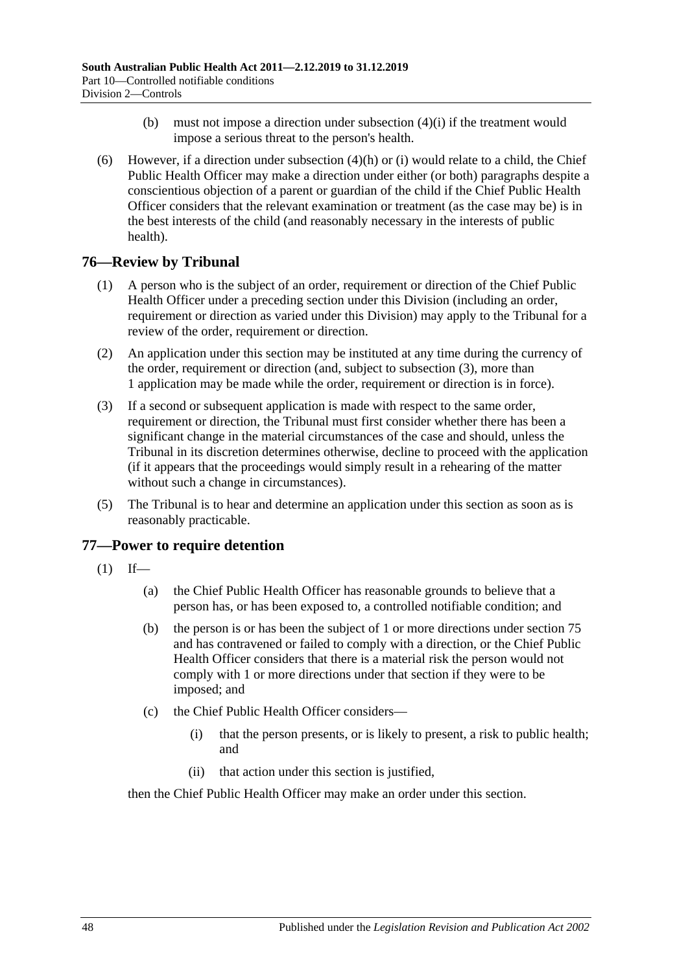- (b) must not impose a direction under [subsection](#page-46-1) (4)(i) if the treatment would impose a serious threat to the person's health.
- (6) However, if a direction under [subsection](#page-46-0)  $(4)(h)$  or [\(i\)](#page-46-1) would relate to a child, the Chief Public Health Officer may make a direction under either (or both) paragraphs despite a conscientious objection of a parent or guardian of the child if the Chief Public Health Officer considers that the relevant examination or treatment (as the case may be) is in the best interests of the child (and reasonably necessary in the interests of public health).

# **76—Review by Tribunal**

- (1) A person who is the subject of an order, requirement or direction of the Chief Public Health Officer under a preceding section under this Division (including an order, requirement or direction as varied under this Division) may apply to the Tribunal for a review of the order, requirement or direction.
- (2) An application under this section may be instituted at any time during the currency of the order, requirement or direction (and, subject to [subsection](#page-47-0) (3), more than 1 application may be made while the order, requirement or direction is in force).
- <span id="page-47-0"></span>(3) If a second or subsequent application is made with respect to the same order, requirement or direction, the Tribunal must first consider whether there has been a significant change in the material circumstances of the case and should, unless the Tribunal in its discretion determines otherwise, decline to proceed with the application (if it appears that the proceedings would simply result in a rehearing of the matter without such a change in circumstances).
- (5) The Tribunal is to hear and determine an application under this section as soon as is reasonably practicable.

# <span id="page-47-1"></span>**77—Power to require detention**

- $(1)$  If—
	- (a) the Chief Public Health Officer has reasonable grounds to believe that a person has, or has been exposed to, a controlled notifiable condition; and
	- (b) the person is or has been the subject of 1 or more directions under [section](#page-45-1) 75 and has contravened or failed to comply with a direction, or the Chief Public Health Officer considers that there is a material risk the person would not comply with 1 or more directions under that section if they were to be imposed; and
	- (c) the Chief Public Health Officer considers—
		- (i) that the person presents, or is likely to present, a risk to public health; and
		- (ii) that action under this section is justified,

then the Chief Public Health Officer may make an order under this section.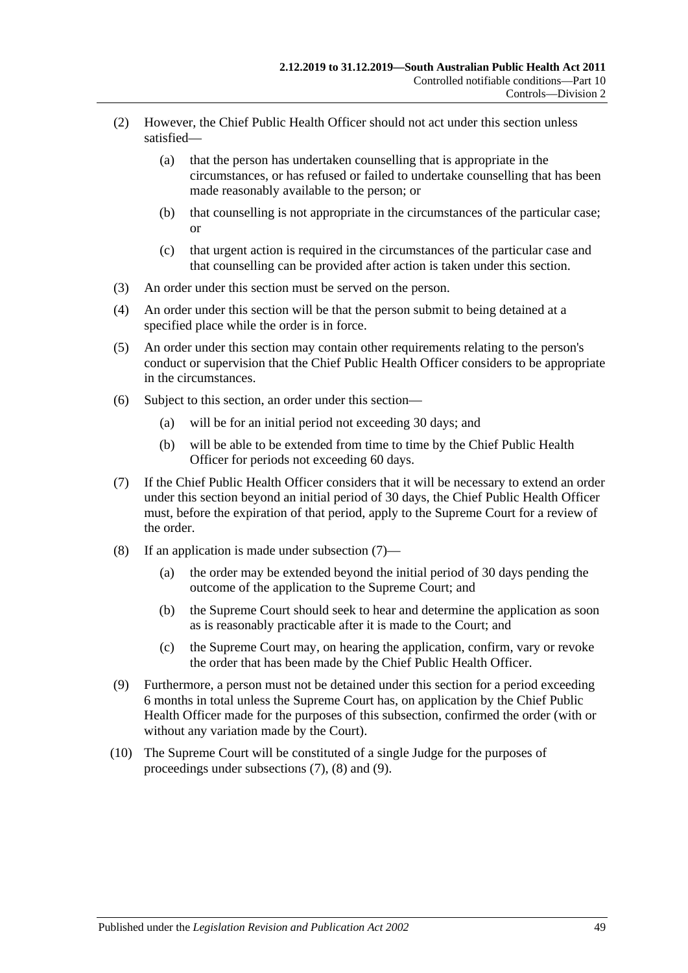- (2) However, the Chief Public Health Officer should not act under this section unless satisfied—
	- (a) that the person has undertaken counselling that is appropriate in the circumstances, or has refused or failed to undertake counselling that has been made reasonably available to the person; or
	- (b) that counselling is not appropriate in the circumstances of the particular case; or
	- (c) that urgent action is required in the circumstances of the particular case and that counselling can be provided after action is taken under this section.
- (3) An order under this section must be served on the person.
- (4) An order under this section will be that the person submit to being detained at a specified place while the order is in force.
- (5) An order under this section may contain other requirements relating to the person's conduct or supervision that the Chief Public Health Officer considers to be appropriate in the circumstances.
- (6) Subject to this section, an order under this section—
	- (a) will be for an initial period not exceeding 30 days; and
	- (b) will be able to be extended from time to time by the Chief Public Health Officer for periods not exceeding 60 days.
- <span id="page-48-0"></span>(7) If the Chief Public Health Officer considers that it will be necessary to extend an order under this section beyond an initial period of 30 days, the Chief Public Health Officer must, before the expiration of that period, apply to the Supreme Court for a review of the order.
- <span id="page-48-1"></span>(8) If an application is made under [subsection](#page-48-0) (7)—
	- (a) the order may be extended beyond the initial period of 30 days pending the outcome of the application to the Supreme Court; and
	- (b) the Supreme Court should seek to hear and determine the application as soon as is reasonably practicable after it is made to the Court; and
	- (c) the Supreme Court may, on hearing the application, confirm, vary or revoke the order that has been made by the Chief Public Health Officer.
- <span id="page-48-2"></span>(9) Furthermore, a person must not be detained under this section for a period exceeding 6 months in total unless the Supreme Court has, on application by the Chief Public Health Officer made for the purposes of this subsection, confirmed the order (with or without any variation made by the Court).
- (10) The Supreme Court will be constituted of a single Judge for the purposes of proceedings under [subsections](#page-48-0) (7), [\(8\)](#page-48-1) and [\(9\).](#page-48-2)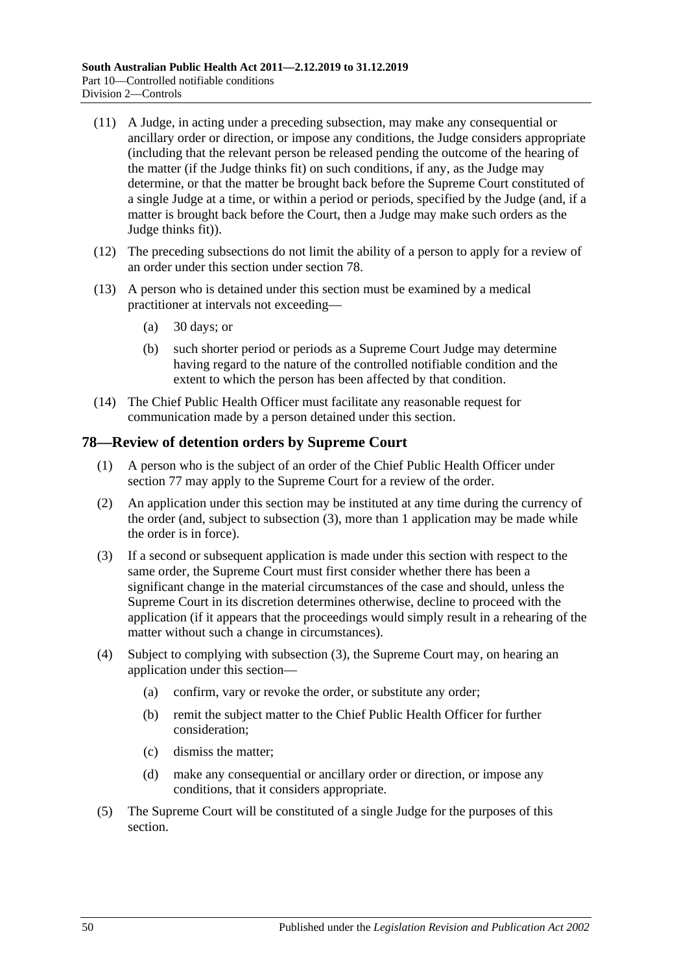- (11) A Judge, in acting under a preceding subsection, may make any consequential or ancillary order or direction, or impose any conditions, the Judge considers appropriate (including that the relevant person be released pending the outcome of the hearing of the matter (if the Judge thinks fit) on such conditions, if any, as the Judge may determine, or that the matter be brought back before the Supreme Court constituted of a single Judge at a time, or within a period or periods, specified by the Judge (and, if a matter is brought back before the Court, then a Judge may make such orders as the Judge thinks fit)).
- (12) The preceding subsections do not limit the ability of a person to apply for a review of an order under this section under [section](#page-49-0) 78.
- (13) A person who is detained under this section must be examined by a medical practitioner at intervals not exceeding—
	- (a) 30 days; or
	- (b) such shorter period or periods as a Supreme Court Judge may determine having regard to the nature of the controlled notifiable condition and the extent to which the person has been affected by that condition.
- (14) The Chief Public Health Officer must facilitate any reasonable request for communication made by a person detained under this section.

# <span id="page-49-0"></span>**78—Review of detention orders by Supreme Court**

- (1) A person who is the subject of an order of the Chief Public Health Officer under [section](#page-47-1) 77 may apply to the Supreme Court for a review of the order.
- (2) An application under this section may be instituted at any time during the currency of the order (and, subject to [subsection](#page-49-1) (3), more than 1 application may be made while the order is in force).
- <span id="page-49-1"></span>(3) If a second or subsequent application is made under this section with respect to the same order, the Supreme Court must first consider whether there has been a significant change in the material circumstances of the case and should, unless the Supreme Court in its discretion determines otherwise, decline to proceed with the application (if it appears that the proceedings would simply result in a rehearing of the matter without such a change in circumstances).
- (4) Subject to complying with [subsection](#page-49-1) (3), the Supreme Court may, on hearing an application under this section—
	- (a) confirm, vary or revoke the order, or substitute any order;
	- (b) remit the subject matter to the Chief Public Health Officer for further consideration;
	- (c) dismiss the matter;
	- (d) make any consequential or ancillary order or direction, or impose any conditions, that it considers appropriate.
- (5) The Supreme Court will be constituted of a single Judge for the purposes of this section.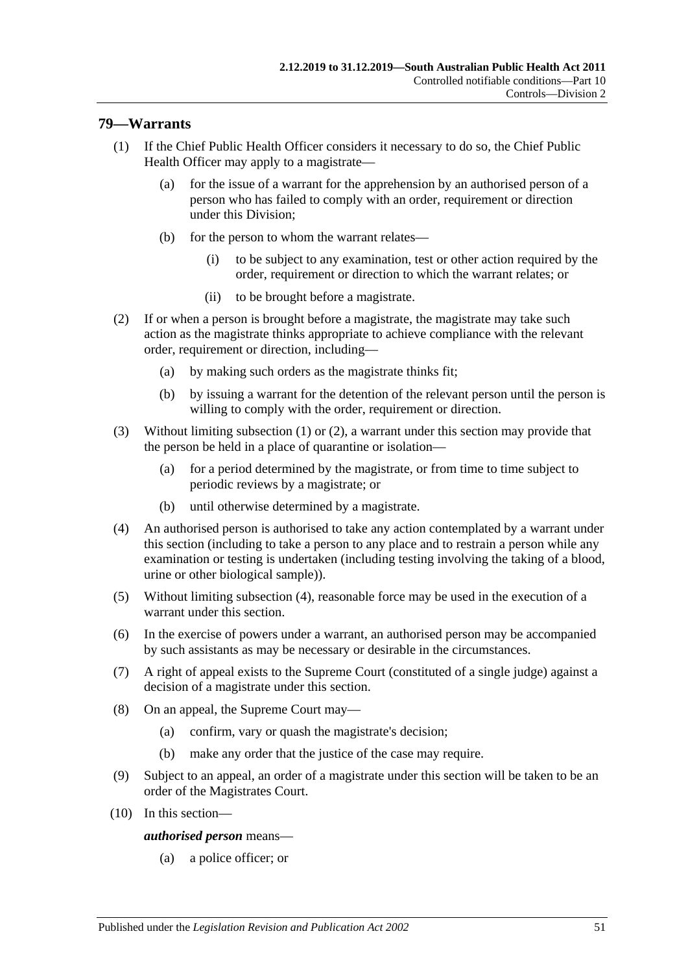## <span id="page-50-0"></span>**79—Warrants**

- (1) If the Chief Public Health Officer considers it necessary to do so, the Chief Public Health Officer may apply to a magistrate—
	- (a) for the issue of a warrant for the apprehension by an authorised person of a person who has failed to comply with an order, requirement or direction under this Division;
	- (b) for the person to whom the warrant relates—
		- (i) to be subject to any examination, test or other action required by the order, requirement or direction to which the warrant relates; or
		- (ii) to be brought before a magistrate.
- <span id="page-50-1"></span>(2) If or when a person is brought before a magistrate, the magistrate may take such action as the magistrate thinks appropriate to achieve compliance with the relevant order, requirement or direction, including—
	- (a) by making such orders as the magistrate thinks fit;
	- (b) by issuing a warrant for the detention of the relevant person until the person is willing to comply with the order, requirement or direction.
- (3) Without limiting [subsection](#page-50-0) (1) or [\(2\),](#page-50-1) a warrant under this section may provide that the person be held in a place of quarantine or isolation—
	- (a) for a period determined by the magistrate, or from time to time subject to periodic reviews by a magistrate; or
	- (b) until otherwise determined by a magistrate.
- <span id="page-50-2"></span>(4) An authorised person is authorised to take any action contemplated by a warrant under this section (including to take a person to any place and to restrain a person while any examination or testing is undertaken (including testing involving the taking of a blood, urine or other biological sample)).
- (5) Without limiting [subsection](#page-50-2) (4), reasonable force may be used in the execution of a warrant under this section.
- (6) In the exercise of powers under a warrant, an authorised person may be accompanied by such assistants as may be necessary or desirable in the circumstances.
- (7) A right of appeal exists to the Supreme Court (constituted of a single judge) against a decision of a magistrate under this section.
- (8) On an appeal, the Supreme Court may—
	- (a) confirm, vary or quash the magistrate's decision;
	- (b) make any order that the justice of the case may require.
- (9) Subject to an appeal, an order of a magistrate under this section will be taken to be an order of the Magistrates Court.
- (10) In this section—

*authorised person* means—

(a) a police officer; or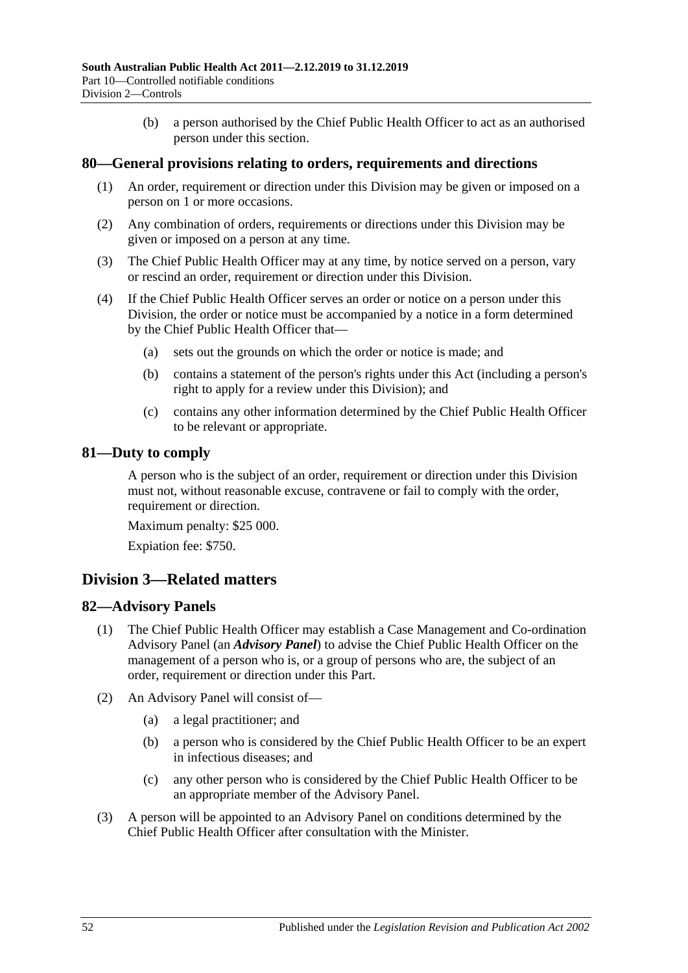(b) a person authorised by the Chief Public Health Officer to act as an authorised person under this section.

## **80—General provisions relating to orders, requirements and directions**

- (1) An order, requirement or direction under this Division may be given or imposed on a person on 1 or more occasions.
- (2) Any combination of orders, requirements or directions under this Division may be given or imposed on a person at any time.
- (3) The Chief Public Health Officer may at any time, by notice served on a person, vary or rescind an order, requirement or direction under this Division.
- (4) If the Chief Public Health Officer serves an order or notice on a person under this Division, the order or notice must be accompanied by a notice in a form determined by the Chief Public Health Officer that—
	- (a) sets out the grounds on which the order or notice is made; and
	- (b) contains a statement of the person's rights under this Act (including a person's right to apply for a review under this Division); and
	- (c) contains any other information determined by the Chief Public Health Officer to be relevant or appropriate.

## **81—Duty to comply**

A person who is the subject of an order, requirement or direction under this Division must not, without reasonable excuse, contravene or fail to comply with the order, requirement or direction.

Maximum penalty: \$25 000.

Expiation fee: \$750.

# **Division 3—Related matters**

#### **82—Advisory Panels**

- (1) The Chief Public Health Officer may establish a Case Management and Co-ordination Advisory Panel (an *Advisory Panel*) to advise the Chief Public Health Officer on the management of a person who is, or a group of persons who are, the subject of an order, requirement or direction under this Part.
- (2) An Advisory Panel will consist of—
	- (a) a legal practitioner; and
	- (b) a person who is considered by the Chief Public Health Officer to be an expert in infectious diseases; and
	- (c) any other person who is considered by the Chief Public Health Officer to be an appropriate member of the Advisory Panel.
- (3) A person will be appointed to an Advisory Panel on conditions determined by the Chief Public Health Officer after consultation with the Minister.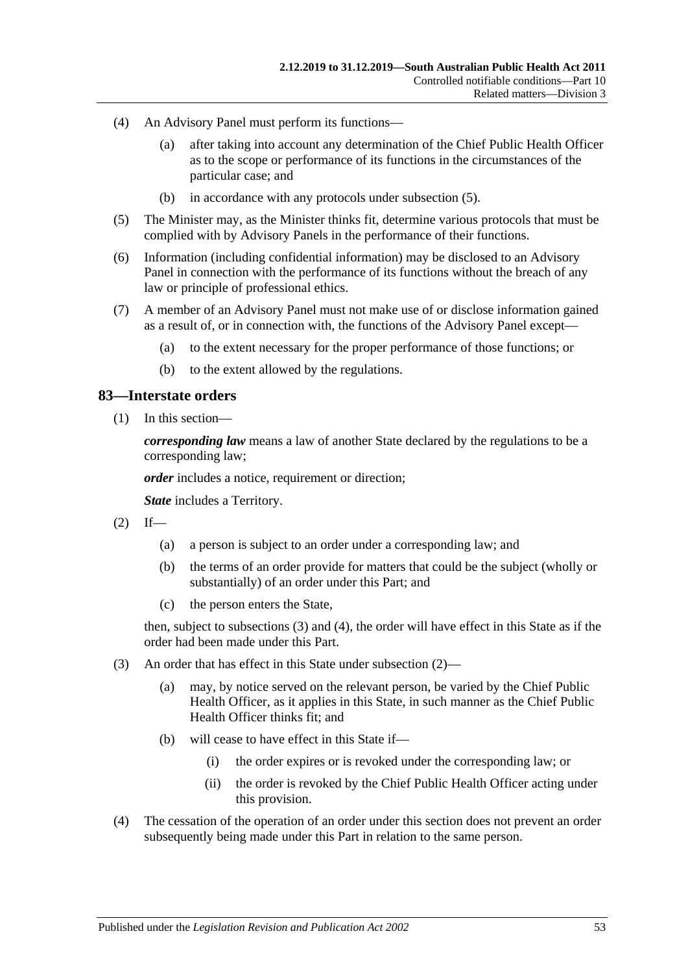- (4) An Advisory Panel must perform its functions—
	- (a) after taking into account any determination of the Chief Public Health Officer as to the scope or performance of its functions in the circumstances of the particular case; and
	- (b) in accordance with any protocols under [subsection](#page-52-0) (5).
- <span id="page-52-0"></span>(5) The Minister may, as the Minister thinks fit, determine various protocols that must be complied with by Advisory Panels in the performance of their functions.
- (6) Information (including confidential information) may be disclosed to an Advisory Panel in connection with the performance of its functions without the breach of any law or principle of professional ethics.
- (7) A member of an Advisory Panel must not make use of or disclose information gained as a result of, or in connection with, the functions of the Advisory Panel except—
	- (a) to the extent necessary for the proper performance of those functions; or
	- (b) to the extent allowed by the regulations.

## **83—Interstate orders**

(1) In this section—

*corresponding law* means a law of another State declared by the regulations to be a corresponding law;

*order* includes a notice, requirement or direction;

*State* includes a Territory.

- <span id="page-52-3"></span> $(2)$  If—
	- (a) a person is subject to an order under a corresponding law; and
	- (b) the terms of an order provide for matters that could be the subject (wholly or substantially) of an order under this Part; and
	- (c) the person enters the State,

then, subject to [subsections](#page-52-1) (3) and [\(4\),](#page-52-2) the order will have effect in this State as if the order had been made under this Part.

- <span id="page-52-1"></span>(3) An order that has effect in this State under [subsection](#page-52-3) (2)—
	- (a) may, by notice served on the relevant person, be varied by the Chief Public Health Officer, as it applies in this State, in such manner as the Chief Public Health Officer thinks fit; and
	- (b) will cease to have effect in this State if—
		- (i) the order expires or is revoked under the corresponding law; or
		- (ii) the order is revoked by the Chief Public Health Officer acting under this provision.
- <span id="page-52-2"></span>(4) The cessation of the operation of an order under this section does not prevent an order subsequently being made under this Part in relation to the same person.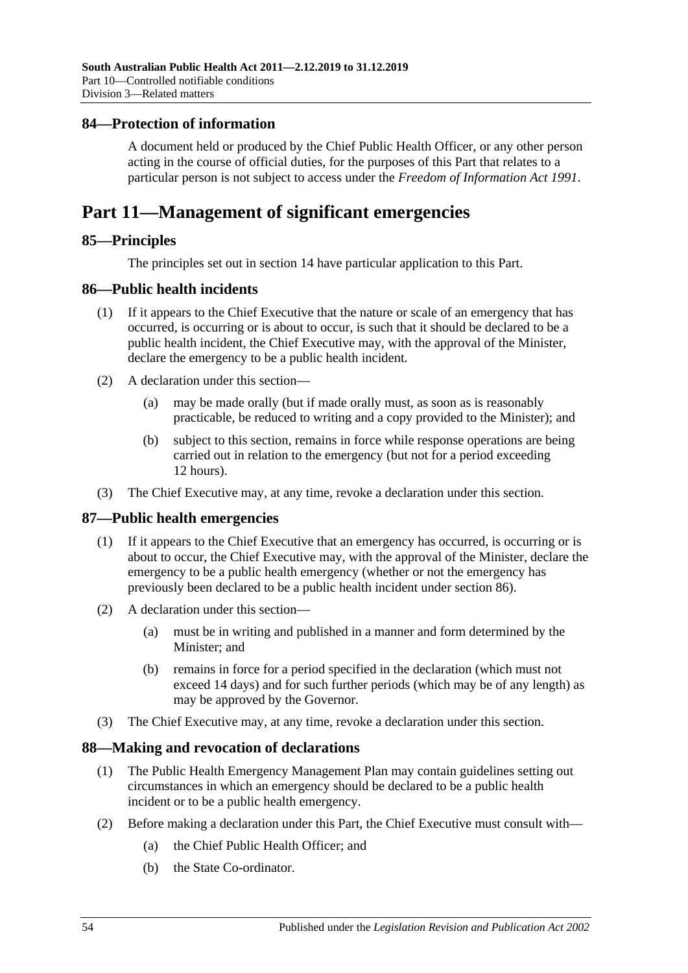## **84—Protection of information**

A document held or produced by the Chief Public Health Officer, or any other person acting in the course of official duties, for the purposes of this Part that relates to a particular person is not subject to access under the *[Freedom of Information Act](http://www.legislation.sa.gov.au/index.aspx?action=legref&type=act&legtitle=Freedom%20of%20Information%20Act%201991) 1991*.

# **Part 11—Management of significant emergencies**

## **85—Principles**

The principles set out in [section](#page-9-0) 14 have particular application to this Part.

## <span id="page-53-0"></span>**86—Public health incidents**

- (1) If it appears to the Chief Executive that the nature or scale of an emergency that has occurred, is occurring or is about to occur, is such that it should be declared to be a public health incident, the Chief Executive may, with the approval of the Minister, declare the emergency to be a public health incident.
- (2) A declaration under this section—
	- (a) may be made orally (but if made orally must, as soon as is reasonably practicable, be reduced to writing and a copy provided to the Minister); and
	- (b) subject to this section, remains in force while response operations are being carried out in relation to the emergency (but not for a period exceeding 12 hours).
- (3) The Chief Executive may, at any time, revoke a declaration under this section.

#### **87—Public health emergencies**

- (1) If it appears to the Chief Executive that an emergency has occurred, is occurring or is about to occur, the Chief Executive may, with the approval of the Minister, declare the emergency to be a public health emergency (whether or not the emergency has previously been declared to be a public health incident under [section](#page-53-0) 86).
- (2) A declaration under this section—
	- (a) must be in writing and published in a manner and form determined by the Minister; and
	- (b) remains in force for a period specified in the declaration (which must not exceed 14 days) and for such further periods (which may be of any length) as may be approved by the Governor.
- (3) The Chief Executive may, at any time, revoke a declaration under this section.

#### **88—Making and revocation of declarations**

- (1) The Public Health Emergency Management Plan may contain guidelines setting out circumstances in which an emergency should be declared to be a public health incident or to be a public health emergency.
- (2) Before making a declaration under this Part, the Chief Executive must consult with—
	- (a) the Chief Public Health Officer; and
	- (b) the State Co-ordinator.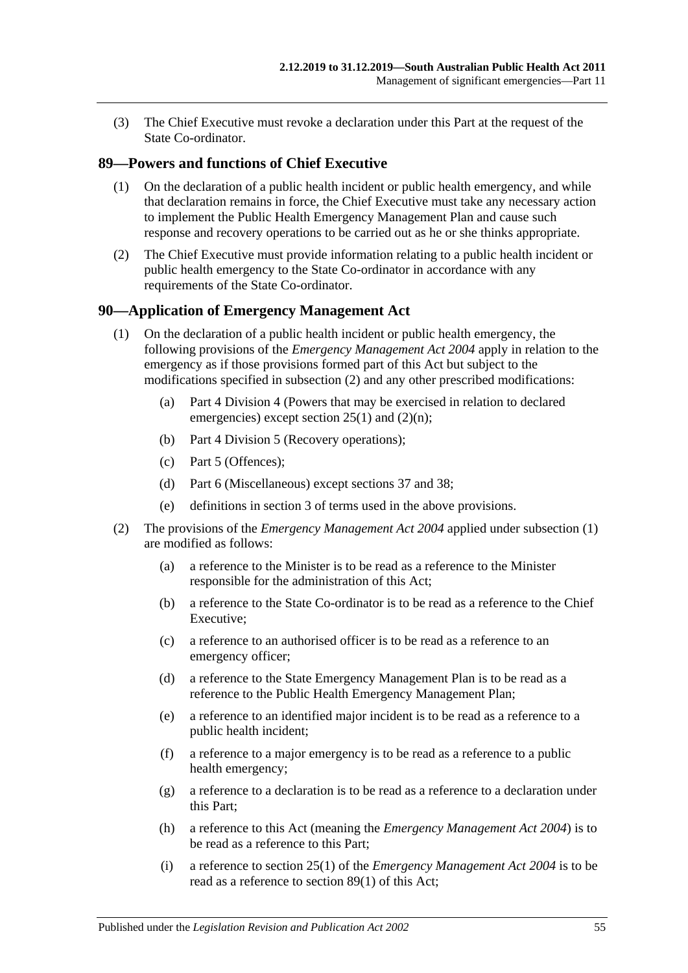(3) The Chief Executive must revoke a declaration under this Part at the request of the State Co-ordinator.

# <span id="page-54-2"></span>**89—Powers and functions of Chief Executive**

- (1) On the declaration of a public health incident or public health emergency, and while that declaration remains in force, the Chief Executive must take any necessary action to implement the Public Health Emergency Management Plan and cause such response and recovery operations to be carried out as he or she thinks appropriate.
- (2) The Chief Executive must provide information relating to a public health incident or public health emergency to the State Co-ordinator in accordance with any requirements of the State Co-ordinator.

## <span id="page-54-1"></span>**90—Application of Emergency Management Act**

- (1) On the declaration of a public health incident or public health emergency, the following provisions of the *[Emergency Management Act](http://www.legislation.sa.gov.au/index.aspx?action=legref&type=act&legtitle=Emergency%20Management%20Act%202004) 2004* apply in relation to the emergency as if those provisions formed part of this Act but subject to the modifications specified in [subsection](#page-54-0) (2) and any other prescribed modifications:
	- (a) Part 4 Division 4 (Powers that may be exercised in relation to declared emergencies) except section 25(1) and (2)(n);
	- (b) Part 4 Division 5 (Recovery operations);
	- (c) Part 5 (Offences);
	- (d) Part 6 (Miscellaneous) except sections 37 and 38;
	- (e) definitions in section 3 of terms used in the above provisions.
- <span id="page-54-0"></span>(2) The provisions of the *[Emergency Management Act](http://www.legislation.sa.gov.au/index.aspx?action=legref&type=act&legtitle=Emergency%20Management%20Act%202004) 2004* applied under [subsection](#page-54-1) (1) are modified as follows:
	- (a) a reference to the Minister is to be read as a reference to the Minister responsible for the administration of this Act;
	- (b) a reference to the State Co-ordinator is to be read as a reference to the Chief Executive;
	- (c) a reference to an authorised officer is to be read as a reference to an emergency officer;
	- (d) a reference to the State Emergency Management Plan is to be read as a reference to the Public Health Emergency Management Plan;
	- (e) a reference to an identified major incident is to be read as a reference to a public health incident;
	- (f) a reference to a major emergency is to be read as a reference to a public health emergency;
	- (g) a reference to a declaration is to be read as a reference to a declaration under this Part;
	- (h) a reference to this Act (meaning the *[Emergency Management Act](http://www.legislation.sa.gov.au/index.aspx?action=legref&type=act&legtitle=Emergency%20Management%20Act%202004) 2004*) is to be read as a reference to this Part;
	- (i) a reference to section 25(1) of the *[Emergency Management Act](http://www.legislation.sa.gov.au/index.aspx?action=legref&type=act&legtitle=Emergency%20Management%20Act%202004) 2004* is to be read as a reference to [section](#page-54-2) 89(1) of this Act;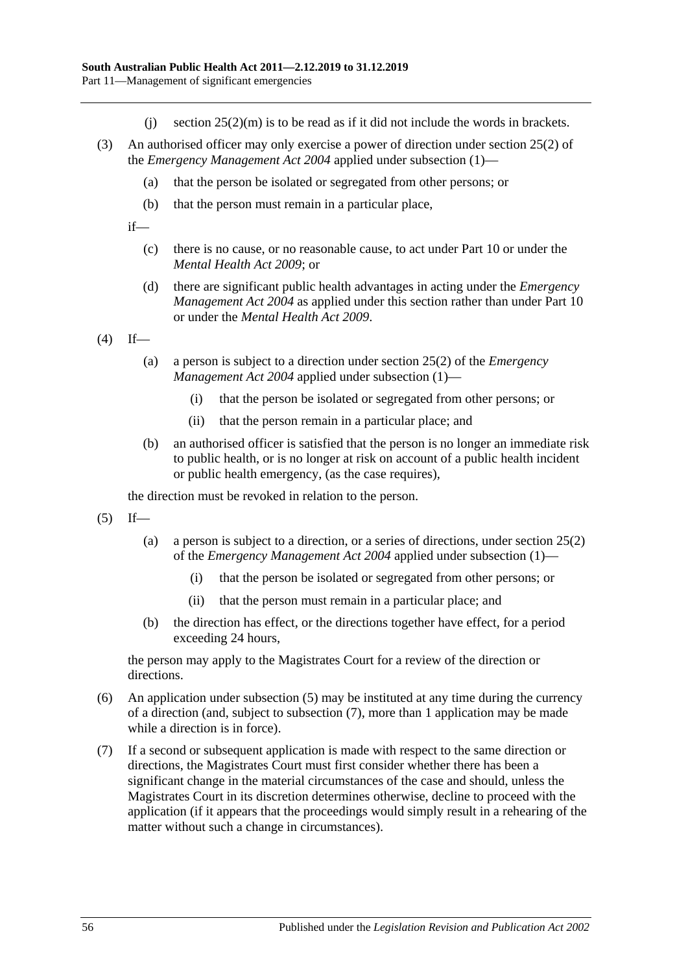- (i) section  $25(2)(m)$  is to be read as if it did not include the words in brackets.
- (3) An authorised officer may only exercise a power of direction under section 25(2) of the *[Emergency Management Act](http://www.legislation.sa.gov.au/index.aspx?action=legref&type=act&legtitle=Emergency%20Management%20Act%202004) 2004* applied under [subsection](#page-54-1) (1)—
	- (a) that the person be isolated or segregated from other persons; or
	- (b) that the person must remain in a particular place,

if—

- (c) there is no cause, or no reasonable cause, to act under [Part](#page-41-2) 10 or under the *[Mental Health Act](http://www.legislation.sa.gov.au/index.aspx?action=legref&type=act&legtitle=Mental%20Health%20Act%202009) 2009*; or
- (d) there are significant public health advantages in acting under the *[Emergency](http://www.legislation.sa.gov.au/index.aspx?action=legref&type=act&legtitle=Emergency%20Management%20Act%202004)  [Management Act](http://www.legislation.sa.gov.au/index.aspx?action=legref&type=act&legtitle=Emergency%20Management%20Act%202004) 2004* as applied under this section rather than under [Part](#page-41-2) 10 or under the *[Mental Health Act](http://www.legislation.sa.gov.au/index.aspx?action=legref&type=act&legtitle=Mental%20Health%20Act%202009) 2009*.

 $(4)$  If—

- (a) a person is subject to a direction under section 25(2) of the *[Emergency](http://www.legislation.sa.gov.au/index.aspx?action=legref&type=act&legtitle=Emergency%20Management%20Act%202004)  [Management Act](http://www.legislation.sa.gov.au/index.aspx?action=legref&type=act&legtitle=Emergency%20Management%20Act%202004) 2004* applied under [subsection](#page-54-1) (1)—
	- (i) that the person be isolated or segregated from other persons; or
	- (ii) that the person remain in a particular place; and
- (b) an authorised officer is satisfied that the person is no longer an immediate risk to public health, or is no longer at risk on account of a public health incident or public health emergency, (as the case requires),

the direction must be revoked in relation to the person.

- <span id="page-55-0"></span> $(5)$  If—
	- (a) a person is subject to a direction, or a series of directions, under section 25(2) of the *[Emergency Management Act](http://www.legislation.sa.gov.au/index.aspx?action=legref&type=act&legtitle=Emergency%20Management%20Act%202004) 2004* applied under [subsection](#page-54-1) (1)—
		- (i) that the person be isolated or segregated from other persons; or
		- (ii) that the person must remain in a particular place; and
	- (b) the direction has effect, or the directions together have effect, for a period exceeding 24 hours,

the person may apply to the Magistrates Court for a review of the direction or directions.

- (6) An application under [subsection](#page-55-0) (5) may be instituted at any time during the currency of a direction (and, subject to [subsection](#page-55-1) (7), more than 1 application may be made while a direction is in force).
- <span id="page-55-1"></span>(7) If a second or subsequent application is made with respect to the same direction or directions, the Magistrates Court must first consider whether there has been a significant change in the material circumstances of the case and should, unless the Magistrates Court in its discretion determines otherwise, decline to proceed with the application (if it appears that the proceedings would simply result in a rehearing of the matter without such a change in circumstances).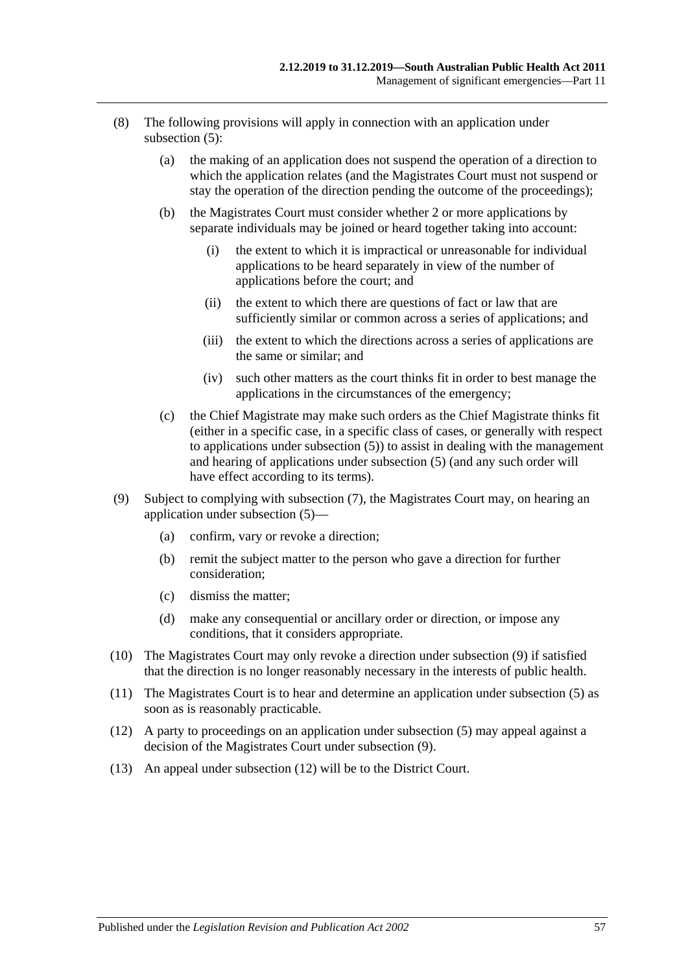- (8) The following provisions will apply in connection with an application under [subsection](#page-55-0) (5):
	- (a) the making of an application does not suspend the operation of a direction to which the application relates (and the Magistrates Court must not suspend or stay the operation of the direction pending the outcome of the proceedings);
	- (b) the Magistrates Court must consider whether 2 or more applications by separate individuals may be joined or heard together taking into account:
		- (i) the extent to which it is impractical or unreasonable for individual applications to be heard separately in view of the number of applications before the court; and
		- (ii) the extent to which there are questions of fact or law that are sufficiently similar or common across a series of applications; and
		- (iii) the extent to which the directions across a series of applications are the same or similar; and
		- (iv) such other matters as the court thinks fit in order to best manage the applications in the circumstances of the emergency;
	- (c) the Chief Magistrate may make such orders as the Chief Magistrate thinks fit (either in a specific case, in a specific class of cases, or generally with respect to applications under [subsection](#page-55-0) (5)) to assist in dealing with the management and hearing of applications under [subsection](#page-55-0) (5) (and any such order will have effect according to its terms).
- <span id="page-56-0"></span>(9) Subject to complying with [subsection](#page-55-1) (7), the Magistrates Court may, on hearing an application under [subsection](#page-55-0) (5)—
	- (a) confirm, vary or revoke a direction;
	- (b) remit the subject matter to the person who gave a direction for further consideration;
	- (c) dismiss the matter;
	- (d) make any consequential or ancillary order or direction, or impose any conditions, that it considers appropriate.
- (10) The Magistrates Court may only revoke a direction under [subsection](#page-56-0) (9) if satisfied that the direction is no longer reasonably necessary in the interests of public health.
- (11) The Magistrates Court is to hear and determine an application under [subsection](#page-55-0) (5) as soon as is reasonably practicable.
- <span id="page-56-1"></span>(12) A party to proceedings on an application under [subsection](#page-55-0) (5) may appeal against a decision of the Magistrates Court under [subsection](#page-56-0) (9).
- (13) An appeal under [subsection](#page-56-1) (12) will be to the District Court.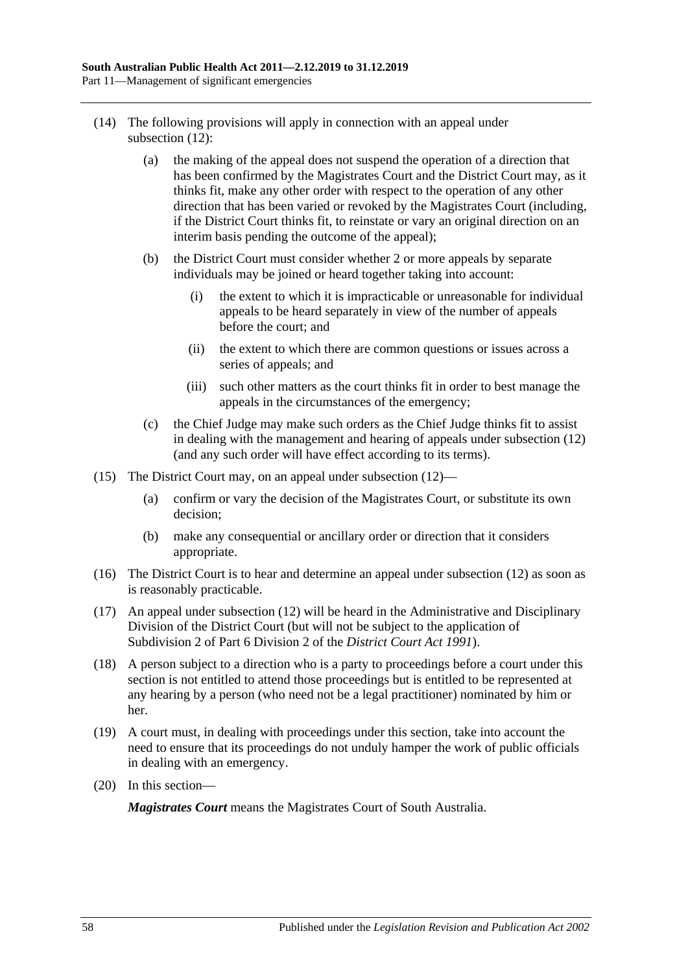- (14) The following provisions will apply in connection with an appeal under [subsection](#page-56-1) (12):
	- (a) the making of the appeal does not suspend the operation of a direction that has been confirmed by the Magistrates Court and the District Court may, as it thinks fit, make any other order with respect to the operation of any other direction that has been varied or revoked by the Magistrates Court (including, if the District Court thinks fit, to reinstate or vary an original direction on an interim basis pending the outcome of the appeal);
	- (b) the District Court must consider whether 2 or more appeals by separate individuals may be joined or heard together taking into account:
		- (i) the extent to which it is impracticable or unreasonable for individual appeals to be heard separately in view of the number of appeals before the court; and
		- (ii) the extent to which there are common questions or issues across a series of appeals; and
		- (iii) such other matters as the court thinks fit in order to best manage the appeals in the circumstances of the emergency;
	- (c) the Chief Judge may make such orders as the Chief Judge thinks fit to assist in dealing with the management and hearing of appeals under [subsection](#page-56-1) (12) (and any such order will have effect according to its terms).
- (15) The District Court may, on an appeal under [subsection](#page-56-1) (12)—
	- (a) confirm or vary the decision of the Magistrates Court, or substitute its own decision;
	- (b) make any consequential or ancillary order or direction that it considers appropriate.
- (16) The District Court is to hear and determine an appeal under [subsection](#page-56-1) (12) as soon as is reasonably practicable.
- (17) An appeal under [subsection](#page-56-1) (12) will be heard in the Administrative and Disciplinary Division of the District Court (but will not be subject to the application of Subdivision 2 of Part 6 Division 2 of the *[District Court Act](http://www.legislation.sa.gov.au/index.aspx?action=legref&type=act&legtitle=District%20Court%20Act%201991) 1991*).
- (18) A person subject to a direction who is a party to proceedings before a court under this section is not entitled to attend those proceedings but is entitled to be represented at any hearing by a person (who need not be a legal practitioner) nominated by him or her.
- (19) A court must, in dealing with proceedings under this section, take into account the need to ensure that its proceedings do not unduly hamper the work of public officials in dealing with an emergency.
- (20) In this section—

*Magistrates Court* means the Magistrates Court of South Australia.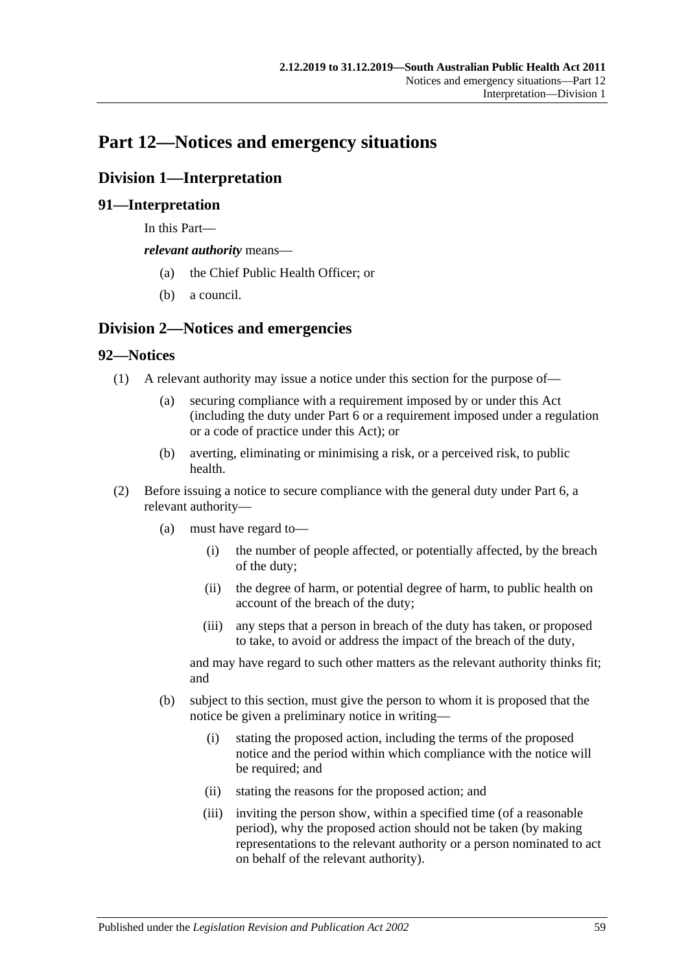# **Part 12—Notices and emergency situations**

# **Division 1—Interpretation**

# **91—Interpretation**

In this Part—

*relevant authority* means—

- (a) the Chief Public Health Officer; or
- (b) a council.

# **Division 2—Notices and emergencies**

# **92—Notices**

- (1) A relevant authority may issue a notice under this section for the purpose of—
	- (a) securing compliance with a requirement imposed by or under this Act (including the duty under [Part](#page-32-0) 6 or a requirement imposed under a regulation or a code of practice under this Act); or
	- (b) averting, eliminating or minimising a risk, or a perceived risk, to public health.
- (2) Before issuing a notice to secure compliance with the general duty under [Part](#page-32-0) 6, a relevant authority—
	- (a) must have regard to—
		- (i) the number of people affected, or potentially affected, by the breach of the duty;
		- (ii) the degree of harm, or potential degree of harm, to public health on account of the breach of the duty;
		- (iii) any steps that a person in breach of the duty has taken, or proposed to take, to avoid or address the impact of the breach of the duty,

and may have regard to such other matters as the relevant authority thinks fit; and

- <span id="page-58-0"></span>(b) subject to this section, must give the person to whom it is proposed that the notice be given a preliminary notice in writing—
	- (i) stating the proposed action, including the terms of the proposed notice and the period within which compliance with the notice will be required; and
	- (ii) stating the reasons for the proposed action; and
	- (iii) inviting the person show, within a specified time (of a reasonable period), why the proposed action should not be taken (by making representations to the relevant authority or a person nominated to act on behalf of the relevant authority).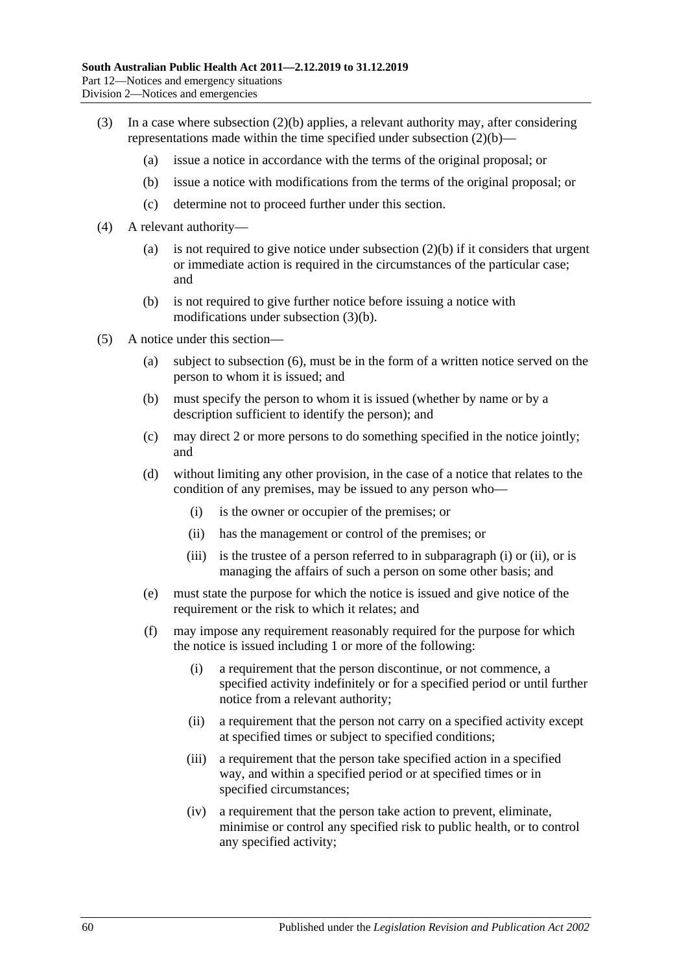- <span id="page-59-0"></span>(3) In a case where [subsection](#page-58-0) (2)(b) applies, a relevant authority may, after considering representations made within the time specified under [subsection](#page-58-0) (2)(b)—
	- (a) issue a notice in accordance with the terms of the original proposal; or
	- (b) issue a notice with modifications from the terms of the original proposal; or
	- (c) determine not to proceed further under this section.
- (4) A relevant authority
	- (a) is not required to give notice under [subsection](#page-58-0)  $(2)(b)$  if it considers that urgent or immediate action is required in the circumstances of the particular case; and
	- (b) is not required to give further notice before issuing a notice with modifications under [subsection](#page-59-0) (3)(b).
- <span id="page-59-3"></span><span id="page-59-2"></span><span id="page-59-1"></span>(5) A notice under this section—
	- (a) subject to [subsection](#page-60-0) (6), must be in the form of a written notice served on the person to whom it is issued; and
	- (b) must specify the person to whom it is issued (whether by name or by a description sufficient to identify the person); and
	- (c) may direct 2 or more persons to do something specified in the notice jointly; and
	- (d) without limiting any other provision, in the case of a notice that relates to the condition of any premises, may be issued to any person who—
		- (i) is the owner or occupier of the premises; or
		- (ii) has the management or control of the premises; or
		- (iii) is the trustee of a person referred to in [subparagraph](#page-59-1) (i) or [\(ii\),](#page-59-2) or is managing the affairs of such a person on some other basis; and
	- (e) must state the purpose for which the notice is issued and give notice of the requirement or the risk to which it relates; and
	- (f) may impose any requirement reasonably required for the purpose for which the notice is issued including 1 or more of the following:
		- (i) a requirement that the person discontinue, or not commence, a specified activity indefinitely or for a specified period or until further notice from a relevant authority;
		- (ii) a requirement that the person not carry on a specified activity except at specified times or subject to specified conditions;
		- (iii) a requirement that the person take specified action in a specified way, and within a specified period or at specified times or in specified circumstances;
		- (iv) a requirement that the person take action to prevent, eliminate, minimise or control any specified risk to public health, or to control any specified activity;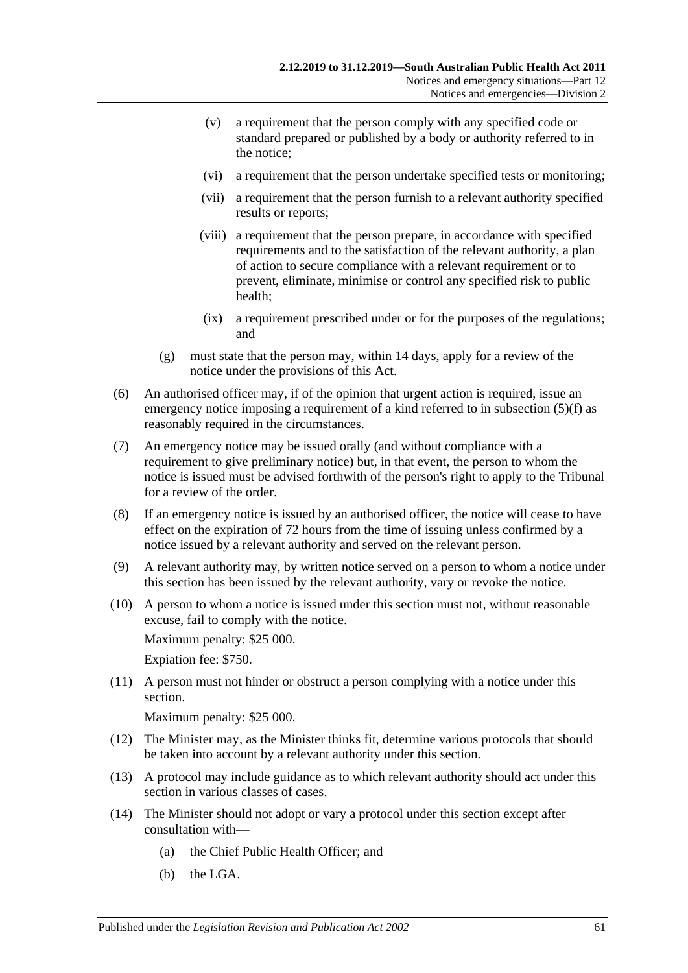- (v) a requirement that the person comply with any specified code or standard prepared or published by a body or authority referred to in the notice;
- (vi) a requirement that the person undertake specified tests or monitoring;
- (vii) a requirement that the person furnish to a relevant authority specified results or reports;
- (viii) a requirement that the person prepare, in accordance with specified requirements and to the satisfaction of the relevant authority, a plan of action to secure compliance with a relevant requirement or to prevent, eliminate, minimise or control any specified risk to public health;
- (ix) a requirement prescribed under or for the purposes of the regulations; and
- (g) must state that the person may, within 14 days, apply for a review of the notice under the provisions of this Act.
- <span id="page-60-0"></span>(6) An authorised officer may, if of the opinion that urgent action is required, issue an emergency notice imposing a requirement of a kind referred to in [subsection](#page-59-3) (5)(f) as reasonably required in the circumstances.
- (7) An emergency notice may be issued orally (and without compliance with a requirement to give preliminary notice) but, in that event, the person to whom the notice is issued must be advised forthwith of the person's right to apply to the Tribunal for a review of the order.
- (8) If an emergency notice is issued by an authorised officer, the notice will cease to have effect on the expiration of 72 hours from the time of issuing unless confirmed by a notice issued by a relevant authority and served on the relevant person.
- (9) A relevant authority may, by written notice served on a person to whom a notice under this section has been issued by the relevant authority, vary or revoke the notice.
- (10) A person to whom a notice is issued under this section must not, without reasonable excuse, fail to comply with the notice.

Maximum penalty: \$25 000.

Expiation fee: \$750.

(11) A person must not hinder or obstruct a person complying with a notice under this section.

Maximum penalty: \$25 000.

- (12) The Minister may, as the Minister thinks fit, determine various protocols that should be taken into account by a relevant authority under this section.
- (13) A protocol may include guidance as to which relevant authority should act under this section in various classes of cases.
- (14) The Minister should not adopt or vary a protocol under this section except after consultation with—
	- (a) the Chief Public Health Officer; and
	- (b) the LGA.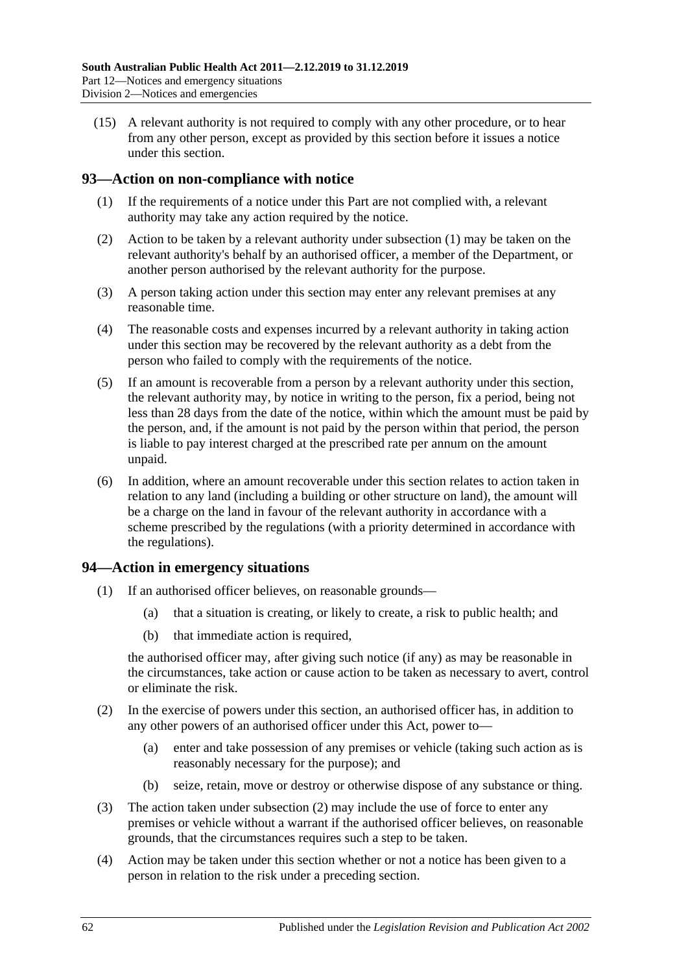(15) A relevant authority is not required to comply with any other procedure, or to hear from any other person, except as provided by this section before it issues a notice under this section.

# <span id="page-61-0"></span>**93—Action on non-compliance with notice**

- (1) If the requirements of a notice under this Part are not complied with, a relevant authority may take any action required by the notice.
- (2) Action to be taken by a relevant authority under [subsection](#page-61-0) (1) may be taken on the relevant authority's behalf by an authorised officer, a member of the Department, or another person authorised by the relevant authority for the purpose.
- (3) A person taking action under this section may enter any relevant premises at any reasonable time.
- (4) The reasonable costs and expenses incurred by a relevant authority in taking action under this section may be recovered by the relevant authority as a debt from the person who failed to comply with the requirements of the notice.
- (5) If an amount is recoverable from a person by a relevant authority under this section, the relevant authority may, by notice in writing to the person, fix a period, being not less than 28 days from the date of the notice, within which the amount must be paid by the person, and, if the amount is not paid by the person within that period, the person is liable to pay interest charged at the prescribed rate per annum on the amount unpaid.
- (6) In addition, where an amount recoverable under this section relates to action taken in relation to any land (including a building or other structure on land), the amount will be a charge on the land in favour of the relevant authority in accordance with a scheme prescribed by the regulations (with a priority determined in accordance with the regulations).

#### **94—Action in emergency situations**

- (1) If an authorised officer believes, on reasonable grounds—
	- (a) that a situation is creating, or likely to create, a risk to public health; and
	- (b) that immediate action is required,

the authorised officer may, after giving such notice (if any) as may be reasonable in the circumstances, take action or cause action to be taken as necessary to avert, control or eliminate the risk.

- <span id="page-61-1"></span>(2) In the exercise of powers under this section, an authorised officer has, in addition to any other powers of an authorised officer under this Act, power to—
	- (a) enter and take possession of any premises or vehicle (taking such action as is reasonably necessary for the purpose); and
	- (b) seize, retain, move or destroy or otherwise dispose of any substance or thing.
- (3) The action taken under [subsection](#page-61-1) (2) may include the use of force to enter any premises or vehicle without a warrant if the authorised officer believes, on reasonable grounds, that the circumstances requires such a step to be taken.
- (4) Action may be taken under this section whether or not a notice has been given to a person in relation to the risk under a preceding section.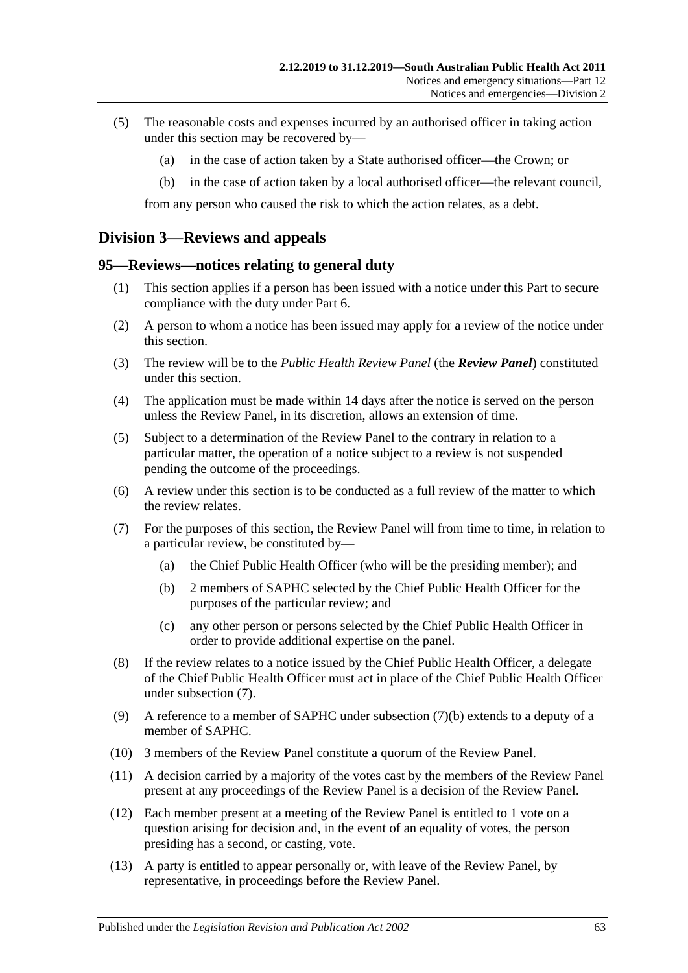- (5) The reasonable costs and expenses incurred by an authorised officer in taking action under this section may be recovered by—
	- (a) in the case of action taken by a State authorised officer—the Crown; or
	- (b) in the case of action taken by a local authorised officer—the relevant council,

from any person who caused the risk to which the action relates, as a debt.

# **Division 3—Reviews and appeals**

## <span id="page-62-2"></span>**95—Reviews—notices relating to general duty**

- (1) This section applies if a person has been issued with a notice under this Part to secure compliance with the duty under [Part](#page-32-0) 6.
- (2) A person to whom a notice has been issued may apply for a review of the notice under this section.
- (3) The review will be to the *Public Health Review Panel* (the *Review Panel*) constituted under this section.
- (4) The application must be made within 14 days after the notice is served on the person unless the Review Panel, in its discretion, allows an extension of time.
- (5) Subject to a determination of the Review Panel to the contrary in relation to a particular matter, the operation of a notice subject to a review is not suspended pending the outcome of the proceedings.
- (6) A review under this section is to be conducted as a full review of the matter to which the review relates.
- <span id="page-62-1"></span><span id="page-62-0"></span>(7) For the purposes of this section, the Review Panel will from time to time, in relation to a particular review, be constituted by—
	- (a) the Chief Public Health Officer (who will be the presiding member); and
	- (b) 2 members of SAPHC selected by the Chief Public Health Officer for the purposes of the particular review; and
	- (c) any other person or persons selected by the Chief Public Health Officer in order to provide additional expertise on the panel.
- (8) If the review relates to a notice issued by the Chief Public Health Officer, a delegate of the Chief Public Health Officer must act in place of the Chief Public Health Officer under [subsection](#page-62-0) (7).
- (9) A reference to a member of SAPHC under [subsection](#page-62-1) (7)(b) extends to a deputy of a member of SAPHC.
- (10) 3 members of the Review Panel constitute a quorum of the Review Panel.
- (11) A decision carried by a majority of the votes cast by the members of the Review Panel present at any proceedings of the Review Panel is a decision of the Review Panel.
- (12) Each member present at a meeting of the Review Panel is entitled to 1 vote on a question arising for decision and, in the event of an equality of votes, the person presiding has a second, or casting, vote.
- (13) A party is entitled to appear personally or, with leave of the Review Panel, by representative, in proceedings before the Review Panel.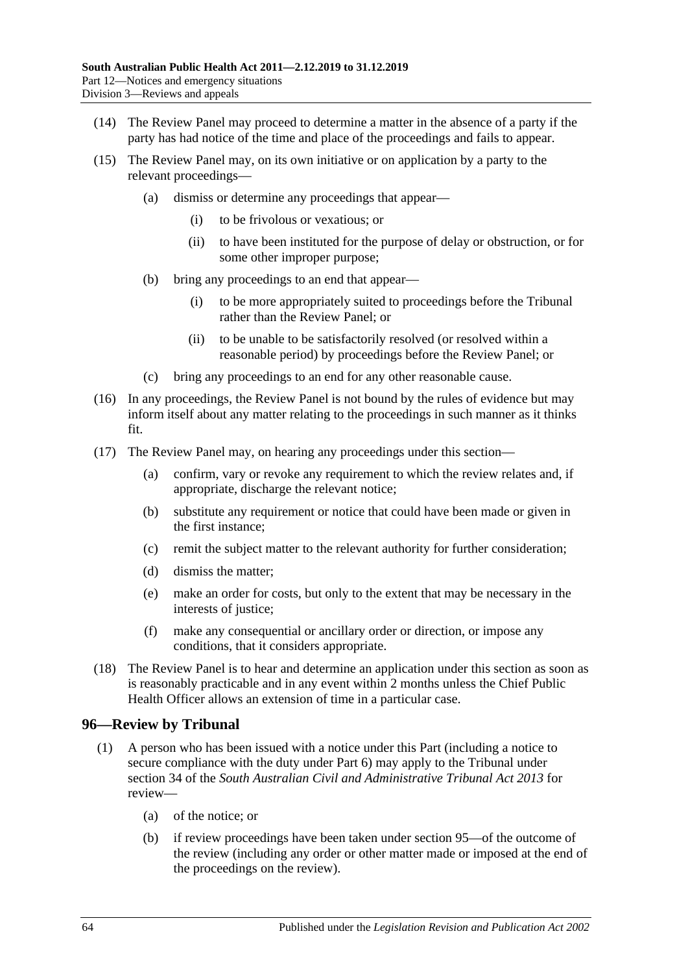- (14) The Review Panel may proceed to determine a matter in the absence of a party if the party has had notice of the time and place of the proceedings and fails to appear.
- (15) The Review Panel may, on its own initiative or on application by a party to the relevant proceedings—
	- (a) dismiss or determine any proceedings that appear—
		- (i) to be frivolous or vexatious; or
		- (ii) to have been instituted for the purpose of delay or obstruction, or for some other improper purpose;
	- (b) bring any proceedings to an end that appear—
		- (i) to be more appropriately suited to proceedings before the Tribunal rather than the Review Panel; or
		- (ii) to be unable to be satisfactorily resolved (or resolved within a reasonable period) by proceedings before the Review Panel; or
	- (c) bring any proceedings to an end for any other reasonable cause.
- (16) In any proceedings, the Review Panel is not bound by the rules of evidence but may inform itself about any matter relating to the proceedings in such manner as it thinks fit.
- (17) The Review Panel may, on hearing any proceedings under this section—
	- (a) confirm, vary or revoke any requirement to which the review relates and, if appropriate, discharge the relevant notice;
	- (b) substitute any requirement or notice that could have been made or given in the first instance;
	- (c) remit the subject matter to the relevant authority for further consideration;
	- (d) dismiss the matter;
	- (e) make an order for costs, but only to the extent that may be necessary in the interests of justice;
	- (f) make any consequential or ancillary order or direction, or impose any conditions, that it considers appropriate.
- (18) The Review Panel is to hear and determine an application under this section as soon as is reasonably practicable and in any event within 2 months unless the Chief Public Health Officer allows an extension of time in a particular case.

# **96—Review by Tribunal**

- <span id="page-63-1"></span><span id="page-63-0"></span>(1) A person who has been issued with a notice under this Part (including a notice to secure compliance with the duty under [Part](#page-32-0) 6) may apply to the Tribunal under section 34 of the *[South Australian Civil and Administrative Tribunal Act](http://www.legislation.sa.gov.au/index.aspx?action=legref&type=act&legtitle=South%20Australian%20Civil%20and%20Administrative%20Tribunal%20Act%202013) 2013* for review—
	- (a) of the notice; or
	- (b) if review proceedings have been taken under [section](#page-62-2) 95—of the outcome of the review (including any order or other matter made or imposed at the end of the proceedings on the review).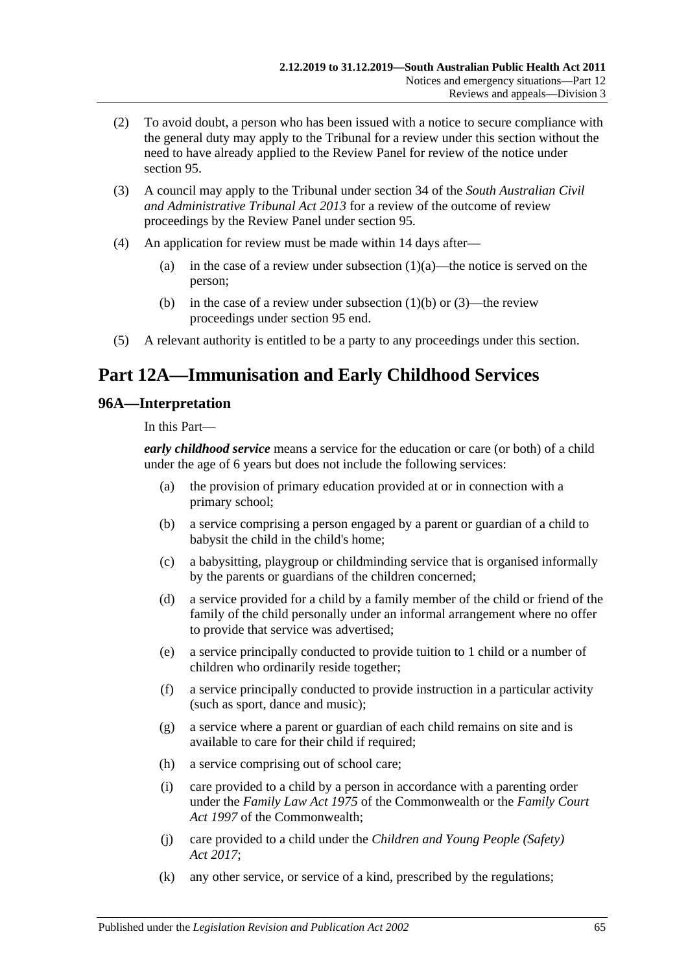- (2) To avoid doubt, a person who has been issued with a notice to secure compliance with the general duty may apply to the Tribunal for a review under this section without the need to have already applied to the Review Panel for review of the notice under [section](#page-62-2) 95.
- (3) A council may apply to the Tribunal under section 34 of the *[South Australian Civil](http://www.legislation.sa.gov.au/index.aspx?action=legref&type=act&legtitle=South%20Australian%20Civil%20and%20Administrative%20Tribunal%20Act%202013)  [and Administrative Tribunal Act](http://www.legislation.sa.gov.au/index.aspx?action=legref&type=act&legtitle=South%20Australian%20Civil%20and%20Administrative%20Tribunal%20Act%202013) 2013* for a review of the outcome of review proceedings by the Review Panel under [section](#page-62-2) 95.
- (4) An application for review must be made within 14 days after
	- (a) in the case of a review under [subsection](#page-63-0)  $(1)(a)$ —the notice is served on the person;
	- (b) in the case of a review under [subsection](#page-63-1)  $(1)(b)$  or  $(3)$ —the review proceedings under [section](#page-62-2) 95 end.
- (5) A relevant authority is entitled to be a party to any proceedings under this section.

# **Part 12A—Immunisation and Early Childhood Services**

## **96A—Interpretation**

In this Part—

*early childhood service* means a service for the education or care (or both) of a child under the age of 6 years but does not include the following services:

- (a) the provision of primary education provided at or in connection with a primary school;
- (b) a service comprising a person engaged by a parent or guardian of a child to babysit the child in the child's home;
- (c) a babysitting, playgroup or childminding service that is organised informally by the parents or guardians of the children concerned;
- (d) a service provided for a child by a family member of the child or friend of the family of the child personally under an informal arrangement where no offer to provide that service was advertised;
- (e) a service principally conducted to provide tuition to 1 child or a number of children who ordinarily reside together;
- (f) a service principally conducted to provide instruction in a particular activity (such as sport, dance and music);
- (g) a service where a parent or guardian of each child remains on site and is available to care for their child if required;
- (h) a service comprising out of school care;
- (i) care provided to a child by a person in accordance with a parenting order under the *Family Law Act 1975* of the Commonwealth or the *Family Court Act 1997* of the Commonwealth;
- (j) care provided to a child under the *[Children and Young People \(Safety\)](http://www.legislation.sa.gov.au/index.aspx?action=legref&type=act&legtitle=Children%20and%20Young%20People%20(Safety)%20Act%202017)  Act [2017](http://www.legislation.sa.gov.au/index.aspx?action=legref&type=act&legtitle=Children%20and%20Young%20People%20(Safety)%20Act%202017)*;
- (k) any other service, or service of a kind, prescribed by the regulations;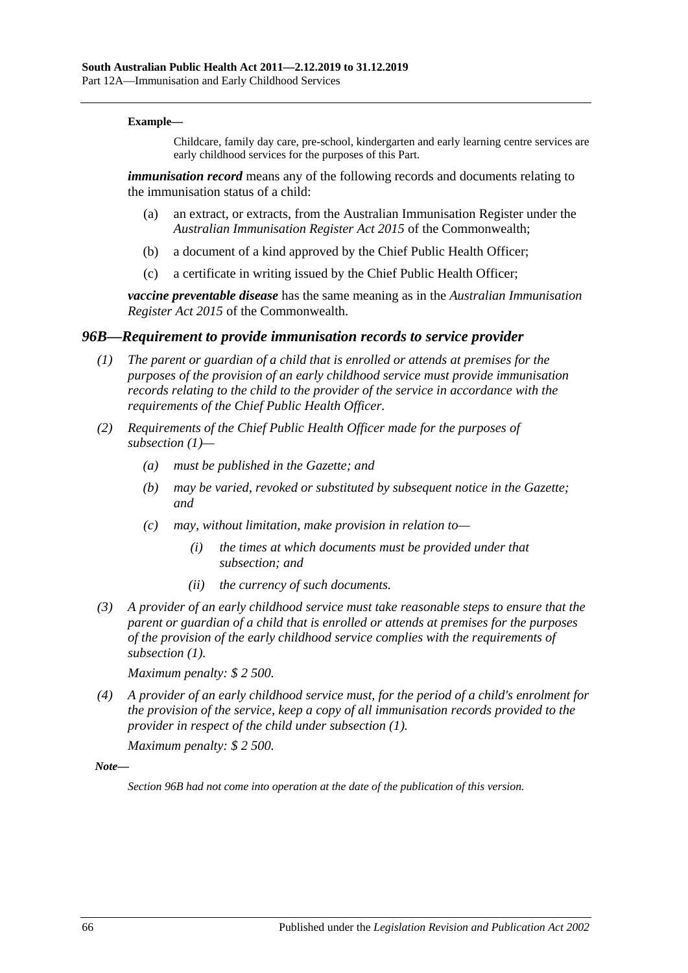#### **Example—**

Childcare, family day care, pre-school, kindergarten and early learning centre services are early childhood services for the purposes of this Part.

*immunisation record* means any of the following records and documents relating to the immunisation status of a child:

- (a) an extract, or extracts, from the Australian Immunisation Register under the *Australian Immunisation Register Act 2015* of the Commonwealth;
- (b) a document of a kind approved by the Chief Public Health Officer;
- (c) a certificate in writing issued by the Chief Public Health Officer;

*vaccine preventable disease* has the same meaning as in the *Australian Immunisation Register Act 2015* of the Commonwealth.

#### <span id="page-65-0"></span>*96B—Requirement to provide immunisation records to service provider*

- *(1) The parent or guardian of a child that is enrolled or attends at premises for the purposes of the provision of an early childhood service must provide immunisation records relating to the child to the provider of the service in accordance with the requirements of the Chief Public Health Officer.*
- *(2) Requirements of the Chief Public Health Officer made for the purposes of [subsection](#page-65-0) (1)—*
	- *(a) must be published in the Gazette; and*
	- *(b) may be varied, revoked or substituted by subsequent notice in the Gazette; and*
	- *(c) may, without limitation, make provision in relation to—*
		- *(i) the times at which documents must be provided under that subsection; and*
		- *(ii) the currency of such documents.*
- *(3) A provider of an early childhood service must take reasonable steps to ensure that the parent or guardian of a child that is enrolled or attends at premises for the purposes of the provision of the early childhood service complies with the requirements of [subsection](#page-65-0) (1).*

*Maximum penalty: \$ 2 500.*

*(4) A provider of an early childhood service must, for the period of a child's enrolment for the provision of the service, keep a copy of all immunisation records provided to the provider in respect of the child under [subsection](#page-65-0) (1).*

*Maximum penalty: \$ 2 500.*

*Note—*

*Section 96B had not come into operation at the date of the publication of this version.*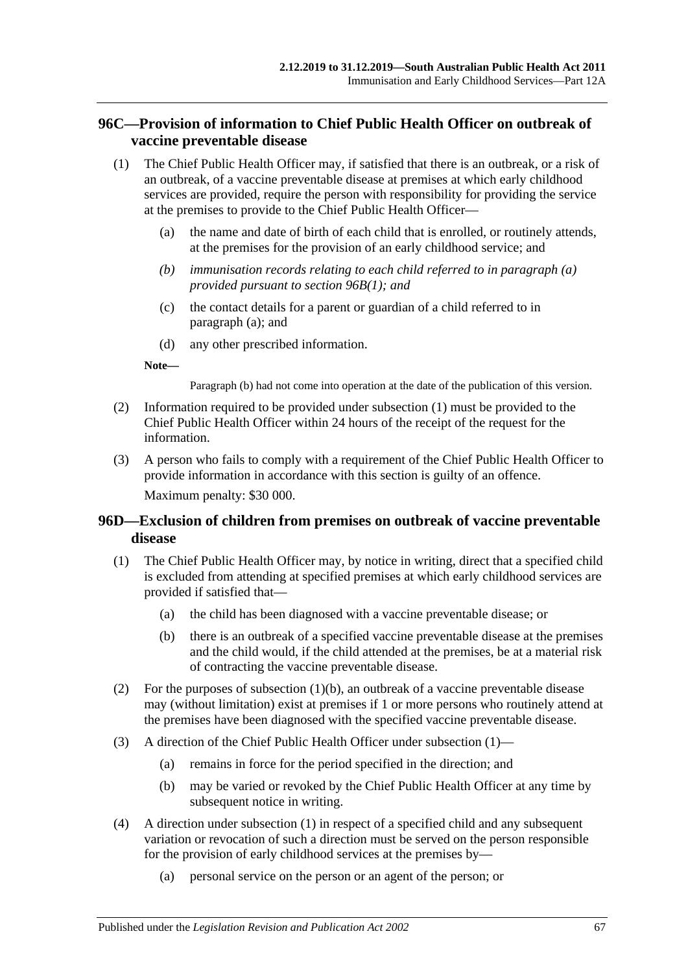# **96C—Provision of information to Chief Public Health Officer on outbreak of vaccine preventable disease**

- <span id="page-66-1"></span><span id="page-66-0"></span>(1) The Chief Public Health Officer may, if satisfied that there is an outbreak, or a risk of an outbreak, of a vaccine preventable disease at premises at which early childhood services are provided, require the person with responsibility for providing the service at the premises to provide to the Chief Public Health Officer—
	- (a) the name and date of birth of each child that is enrolled, or routinely attends, at the premises for the provision of an early childhood service; and
	- *(b) immunisation records relating to each child referred to in [paragraph](#page-66-0) (a) provided pursuant to [section](#page-65-0) 96B(1); and*
	- (c) the contact details for a parent or guardian of a child referred to in [paragraph](#page-66-0) (a); and
	- (d) any other prescribed information.

**Note—**

Paragraph (b) had not come into operation at the date of the publication of this version.

- (2) Information required to be provided under [subsection](#page-66-1) (1) must be provided to the Chief Public Health Officer within 24 hours of the receipt of the request for the information.
- (3) A person who fails to comply with a requirement of the Chief Public Health Officer to provide information in accordance with this section is guilty of an offence. Maximum penalty: \$30 000.

# **96D—Exclusion of children from premises on outbreak of vaccine preventable disease**

- <span id="page-66-3"></span>(1) The Chief Public Health Officer may, by notice in writing, direct that a specified child is excluded from attending at specified premises at which early childhood services are provided if satisfied that—
	- (a) the child has been diagnosed with a vaccine preventable disease; or
	- (b) there is an outbreak of a specified vaccine preventable disease at the premises and the child would, if the child attended at the premises, be at a material risk of contracting the vaccine preventable disease.
- <span id="page-66-2"></span>(2) For the purposes of [subsection](#page-66-2)  $(1)(b)$ , an outbreak of a vaccine preventable disease may (without limitation) exist at premises if 1 or more persons who routinely attend at the premises have been diagnosed with the specified vaccine preventable disease.
- (3) A direction of the Chief Public Health Officer under [subsection](#page-66-3) (1)—
	- (a) remains in force for the period specified in the direction; and
	- (b) may be varied or revoked by the Chief Public Health Officer at any time by subsequent notice in writing.
- <span id="page-66-4"></span>(4) A direction under [subsection](#page-66-3) (1) in respect of a specified child and any subsequent variation or revocation of such a direction must be served on the person responsible for the provision of early childhood services at the premises by—
	- (a) personal service on the person or an agent of the person; or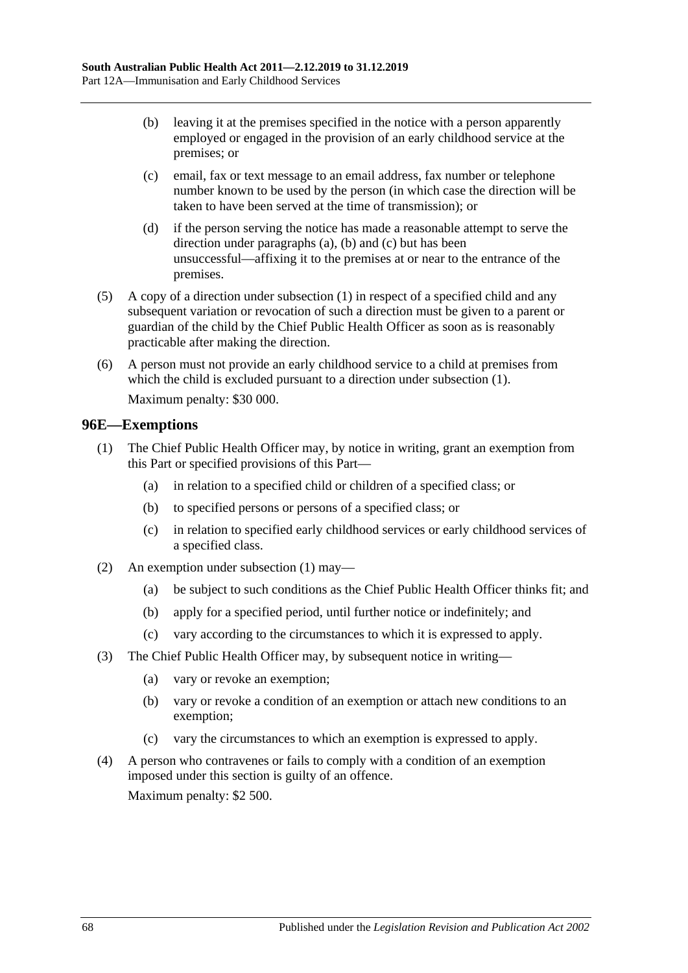- <span id="page-67-0"></span>(b) leaving it at the premises specified in the notice with a person apparently employed or engaged in the provision of an early childhood service at the premises; or
- <span id="page-67-1"></span>(c) email, fax or text message to an email address, fax number or telephone number known to be used by the person (in which case the direction will be taken to have been served at the time of transmission); or
- (d) if the person serving the notice has made a reasonable attempt to serve the direction under [paragraphs](#page-66-4) (a), [\(b\)](#page-67-0) and [\(c\)](#page-67-1) but has been unsuccessful—affixing it to the premises at or near to the entrance of the premises.
- (5) A copy of a direction under [subsection](#page-66-3) (1) in respect of a specified child and any subsequent variation or revocation of such a direction must be given to a parent or guardian of the child by the Chief Public Health Officer as soon as is reasonably practicable after making the direction.
- (6) A person must not provide an early childhood service to a child at premises from which the child is excluded pursuant to a direction under [subsection](#page-66-3)  $(1)$ . Maximum penalty: \$30 000.

# <span id="page-67-2"></span>**96E—Exemptions**

- (1) The Chief Public Health Officer may, by notice in writing, grant an exemption from this Part or specified provisions of this Part—
	- (a) in relation to a specified child or children of a specified class; or
	- (b) to specified persons or persons of a specified class; or
	- (c) in relation to specified early childhood services or early childhood services of a specified class.
- (2) An exemption under [subsection](#page-67-2) (1) may—
	- (a) be subject to such conditions as the Chief Public Health Officer thinks fit; and
	- (b) apply for a specified period, until further notice or indefinitely; and
	- (c) vary according to the circumstances to which it is expressed to apply.
- (3) The Chief Public Health Officer may, by subsequent notice in writing—
	- (a) vary or revoke an exemption;
	- (b) vary or revoke a condition of an exemption or attach new conditions to an exemption;
	- (c) vary the circumstances to which an exemption is expressed to apply.
- (4) A person who contravenes or fails to comply with a condition of an exemption imposed under this section is guilty of an offence. Maximum penalty: \$2 500.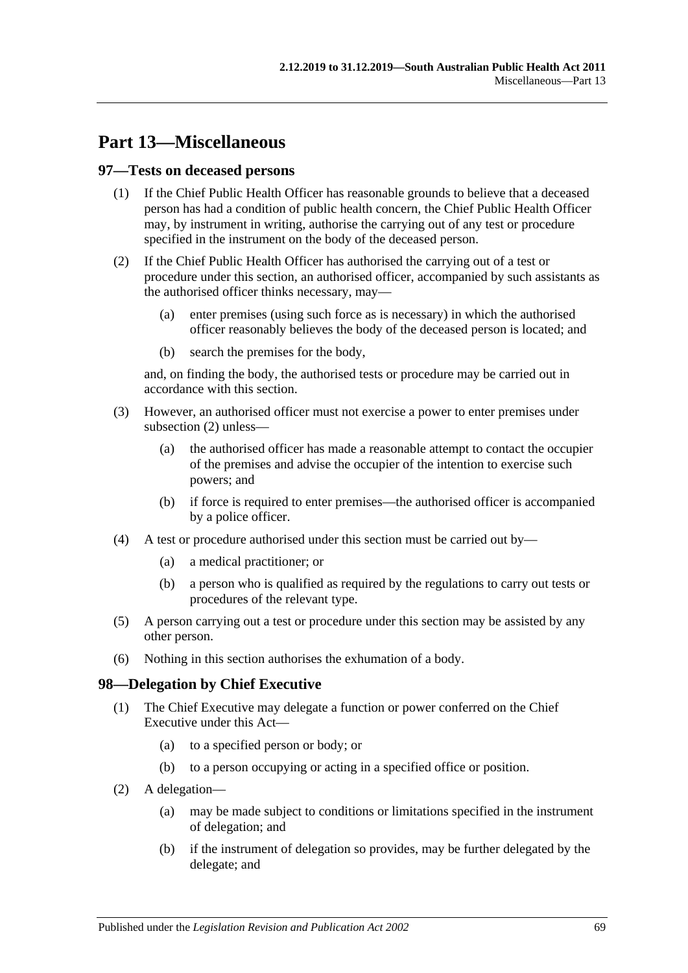# **Part 13—Miscellaneous**

## **97—Tests on deceased persons**

- (1) If the Chief Public Health Officer has reasonable grounds to believe that a deceased person has had a condition of public health concern, the Chief Public Health Officer may, by instrument in writing, authorise the carrying out of any test or procedure specified in the instrument on the body of the deceased person.
- <span id="page-68-0"></span>(2) If the Chief Public Health Officer has authorised the carrying out of a test or procedure under this section, an authorised officer, accompanied by such assistants as the authorised officer thinks necessary, may—
	- (a) enter premises (using such force as is necessary) in which the authorised officer reasonably believes the body of the deceased person is located; and
	- (b) search the premises for the body,

and, on finding the body, the authorised tests or procedure may be carried out in accordance with this section.

- (3) However, an authorised officer must not exercise a power to enter premises under [subsection](#page-68-0) (2) unless—
	- (a) the authorised officer has made a reasonable attempt to contact the occupier of the premises and advise the occupier of the intention to exercise such powers; and
	- (b) if force is required to enter premises—the authorised officer is accompanied by a police officer.
- (4) A test or procedure authorised under this section must be carried out by—
	- (a) a medical practitioner; or
	- (b) a person who is qualified as required by the regulations to carry out tests or procedures of the relevant type.
- (5) A person carrying out a test or procedure under this section may be assisted by any other person.
- (6) Nothing in this section authorises the exhumation of a body.

# **98—Delegation by Chief Executive**

- (1) The Chief Executive may delegate a function or power conferred on the Chief Executive under this Act—
	- (a) to a specified person or body; or
	- (b) to a person occupying or acting in a specified office or position.
- (2) A delegation—
	- (a) may be made subject to conditions or limitations specified in the instrument of delegation; and
	- (b) if the instrument of delegation so provides, may be further delegated by the delegate; and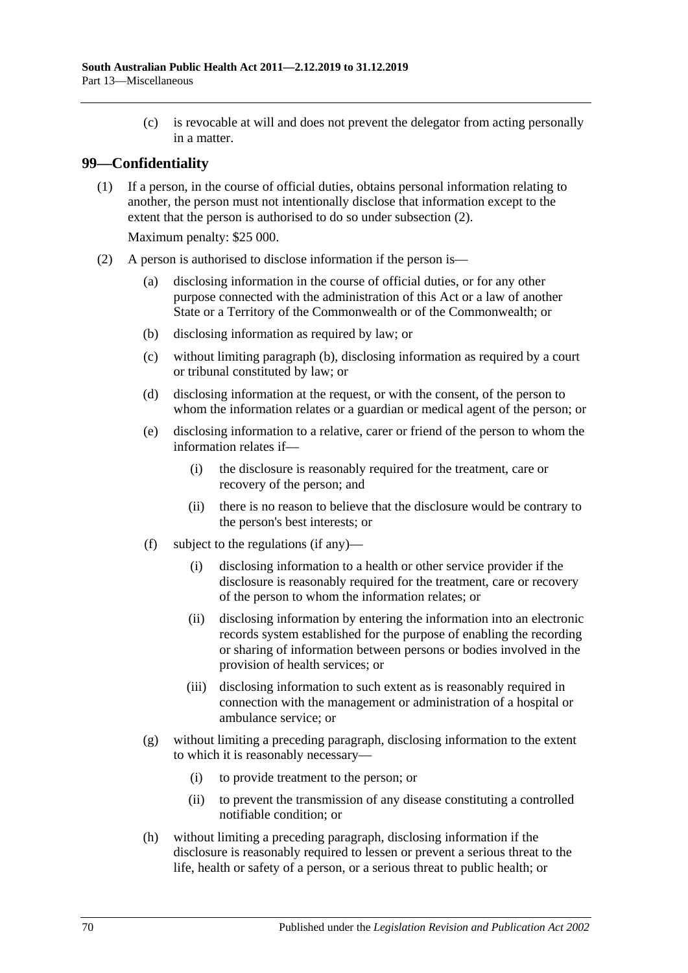(c) is revocable at will and does not prevent the delegator from acting personally in a matter.

# **99—Confidentiality**

(1) If a person, in the course of official duties, obtains personal information relating to another, the person must not intentionally disclose that information except to the extent that the person is authorised to do so under [subsection](#page-69-0) (2).

Maximum penalty: \$25 000.

- <span id="page-69-2"></span><span id="page-69-1"></span><span id="page-69-0"></span>(2) A person is authorised to disclose information if the person is—
	- (a) disclosing information in the course of official duties, or for any other purpose connected with the administration of this Act or a law of another State or a Territory of the Commonwealth or of the Commonwealth; or
	- (b) disclosing information as required by law; or
	- (c) without limiting [paragraph](#page-69-1) (b), disclosing information as required by a court or tribunal constituted by law; or
	- (d) disclosing information at the request, or with the consent, of the person to whom the information relates or a guardian or medical agent of the person; or
	- (e) disclosing information to a relative, carer or friend of the person to whom the information relates if—
		- (i) the disclosure is reasonably required for the treatment, care or recovery of the person; and
		- (ii) there is no reason to believe that the disclosure would be contrary to the person's best interests; or
	- (f) subject to the regulations (if any)—
		- (i) disclosing information to a health or other service provider if the disclosure is reasonably required for the treatment, care or recovery of the person to whom the information relates; or
		- (ii) disclosing information by entering the information into an electronic records system established for the purpose of enabling the recording or sharing of information between persons or bodies involved in the provision of health services; or
		- (iii) disclosing information to such extent as is reasonably required in connection with the management or administration of a hospital or ambulance service; or
	- (g) without limiting a preceding paragraph, disclosing information to the extent to which it is reasonably necessary—
		- (i) to provide treatment to the person; or
		- (ii) to prevent the transmission of any disease constituting a controlled notifiable condition; or
	- (h) without limiting a preceding paragraph, disclosing information if the disclosure is reasonably required to lessen or prevent a serious threat to the life, health or safety of a person, or a serious threat to public health; or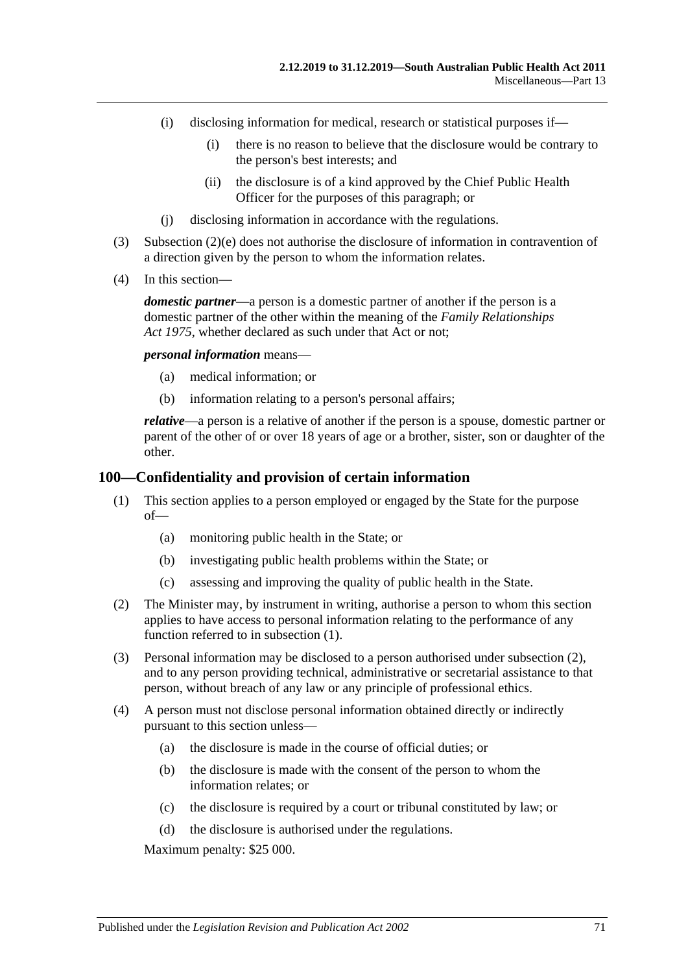- (i) disclosing information for medical, research or statistical purposes if—
	- (i) there is no reason to believe that the disclosure would be contrary to the person's best interests; and
	- (ii) the disclosure is of a kind approved by the Chief Public Health Officer for the purposes of this paragraph; or
- (j) disclosing information in accordance with the regulations.
- (3) [Subsection](#page-69-2) (2)(e) does not authorise the disclosure of information in contravention of a direction given by the person to whom the information relates.
- (4) In this section—

*domestic partner*—a person is a domestic partner of another if the person is a domestic partner of the other within the meaning of the *[Family Relationships](http://www.legislation.sa.gov.au/index.aspx?action=legref&type=act&legtitle=Family%20Relationships%20Act%201975)  Act [1975](http://www.legislation.sa.gov.au/index.aspx?action=legref&type=act&legtitle=Family%20Relationships%20Act%201975)*, whether declared as such under that Act or not;

*personal information* means—

- (a) medical information; or
- (b) information relating to a person's personal affairs;

*relative*—a person is a relative of another if the person is a spouse, domestic partner or parent of the other of or over 18 years of age or a brother, sister, son or daughter of the other.

#### <span id="page-70-0"></span>**100—Confidentiality and provision of certain information**

- (1) This section applies to a person employed or engaged by the State for the purpose of—
	- (a) monitoring public health in the State; or
	- (b) investigating public health problems within the State; or
	- (c) assessing and improving the quality of public health in the State.
- <span id="page-70-1"></span>(2) The Minister may, by instrument in writing, authorise a person to whom this section applies to have access to personal information relating to the performance of any function referred to in [subsection](#page-70-0) (1).
- (3) Personal information may be disclosed to a person authorised under [subsection](#page-70-1) (2), and to any person providing technical, administrative or secretarial assistance to that person, without breach of any law or any principle of professional ethics.
- (4) A person must not disclose personal information obtained directly or indirectly pursuant to this section unless—
	- (a) the disclosure is made in the course of official duties; or
	- (b) the disclosure is made with the consent of the person to whom the information relates; or
	- (c) the disclosure is required by a court or tribunal constituted by law; or
	- (d) the disclosure is authorised under the regulations.

Maximum penalty: \$25 000.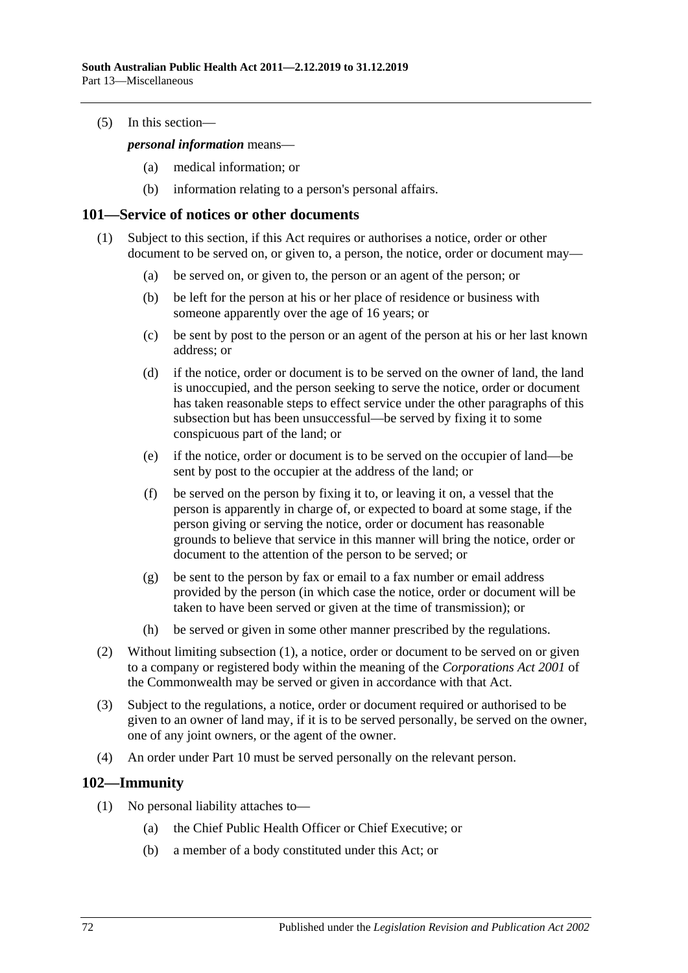(5) In this section—

*personal information* means—

- (a) medical information; or
- (b) information relating to a person's personal affairs.

#### <span id="page-71-0"></span>**101—Service of notices or other documents**

- (1) Subject to this section, if this Act requires or authorises a notice, order or other document to be served on, or given to, a person, the notice, order or document may—
	- (a) be served on, or given to, the person or an agent of the person; or
	- (b) be left for the person at his or her place of residence or business with someone apparently over the age of 16 years; or
	- (c) be sent by post to the person or an agent of the person at his or her last known address; or
	- (d) if the notice, order or document is to be served on the owner of land, the land is unoccupied, and the person seeking to serve the notice, order or document has taken reasonable steps to effect service under the other paragraphs of this subsection but has been unsuccessful—be served by fixing it to some conspicuous part of the land; or
	- (e) if the notice, order or document is to be served on the occupier of land—be sent by post to the occupier at the address of the land; or
	- (f) be served on the person by fixing it to, or leaving it on, a vessel that the person is apparently in charge of, or expected to board at some stage, if the person giving or serving the notice, order or document has reasonable grounds to believe that service in this manner will bring the notice, order or document to the attention of the person to be served; or
	- (g) be sent to the person by fax or email to a fax number or email address provided by the person (in which case the notice, order or document will be taken to have been served or given at the time of transmission); or
	- (h) be served or given in some other manner prescribed by the regulations.
- (2) Without limiting [subsection](#page-71-0) (1), a notice, order or document to be served on or given to a company or registered body within the meaning of the *Corporations Act 2001* of the Commonwealth may be served or given in accordance with that Act.
- (3) Subject to the regulations, a notice, order or document required or authorised to be given to an owner of land may, if it is to be served personally, be served on the owner, one of any joint owners, or the agent of the owner.
- (4) An order under [Part](#page-41-2) 10 must be served personally on the relevant person.

# **102—Immunity**

- (1) No personal liability attaches to—
	- (a) the Chief Public Health Officer or Chief Executive; or
	- (b) a member of a body constituted under this Act; or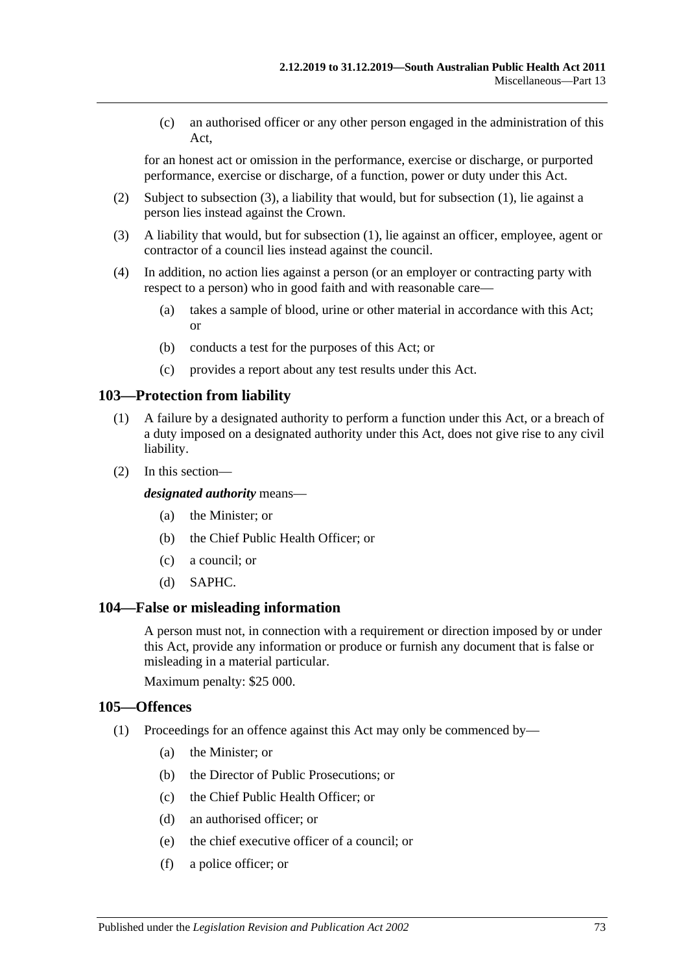(c) an authorised officer or any other person engaged in the administration of this Act,

for an honest act or omission in the performance, exercise or discharge, or purported performance, exercise or discharge, of a function, power or duty under this Act.

- (2) Subject to [subsection](#page-72-0) (3), a liability that would, but for [subsection](#page-71-0) (1), lie against a person lies instead against the Crown.
- <span id="page-72-0"></span>(3) A liability that would, but for [subsection](#page-71-0) (1), lie against an officer, employee, agent or contractor of a council lies instead against the council.
- (4) In addition, no action lies against a person (or an employer or contracting party with respect to a person) who in good faith and with reasonable care—
	- (a) takes a sample of blood, urine or other material in accordance with this Act; or
	- (b) conducts a test for the purposes of this Act; or
	- (c) provides a report about any test results under this Act.

#### **103—Protection from liability**

- (1) A failure by a designated authority to perform a function under this Act, or a breach of a duty imposed on a designated authority under this Act, does not give rise to any civil liability.
- (2) In this section—

*designated authority* means—

- (a) the Minister; or
- (b) the Chief Public Health Officer; or
- (c) a council; or
- (d) SAPHC.

#### **104—False or misleading information**

A person must not, in connection with a requirement or direction imposed by or under this Act, provide any information or produce or furnish any document that is false or misleading in a material particular.

Maximum penalty: \$25 000.

#### **105—Offences**

- (1) Proceedings for an offence against this Act may only be commenced by—
	- (a) the Minister; or
	- (b) the Director of Public Prosecutions; or
	- (c) the Chief Public Health Officer; or
	- (d) an authorised officer; or
	- (e) the chief executive officer of a council; or
	- (f) a police officer; or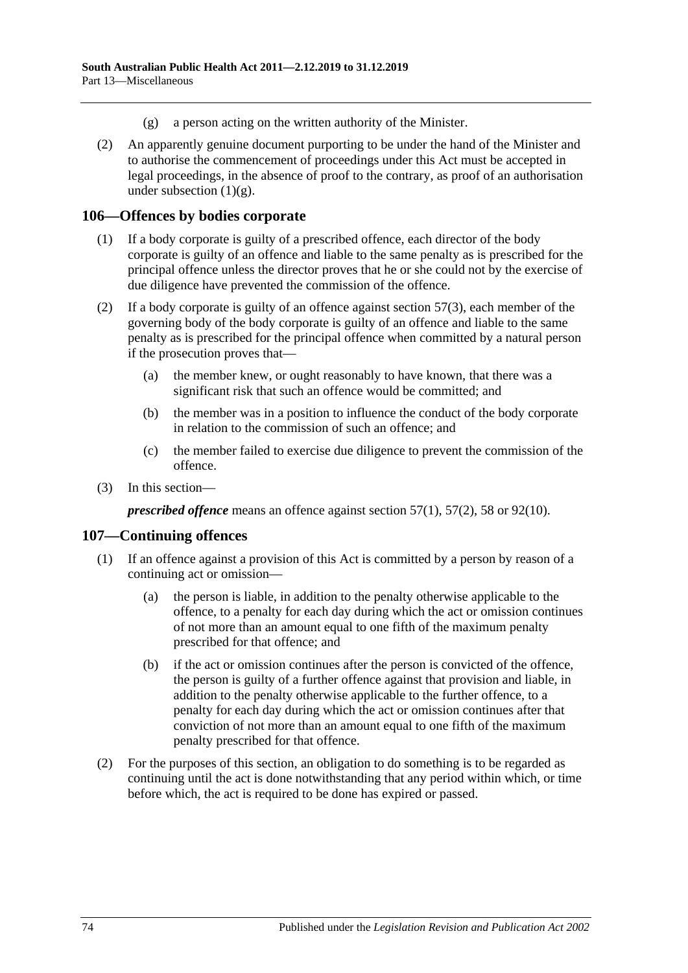- (g) a person acting on the written authority of the Minister.
- <span id="page-73-0"></span>(2) An apparently genuine document purporting to be under the hand of the Minister and to authorise the commencement of proceedings under this Act must be accepted in legal proceedings, in the absence of proof to the contrary, as proof of an authorisation under [subsection](#page-73-0)  $(1)(g)$ .

#### **106—Offences by bodies corporate**

- (1) If a body corporate is guilty of a prescribed offence, each director of the body corporate is guilty of an offence and liable to the same penalty as is prescribed for the principal offence unless the director proves that he or she could not by the exercise of due diligence have prevented the commission of the offence.
- (2) If a body corporate is guilty of an offence against [section](#page-33-0)  $57(3)$ , each member of the governing body of the body corporate is guilty of an offence and liable to the same penalty as is prescribed for the principal offence when committed by a natural person if the prosecution proves that—
	- (a) the member knew, or ought reasonably to have known, that there was a significant risk that such an offence would be committed; and
	- (b) the member was in a position to influence the conduct of the body corporate in relation to the commission of such an offence; and
	- (c) the member failed to exercise due diligence to prevent the commission of the offence.
- (3) In this section—

*prescribed offence* means an offence against [section](#page-33-1) 57(1), [57\(2\),](#page-33-2) [58](#page-33-3) or [92\(10\).](#page-60-0)

#### **107—Continuing offences**

- (1) If an offence against a provision of this Act is committed by a person by reason of a continuing act or omission—
	- (a) the person is liable, in addition to the penalty otherwise applicable to the offence, to a penalty for each day during which the act or omission continues of not more than an amount equal to one fifth of the maximum penalty prescribed for that offence; and
	- (b) if the act or omission continues after the person is convicted of the offence, the person is guilty of a further offence against that provision and liable, in addition to the penalty otherwise applicable to the further offence, to a penalty for each day during which the act or omission continues after that conviction of not more than an amount equal to one fifth of the maximum penalty prescribed for that offence.
- (2) For the purposes of this section, an obligation to do something is to be regarded as continuing until the act is done notwithstanding that any period within which, or time before which, the act is required to be done has expired or passed.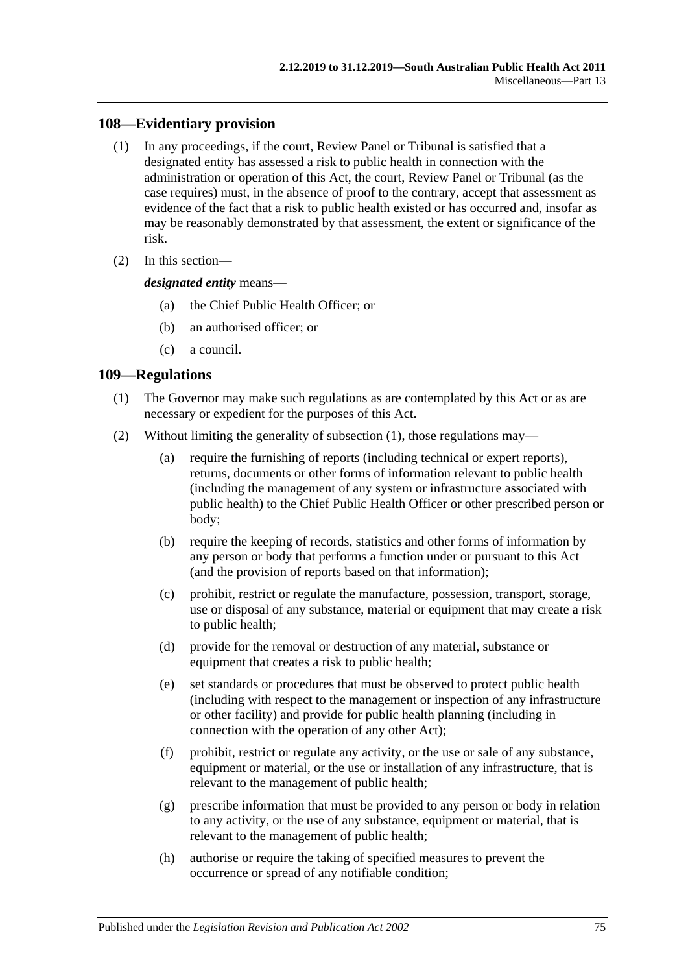## **108—Evidentiary provision**

- (1) In any proceedings, if the court, Review Panel or Tribunal is satisfied that a designated entity has assessed a risk to public health in connection with the administration or operation of this Act, the court, Review Panel or Tribunal (as the case requires) must, in the absence of proof to the contrary, accept that assessment as evidence of the fact that a risk to public health existed or has occurred and, insofar as may be reasonably demonstrated by that assessment, the extent or significance of the risk.
- (2) In this section—

*designated entity* means—

- (a) the Chief Public Health Officer; or
- (b) an authorised officer; or
- (c) a council.

## <span id="page-74-0"></span>**109—Regulations**

- (1) The Governor may make such regulations as are contemplated by this Act or as are necessary or expedient for the purposes of this Act.
- (2) Without limiting the generality of [subsection](#page-74-0) (1), those regulations may—
	- (a) require the furnishing of reports (including technical or expert reports), returns, documents or other forms of information relevant to public health (including the management of any system or infrastructure associated with public health) to the Chief Public Health Officer or other prescribed person or body;
	- (b) require the keeping of records, statistics and other forms of information by any person or body that performs a function under or pursuant to this Act (and the provision of reports based on that information);
	- (c) prohibit, restrict or regulate the manufacture, possession, transport, storage, use or disposal of any substance, material or equipment that may create a risk to public health;
	- (d) provide for the removal or destruction of any material, substance or equipment that creates a risk to public health;
	- (e) set standards or procedures that must be observed to protect public health (including with respect to the management or inspection of any infrastructure or other facility) and provide for public health planning (including in connection with the operation of any other Act);
	- (f) prohibit, restrict or regulate any activity, or the use or sale of any substance, equipment or material, or the use or installation of any infrastructure, that is relevant to the management of public health;
	- (g) prescribe information that must be provided to any person or body in relation to any activity, or the use of any substance, equipment or material, that is relevant to the management of public health;
	- (h) authorise or require the taking of specified measures to prevent the occurrence or spread of any notifiable condition;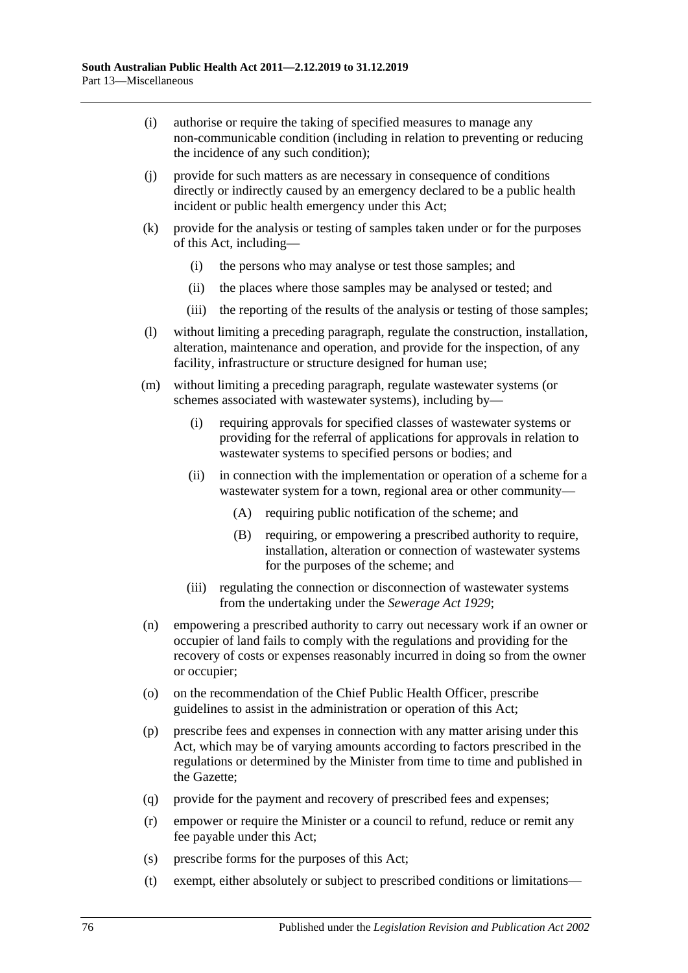- (i) authorise or require the taking of specified measures to manage any non-communicable condition (including in relation to preventing or reducing the incidence of any such condition);
- (j) provide for such matters as are necessary in consequence of conditions directly or indirectly caused by an emergency declared to be a public health incident or public health emergency under this Act;
- (k) provide for the analysis or testing of samples taken under or for the purposes of this Act, including—
	- (i) the persons who may analyse or test those samples; and
	- (ii) the places where those samples may be analysed or tested; and
	- (iii) the reporting of the results of the analysis or testing of those samples;
- (l) without limiting a preceding paragraph, regulate the construction, installation, alteration, maintenance and operation, and provide for the inspection, of any facility, infrastructure or structure designed for human use;
- (m) without limiting a preceding paragraph, regulate wastewater systems (or schemes associated with wastewater systems), including by—
	- (i) requiring approvals for specified classes of wastewater systems or providing for the referral of applications for approvals in relation to wastewater systems to specified persons or bodies; and
	- (ii) in connection with the implementation or operation of a scheme for a wastewater system for a town, regional area or other community—
		- (A) requiring public notification of the scheme; and
		- (B) requiring, or empowering a prescribed authority to require, installation, alteration or connection of wastewater systems for the purposes of the scheme; and
	- (iii) regulating the connection or disconnection of wastewater systems from the undertaking under the *[Sewerage Act](http://www.legislation.sa.gov.au/index.aspx?action=legref&type=act&legtitle=Sewerage%20Act%201929) 1929*;
- (n) empowering a prescribed authority to carry out necessary work if an owner or occupier of land fails to comply with the regulations and providing for the recovery of costs or expenses reasonably incurred in doing so from the owner or occupier;
- (o) on the recommendation of the Chief Public Health Officer, prescribe guidelines to assist in the administration or operation of this Act;
- (p) prescribe fees and expenses in connection with any matter arising under this Act, which may be of varying amounts according to factors prescribed in the regulations or determined by the Minister from time to time and published in the Gazette;
- (q) provide for the payment and recovery of prescribed fees and expenses;
- (r) empower or require the Minister or a council to refund, reduce or remit any fee payable under this Act;
- (s) prescribe forms for the purposes of this Act;
- (t) exempt, either absolutely or subject to prescribed conditions or limitations—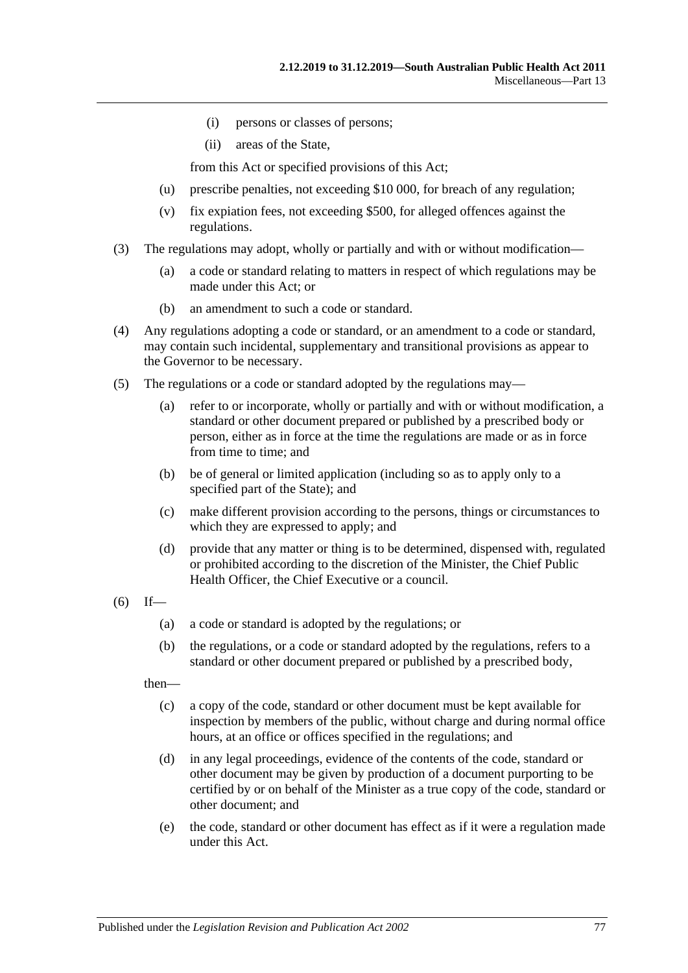- (i) persons or classes of persons;
- (ii) areas of the State,

from this Act or specified provisions of this Act;

- (u) prescribe penalties, not exceeding \$10 000, for breach of any regulation;
- (v) fix expiation fees, not exceeding \$500, for alleged offences against the regulations.
- (3) The regulations may adopt, wholly or partially and with or without modification—
	- (a) a code or standard relating to matters in respect of which regulations may be made under this Act; or
	- (b) an amendment to such a code or standard.
- (4) Any regulations adopting a code or standard, or an amendment to a code or standard, may contain such incidental, supplementary and transitional provisions as appear to the Governor to be necessary.
- (5) The regulations or a code or standard adopted by the regulations may—
	- (a) refer to or incorporate, wholly or partially and with or without modification, a standard or other document prepared or published by a prescribed body or person, either as in force at the time the regulations are made or as in force from time to time; and
	- (b) be of general or limited application (including so as to apply only to a specified part of the State); and
	- (c) make different provision according to the persons, things or circumstances to which they are expressed to apply; and
	- (d) provide that any matter or thing is to be determined, dispensed with, regulated or prohibited according to the discretion of the Minister, the Chief Public Health Officer, the Chief Executive or a council.
- $(6)$  If—
	- (a) a code or standard is adopted by the regulations; or
	- (b) the regulations, or a code or standard adopted by the regulations, refers to a standard or other document prepared or published by a prescribed body,

then—

- (c) a copy of the code, standard or other document must be kept available for inspection by members of the public, without charge and during normal office hours, at an office or offices specified in the regulations; and
- (d) in any legal proceedings, evidence of the contents of the code, standard or other document may be given by production of a document purporting to be certified by or on behalf of the Minister as a true copy of the code, standard or other document; and
- (e) the code, standard or other document has effect as if it were a regulation made under this Act.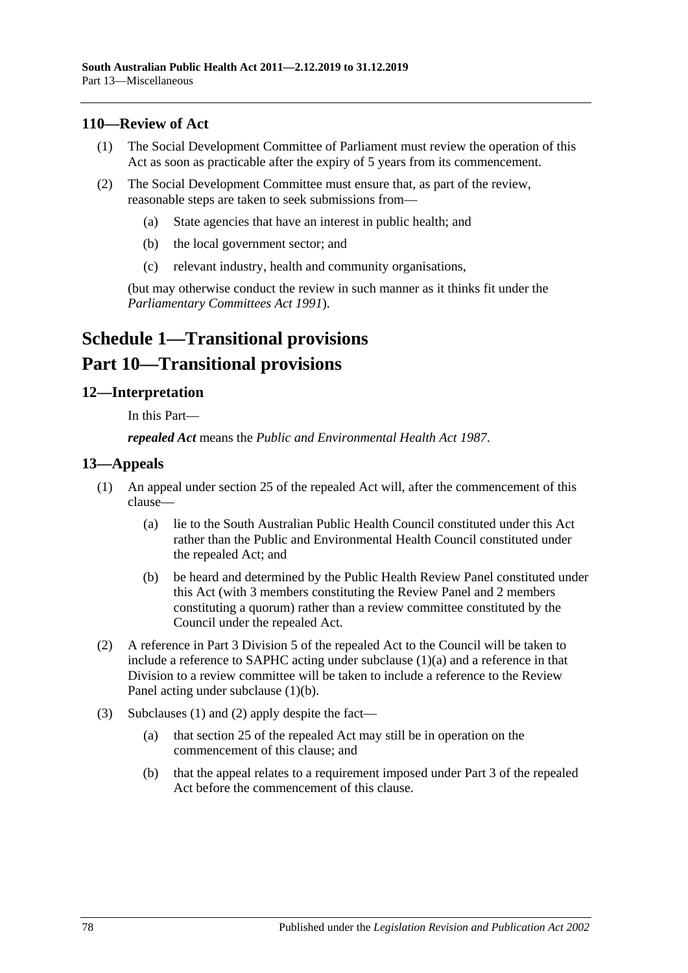## **110—Review of Act**

- (1) The Social Development Committee of Parliament must review the operation of this Act as soon as practicable after the expiry of 5 years from its commencement.
- (2) The Social Development Committee must ensure that, as part of the review, reasonable steps are taken to seek submissions from—
	- (a) State agencies that have an interest in public health; and
	- (b) the local government sector; and
	- (c) relevant industry, health and community organisations,

(but may otherwise conduct the review in such manner as it thinks fit under the *[Parliamentary Committees Act](http://www.legislation.sa.gov.au/index.aspx?action=legref&type=act&legtitle=Parliamentary%20Committees%20Act%201991) 1991*).

# **Schedule 1—Transitional provisions Part 10—Transitional provisions**

## **12—Interpretation**

In this Part—

*repealed Act* means the *[Public and Environmental Health Act](http://www.legislation.sa.gov.au/index.aspx?action=legref&type=act&legtitle=Public%20and%20Environmental%20Health%20Act%201987) 1987*.

#### <span id="page-77-2"></span>**13—Appeals**

- <span id="page-77-0"></span>(1) An appeal under section 25 of the repealed Act will, after the commencement of this clause—
	- (a) lie to the South Australian Public Health Council constituted under this Act rather than the Public and Environmental Health Council constituted under the repealed Act; and
	- (b) be heard and determined by the Public Health Review Panel constituted under this Act (with 3 members constituting the Review Panel and 2 members constituting a quorum) rather than a review committee constituted by the Council under the repealed Act.
- <span id="page-77-3"></span><span id="page-77-1"></span>(2) A reference in Part 3 Division 5 of the repealed Act to the Council will be taken to include a reference to SAPHC acting under [subclause](#page-77-0) (1)(a) and a reference in that Division to a review committee will be taken to include a reference to the Review Panel acting under [subclause](#page-77-1) (1)(b).
- (3) [Subclauses](#page-77-2) (1) and [\(2\)](#page-77-3) apply despite the fact—
	- (a) that section 25 of the repealed Act may still be in operation on the commencement of this clause; and
	- (b) that the appeal relates to a requirement imposed under Part 3 of the repealed Act before the commencement of this clause.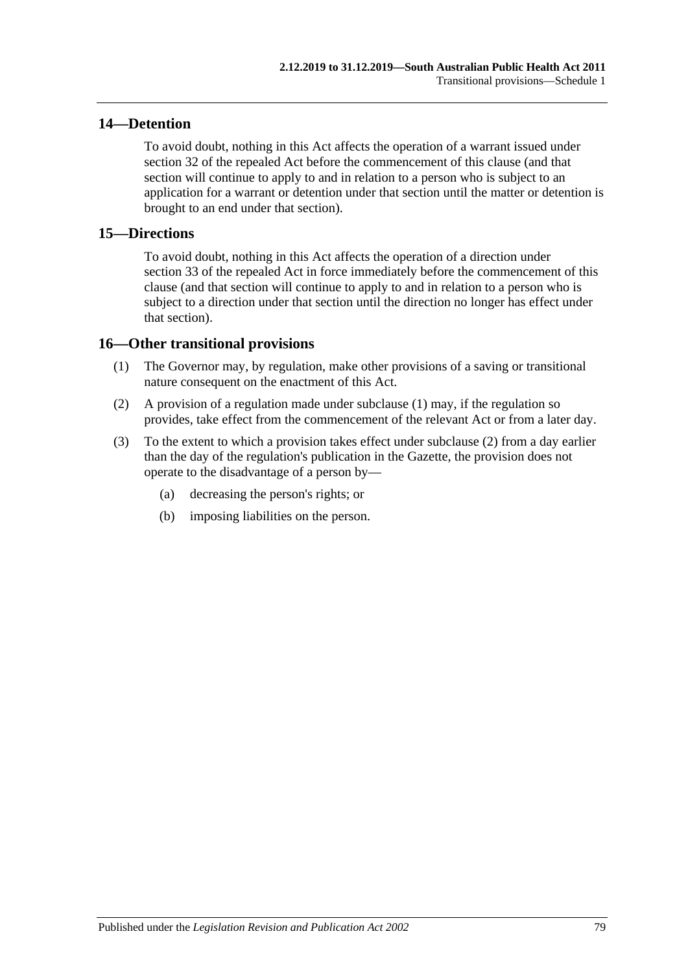## **14—Detention**

To avoid doubt, nothing in this Act affects the operation of a warrant issued under section 32 of the repealed Act before the commencement of this clause (and that section will continue to apply to and in relation to a person who is subject to an application for a warrant or detention under that section until the matter or detention is brought to an end under that section).

#### **15—Directions**

To avoid doubt, nothing in this Act affects the operation of a direction under section 33 of the repealed Act in force immediately before the commencement of this clause (and that section will continue to apply to and in relation to a person who is subject to a direction under that section until the direction no longer has effect under that section).

### <span id="page-78-0"></span>**16—Other transitional provisions**

- (1) The Governor may, by regulation, make other provisions of a saving or transitional nature consequent on the enactment of this Act.
- <span id="page-78-1"></span>(2) A provision of a regulation made under [subclause](#page-78-0) (1) may, if the regulation so provides, take effect from the commencement of the relevant Act or from a later day.
- (3) To the extent to which a provision takes effect under [subclause](#page-78-1) (2) from a day earlier than the day of the regulation's publication in the Gazette, the provision does not operate to the disadvantage of a person by—
	- (a) decreasing the person's rights; or
	- (b) imposing liabilities on the person.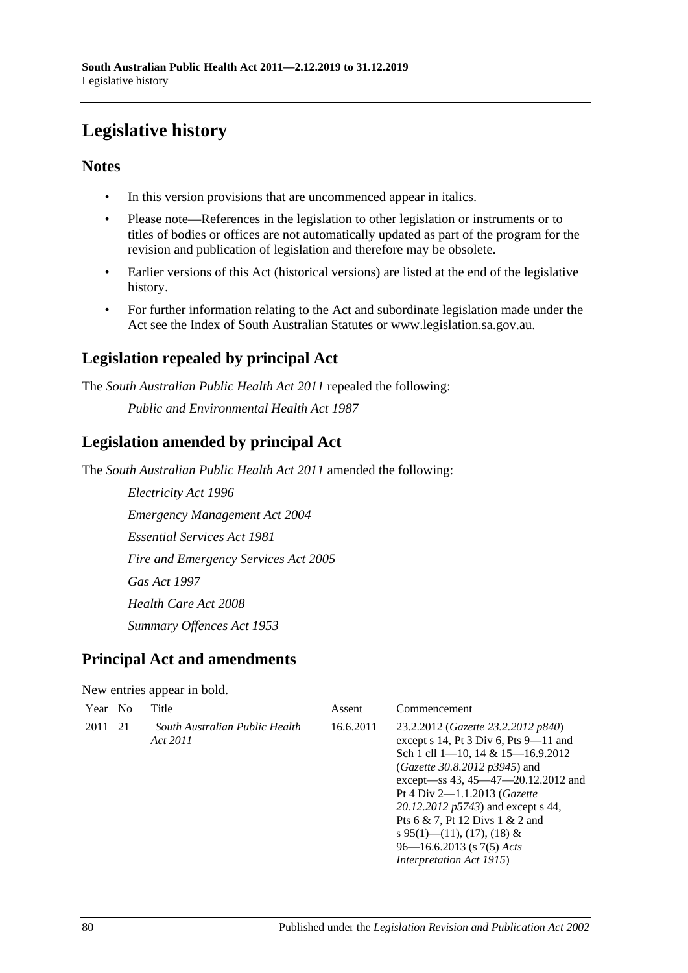# **Legislative history**

# **Notes**

- In this version provisions that are uncommenced appear in italics.
- Please note—References in the legislation to other legislation or instruments or to titles of bodies or offices are not automatically updated as part of the program for the revision and publication of legislation and therefore may be obsolete.
- Earlier versions of this Act (historical versions) are listed at the end of the legislative history.
- For further information relating to the Act and subordinate legislation made under the Act see the Index of South Australian Statutes or www.legislation.sa.gov.au.

# **Legislation repealed by principal Act**

The *South Australian Public Health Act 2011* repealed the following:

*Public and Environmental Health Act 1987*

# **Legislation amended by principal Act**

The *South Australian Public Health Act 2011* amended the following:

*Electricity Act 1996 Emergency Management Act 2004 Essential Services Act 1981 Fire and Emergency Services Act 2005 Gas Act 1997 Health Care Act 2008 Summary Offences Act 1953*

# **Principal Act and amendments**

#### New entries appear in bold.

| Year No |     | Title                                      | Assent    | Commencement                                                                                                                                                                                                                                                                                                                                                                                                                               |
|---------|-----|--------------------------------------------|-----------|--------------------------------------------------------------------------------------------------------------------------------------------------------------------------------------------------------------------------------------------------------------------------------------------------------------------------------------------------------------------------------------------------------------------------------------------|
| 2011    | -21 | South Australian Public Health<br>Act 2011 | 16.6.2011 | 23.2.2012 ( <i>Gazette 23.2.2012 p840</i> )<br>except $s$ 14, Pt 3 Div 6, Pts 9-11 and<br>Sch 1 cll $1-10$ , $14 & 15-16.9.2012$<br>( <i>Gazette 30.8.2012 p3945</i> ) and<br>except—ss 43, 45—47—20.12.2012 and<br>Pt 4 Div $2 - 1.1.2013$ ( <i>Gazette</i><br>20.12.2012 p5743) and except s 44,<br>Pts 6 & 7, Pt 12 Divs 1 & 2 and<br>s 95(1)—(11), (17), (18) &<br>$96 - 16.6.2013$ (s $7(5)$ Acts<br><i>Interpretation Act 1915</i> ) |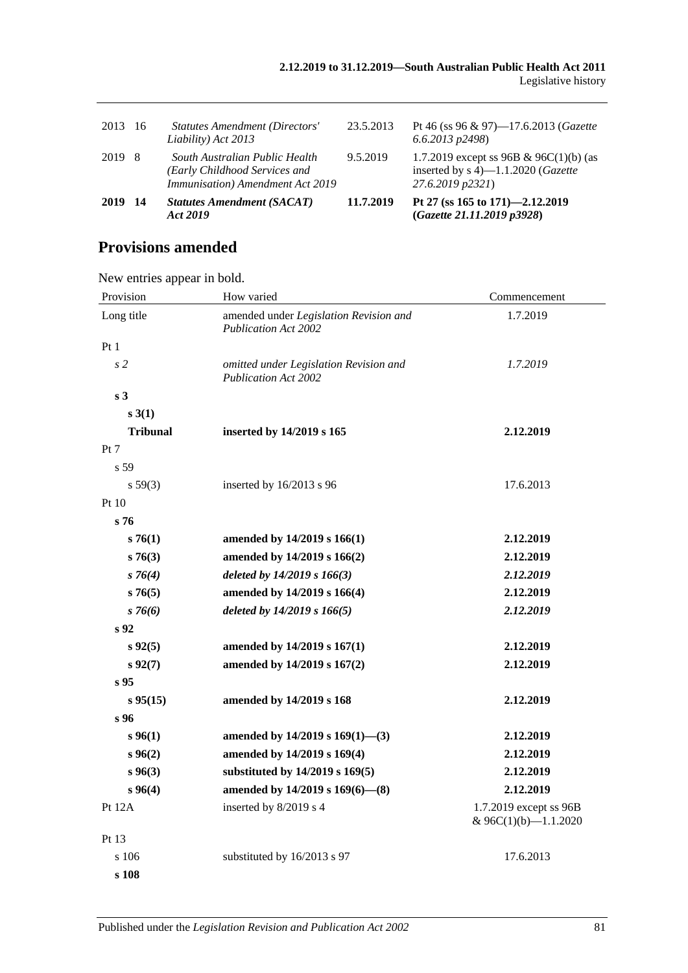| 2013 | - 16 | <b>Statutes Amendment (Directors'</b><br>Liability) Act 2013                                        | 23.5.2013 | Pt 46 (ss 96 & 97)-17.6.2013 (Gazette<br>$(6.6.2013 \text{ p}2498)$                                        |
|------|------|-----------------------------------------------------------------------------------------------------|-----------|------------------------------------------------------------------------------------------------------------|
| 2019 | -8   | South Australian Public Health<br>(Early Childhood Services and<br>Immunisation) Amendment Act 2019 | 9.5.2019  | 1.7.2019 except ss 96B & 96C(1)(b) (as<br>inserted by $s$ 4)—1.1.2020 ( <i>Gazette</i><br>27.6.2019 p2321) |
| 2019 | - 14 | <b>Statutes Amendment (SACAT)</b><br>Act 2019                                                       | 11.7.2019 | Pt 27 (ss 165 to 171)–2.12.2019<br>(Gazette 21.11.2019 p3928)                                              |

# **Provisions amended**

New entries appear in bold.

| Provision       | How varied                                                                   | Commencement |  |
|-----------------|------------------------------------------------------------------------------|--------------|--|
| Long title      | amended under Legislation Revision and<br><b>Publication Act 2002</b>        | 1.7.2019     |  |
| Pt1             |                                                                              |              |  |
| s <sub>2</sub>  | omitted under Legislation Revision and<br><b>Publication Act 2002</b>        | 1.7.2019     |  |
| s <sub>3</sub>  |                                                                              |              |  |
| s3(1)           |                                                                              |              |  |
| <b>Tribunal</b> | inserted by 14/2019 s 165                                                    | 2.12.2019    |  |
| Pt 7            |                                                                              |              |  |
| s 59            |                                                                              |              |  |
| $s\,59(3)$      | inserted by 16/2013 s 96                                                     | 17.6.2013    |  |
| Pt 10           |                                                                              |              |  |
| s <sub>76</sub> |                                                                              |              |  |
| s76(1)          | amended by 14/2019 s 166(1)                                                  | 2.12.2019    |  |
| s76(3)          | amended by 14/2019 s 166(2)                                                  | 2.12.2019    |  |
| $s \, 76(4)$    | deleted by 14/2019 s 166(3)                                                  | 2.12.2019    |  |
| s76(5)          | amended by 14/2019 s 166(4)                                                  | 2.12.2019    |  |
| $s \, 76(6)$    | deleted by 14/2019 s 166(5)                                                  | 2.12.2019    |  |
| s <sub>92</sub> |                                                                              |              |  |
| $s\,92(5)$      | amended by 14/2019 s 167(1)                                                  | 2.12.2019    |  |
| $s\,92(7)$      | amended by 14/2019 s 167(2)                                                  | 2.12.2019    |  |
| s <sub>95</sub> |                                                                              |              |  |
| $s\,95(15)$     | amended by 14/2019 s 168                                                     | 2.12.2019    |  |
| s 96            |                                                                              |              |  |
| s 96(1)         | amended by $14/2019$ s $169(1)$ —(3)                                         | 2.12.2019    |  |
| s 96(2)         | amended by 14/2019 s 169(4)                                                  | 2.12.2019    |  |
| $s\,96(3)$      | substituted by 14/2019 s 169(5)                                              | 2.12.2019    |  |
| s 96(4)         | amended by 14/2019 s 169(6)-(8)                                              | 2.12.2019    |  |
| <b>Pt 12A</b>   | inserted by 8/2019 s 4<br>1.7.2019 except ss 96B<br>& $96C(1)(b) - 1.1.2020$ |              |  |
| Pt 13           |                                                                              |              |  |
| s 106           | substituted by 16/2013 s 97                                                  | 17.6.2013    |  |
| s 108           |                                                                              |              |  |